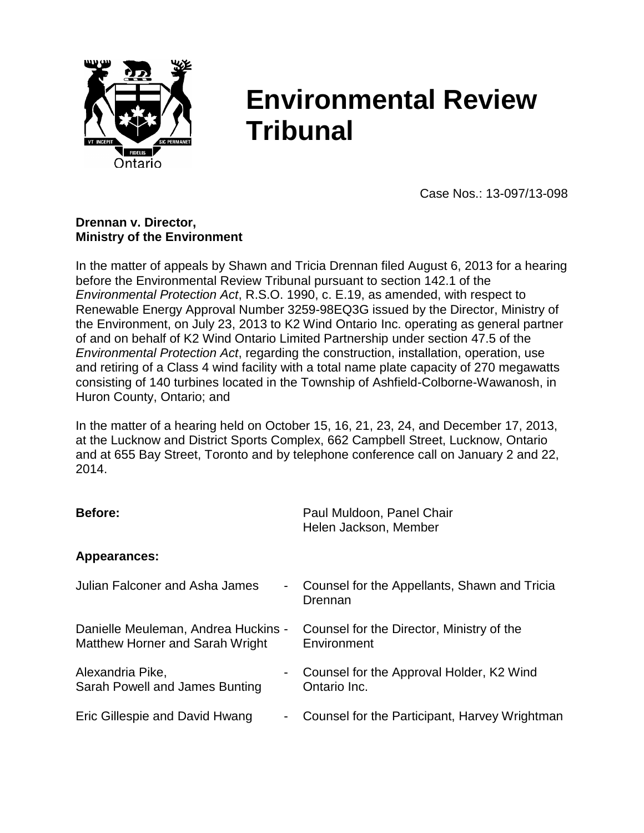

# **Environmental Review Tribunal**

Case Nos.: 13-097/13-098

#### **Drennan v. Director, Ministry of the Environment**

In the matter of appeals by Shawn and Tricia Drennan filed August 6, 2013 for a hearing before the Environmental Review Tribunal pursuant to section 142.1 of the *Environmental Protection Act*, R.S.O. 1990, c. E.19, as amended, with respect to Renewable Energy Approval Number 3259-98EQ3G issued by the Director, Ministry of the Environment, on July 23, 2013 to K2 Wind Ontario Inc. operating as general partner of and on behalf of K2 Wind Ontario Limited Partnership under section 47.5 of the *Environmental Protection Act*, regarding the construction, installation, operation, use and retiring of a Class 4 wind facility with a total name plate capacity of 270 megawatts consisting of 140 turbines located in the Township of Ashfield-Colborne-Wawanosh, in Huron County, Ontario; and

In the matter of a hearing held on October 15, 16, 21, 23, 24, and December 17, 2013, at the Lucknow and District Sports Complex, 662 Campbell Street, Lucknow, Ontario and at 655 Bay Street, Toronto and by telephone conference call on January 2 and 22, 2014.

| Before:                               | Paul Muldoon, Panel Chair<br>Helen Jackson, Member |
|---------------------------------------|----------------------------------------------------|
| Appearances:                          |                                                    |
| <b>Julian Falconer and Asha James</b> | Counsel for the Appellants, Shawn and Tricia       |
| ۰                                     | Drennan                                            |
| Danielle Meuleman, Andrea Huckins -   | Counsel for the Director, Ministry of the          |
| Matthew Horner and Sarah Wright       | Environment                                        |
| Alexandria Pike,                      | Counsel for the Approval Holder, K2 Wind           |
| Sarah Powell and James Bunting        | Ontario Inc.                                       |
| Eric Gillespie and David Hwang        | Counsel for the Participant, Harvey Wrightman      |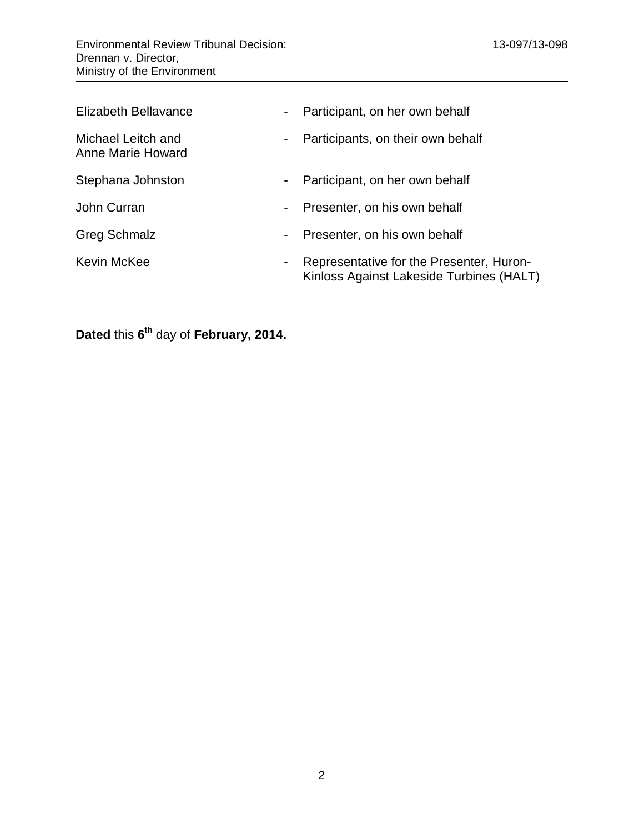| Elizabeth Bellavance                    | $\sim$ | Participant, on her own behalf                                                       |
|-----------------------------------------|--------|--------------------------------------------------------------------------------------|
| Michael Leitch and<br>Anne Marie Howard | $\sim$ | Participants, on their own behalf                                                    |
| Stephana Johnston                       | $\sim$ | Participant, on her own behalf                                                       |
| John Curran                             |        | Presenter, on his own behalf                                                         |
| <b>Greg Schmalz</b>                     | ۰.     | Presenter, on his own behalf                                                         |
| Kevin McKee                             |        | Representative for the Presenter, Huron-<br>Kinloss Against Lakeside Turbines (HALT) |

**Dated this 6<sup>th</sup> day of February, 2014.**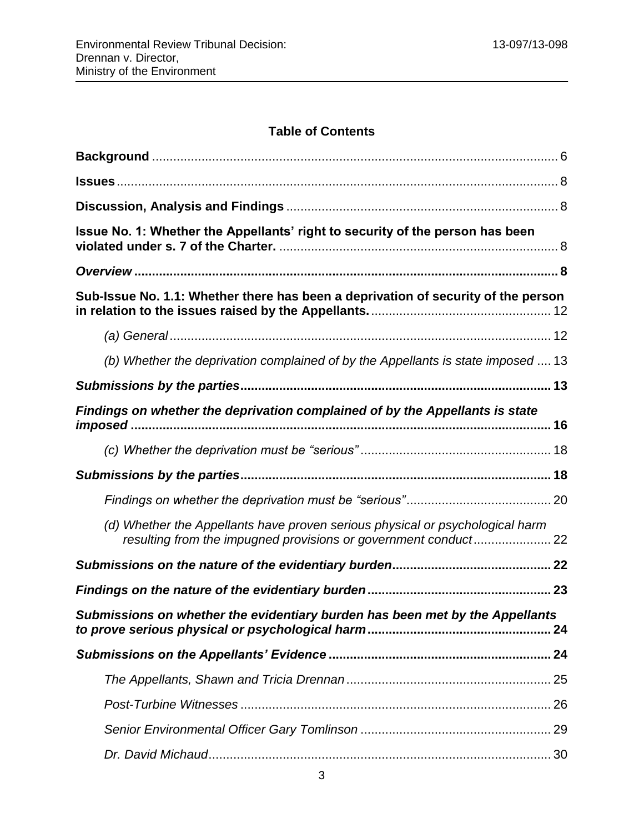# **Table of Contents**

| Issue No. 1: Whether the Appellants' right to security of the person has been     |
|-----------------------------------------------------------------------------------|
|                                                                                   |
| Sub-Issue No. 1.1: Whether there has been a deprivation of security of the person |
|                                                                                   |
| (b) Whether the deprivation complained of by the Appellants is state imposed  13  |
|                                                                                   |
| Findings on whether the deprivation complained of by the Appellants is state      |
|                                                                                   |
|                                                                                   |
|                                                                                   |
| (d) Whether the Appellants have proven serious physical or psychological harm     |
|                                                                                   |
|                                                                                   |
| Submissions on whether the evidentiary burden has been met by the Appellants      |
|                                                                                   |
|                                                                                   |
|                                                                                   |
|                                                                                   |
|                                                                                   |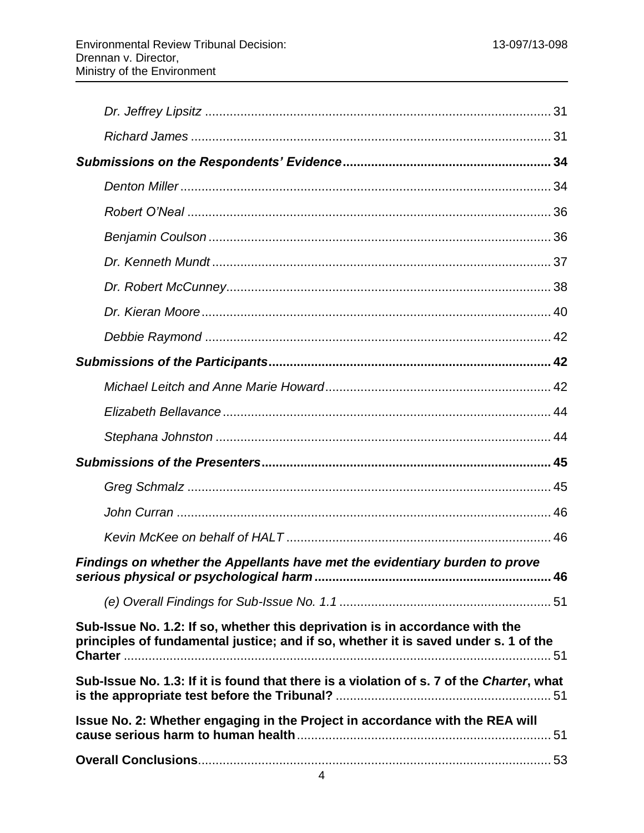| Findings on whether the Appellants have met the evidentiary burden to prove                                                                                         |  |
|---------------------------------------------------------------------------------------------------------------------------------------------------------------------|--|
|                                                                                                                                                                     |  |
| Sub-Issue No. 1.2: If so, whether this deprivation is in accordance with the<br>principles of fundamental justice; and if so, whether it is saved under s. 1 of the |  |
| Sub-Issue No. 1.3: If it is found that there is a violation of s. 7 of the Charter, what                                                                            |  |
| Issue No. 2: Whether engaging in the Project in accordance with the REA will                                                                                        |  |
|                                                                                                                                                                     |  |
|                                                                                                                                                                     |  |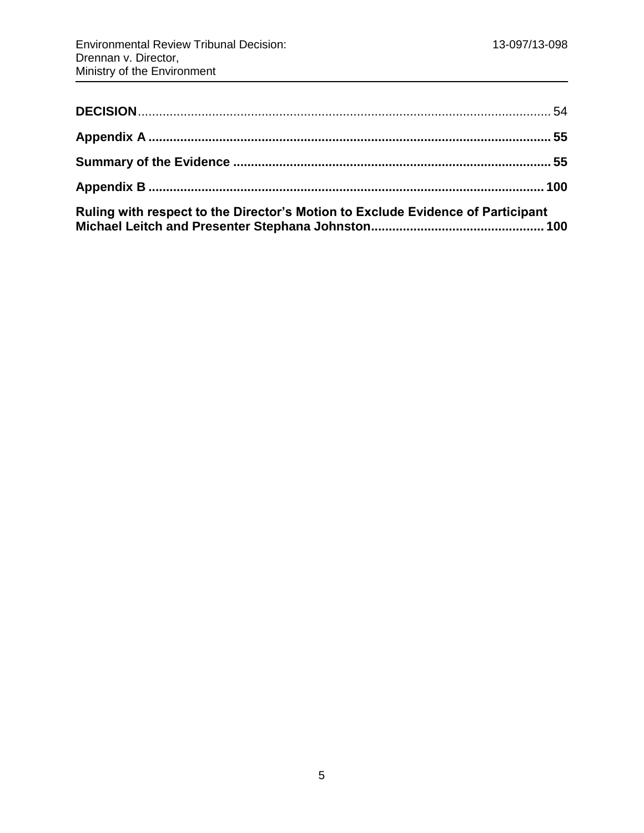| Ruling with respect to the Director's Motion to Exclude Evidence of Participant |  |
|---------------------------------------------------------------------------------|--|

**[Michael Leitch and Presenter Stephana Johnston.................................................](#page-99-1) 100**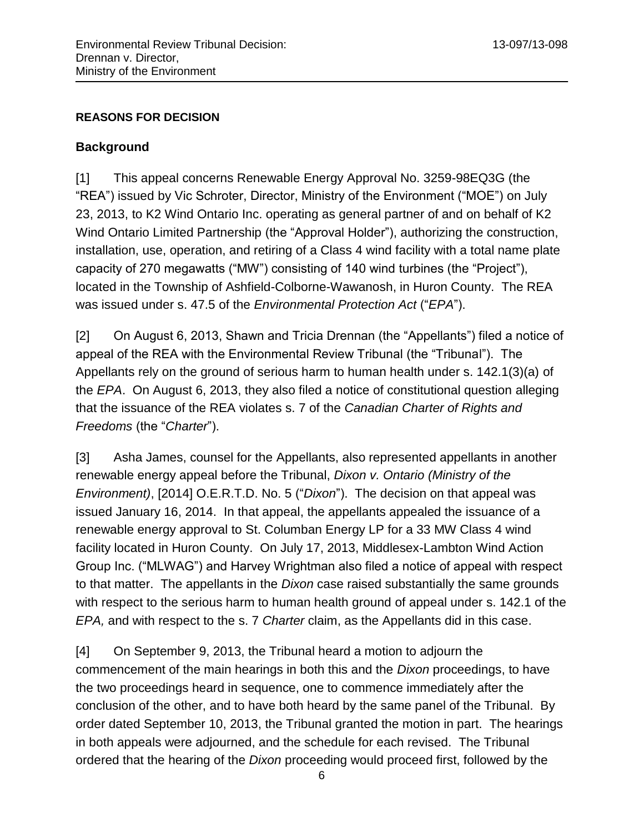#### **REASONS FOR DECISION**

#### <span id="page-5-0"></span>**Background**

[1] This appeal concerns Renewable Energy Approval No. 3259-98EQ3G (the "REA") issued by Vic Schroter, Director, Ministry of the Environment ("MOE") on July 23, 2013, to K2 Wind Ontario Inc. operating as general partner of and on behalf of K2 Wind Ontario Limited Partnership (the "Approval Holder"), authorizing the construction, installation, use, operation, and retiring of a Class 4 wind facility with a total name plate capacity of 270 megawatts ("MW") consisting of 140 wind turbines (the "Project"), located in the Township of Ashfield-Colborne-Wawanosh, in Huron County. The REA was issued under s. 47.5 of the *Environmental Protection Act* ("*EPA*").

[2] On August 6, 2013, Shawn and Tricia Drennan (the "Appellants") filed a notice of appeal of the REA with the Environmental Review Tribunal (the "Tribunal"). The Appellants rely on the ground of serious harm to human health under s. 142.1(3)(a) of the *EPA*. On August 6, 2013, they also filed a notice of constitutional question alleging that the issuance of the REA violates s. 7 of the *Canadian Charter of Rights and Freedoms* (the "*Charter*").

[3] Asha James, counsel for the Appellants, also represented appellants in another renewable energy appeal before the Tribunal, *Dixon v. Ontario (Ministry of the Environment)*, [2014] O.E.R.T.D. No. 5 ("*Dixon*"). The decision on that appeal was issued January 16, 2014. In that appeal, the appellants appealed the issuance of a renewable energy approval to St. Columban Energy LP for a 33 MW Class 4 wind facility located in Huron County. On July 17, 2013, Middlesex-Lambton Wind Action Group Inc. ("MLWAG") and Harvey Wrightman also filed a notice of appeal with respect to that matter. The appellants in the *Dixon* case raised substantially the same grounds with respect to the serious harm to human health ground of appeal under s. 142.1 of the *EPA,* and with respect to the s. 7 *Charter* claim, as the Appellants did in this case.

[4] On September 9, 2013, the Tribunal heard a motion to adjourn the commencement of the main hearings in both this and the *Dixon* proceedings, to have the two proceedings heard in sequence, one to commence immediately after the conclusion of the other, and to have both heard by the same panel of the Tribunal. By order dated September 10, 2013, the Tribunal granted the motion in part. The hearings in both appeals were adjourned, and the schedule for each revised. The Tribunal ordered that the hearing of the *Dixon* proceeding would proceed first, followed by the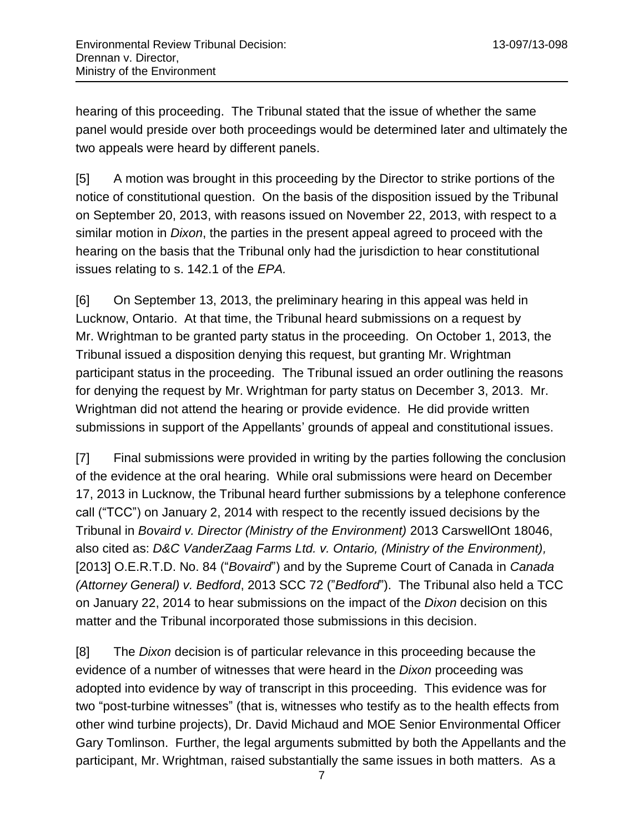hearing of this proceeding. The Tribunal stated that the issue of whether the same panel would preside over both proceedings would be determined later and ultimately the two appeals were heard by different panels.

[5] A motion was brought in this proceeding by the Director to strike portions of the notice of constitutional question. On the basis of the disposition issued by the Tribunal on September 20, 2013, with reasons issued on November 22, 2013, with respect to a similar motion in *Dixon*, the parties in the present appeal agreed to proceed with the hearing on the basis that the Tribunal only had the jurisdiction to hear constitutional issues relating to s. 142.1 of the *EPA.*

[6] On September 13, 2013, the preliminary hearing in this appeal was held in Lucknow, Ontario. At that time, the Tribunal heard submissions on a request by Mr. Wrightman to be granted party status in the proceeding. On October 1, 2013, the Tribunal issued a disposition denying this request, but granting Mr. Wrightman participant status in the proceeding. The Tribunal issued an order outlining the reasons for denying the request by Mr. Wrightman for party status on December 3, 2013. Mr. Wrightman did not attend the hearing or provide evidence. He did provide written submissions in support of the Appellants' grounds of appeal and constitutional issues.

[7] Final submissions were provided in writing by the parties following the conclusion of the evidence at the oral hearing. While oral submissions were heard on December 17, 2013 in Lucknow, the Tribunal heard further submissions by a telephone conference call ("TCC") on January 2, 2014 with respect to the recently issued decisions by the Tribunal in *Bovaird v. Director (Ministry of the Environment)* 2013 CarswellOnt 18046, also cited as: *D&C VanderZaag Farms Ltd. v. Ontario, (Ministry of the Environment),* [2013] O.E.R.T.D. No. 84 ("*Bovaird*") and by the Supreme Court of Canada in *Canada (Attorney General) v. Bedford*, 2013 SCC 72 ("*Bedford*"). The Tribunal also held a TCC on January 22, 2014 to hear submissions on the impact of the *Dixon* decision on this matter and the Tribunal incorporated those submissions in this decision.

[8] The *Dixon* decision is of particular relevance in this proceeding because the evidence of a number of witnesses that were heard in the *Dixon* proceeding was adopted into evidence by way of transcript in this proceeding. This evidence was for two "post-turbine witnesses" (that is, witnesses who testify as to the health effects from other wind turbine projects), Dr. David Michaud and MOE Senior Environmental Officer Gary Tomlinson. Further, the legal arguments submitted by both the Appellants and the participant, Mr. Wrightman, raised substantially the same issues in both matters. As a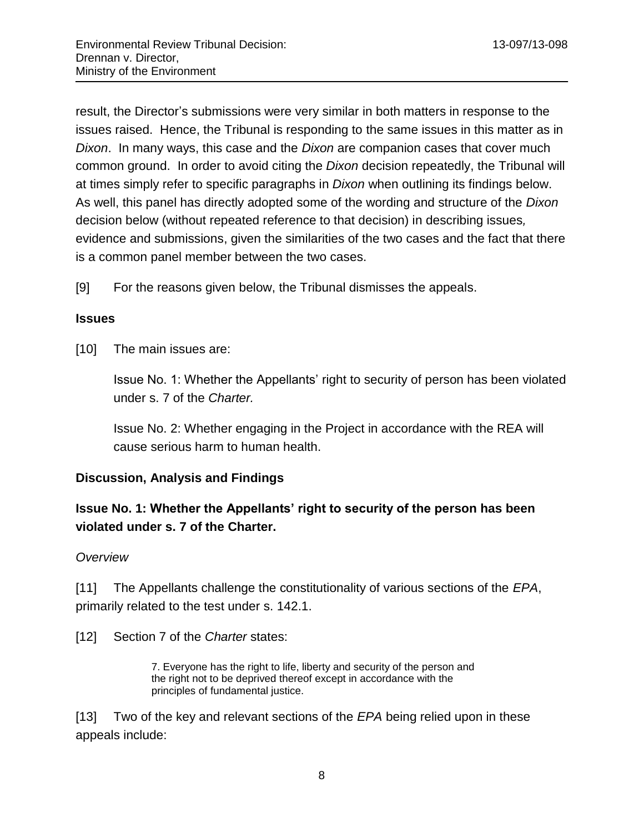result, the Director's submissions were very similar in both matters in response to the issues raised. Hence, the Tribunal is responding to the same issues in this matter as in *Dixon*. In many ways, this case and the *Dixon* are companion cases that cover much common ground. In order to avoid citing the *Dixon* decision repeatedly, the Tribunal will at times simply refer to specific paragraphs in *Dixon* when outlining its findings below. As well, this panel has directly adopted some of the wording and structure of the *Dixon*  decision below (without repeated reference to that decision) in describing issues*,*  evidence and submissions, given the similarities of the two cases and the fact that there is a common panel member between the two cases.

[9] For the reasons given below, the Tribunal dismisses the appeals.

#### <span id="page-7-0"></span>**Issues**

[10] The main issues are:

Issue No. 1: Whether the Appellants' right to security of person has been violated under s. 7 of the *Charter.*

Issue No. 2: Whether engaging in the Project in accordance with the REA will cause serious harm to human health.

#### <span id="page-7-1"></span>**Discussion, Analysis and Findings**

## <span id="page-7-2"></span>**Issue No. 1: Whether the Appellants' right to security of the person has been violated under s. 7 of the Charter.**

#### <span id="page-7-3"></span>*Overview*

[11] The Appellants challenge the constitutionality of various sections of the *EPA*, primarily related to the test under s. 142.1.

[12] Section 7 of the *Charter* states:

7. Everyone has the right to life, liberty and security of the person and the right not to be deprived thereof except in accordance with the principles of fundamental justice.

[13] Two of the key and relevant sections of the *EPA* being relied upon in these appeals include: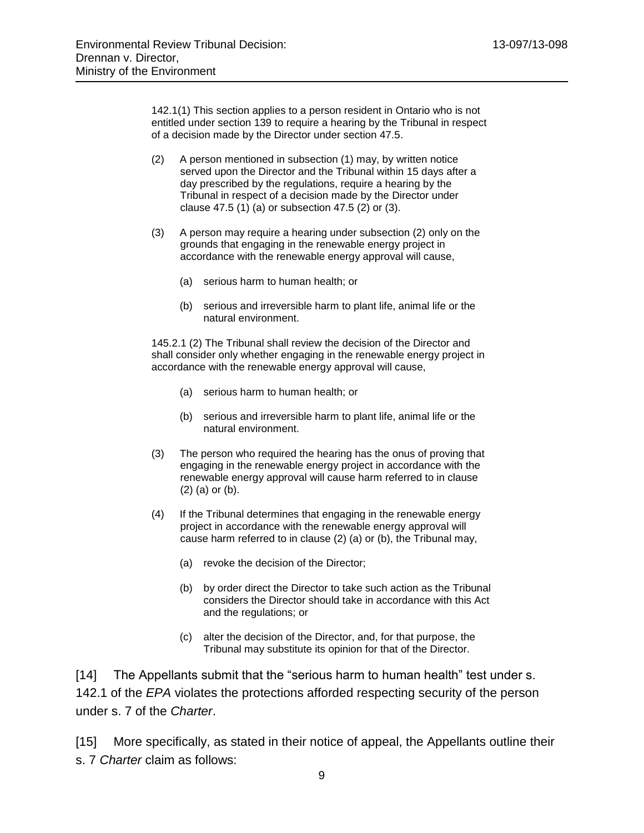142.1(1) This section applies to a person resident in Ontario who is not entitled under section 139 to require a hearing by the Tribunal in respect of a decision made by the Director under section 47.5.

- (2) A person mentioned in subsection (1) may, by written notice served upon the Director and the Tribunal within 15 days after a day prescribed by the regulations, require a hearing by the Tribunal in respect of a decision made by the Director under clause 47.5 (1) (a) or subsection 47.5 (2) or (3).
- (3) A person may require a hearing under subsection (2) only on the grounds that engaging in the renewable energy project in accordance with the renewable energy approval will cause,
	- (a) serious harm to human health; or
	- (b) serious and irreversible harm to plant life, animal life or the natural environment.

145.2.1 (2) The Tribunal shall review the decision of the Director and shall consider only whether engaging in the renewable energy project in accordance with the renewable energy approval will cause,

- (a) serious harm to human health; or
- (b) serious and irreversible harm to plant life, animal life or the natural environment.
- (3) The person who required the hearing has the onus of proving that engaging in the renewable energy project in accordance with the renewable energy approval will cause harm referred to in clause (2) (a) or (b).
- (4) If the Tribunal determines that engaging in the renewable energy project in accordance with the renewable energy approval will cause harm referred to in clause (2) (a) or (b), the Tribunal may,
	- (a) revoke the decision of the Director;
	- (b) by order direct the Director to take such action as the Tribunal considers the Director should take in accordance with this Act and the regulations; or
	- (c) alter the decision of the Director, and, for that purpose, the Tribunal may substitute its opinion for that of the Director.

[14] The Appellants submit that the "serious harm to human health" test under s. 142.1 of the *EPA* violates the protections afforded respecting security of the person under s. 7 of the *Charter*.

[15] More specifically, as stated in their notice of appeal, the Appellants outline their s. 7 *Charter* claim as follows: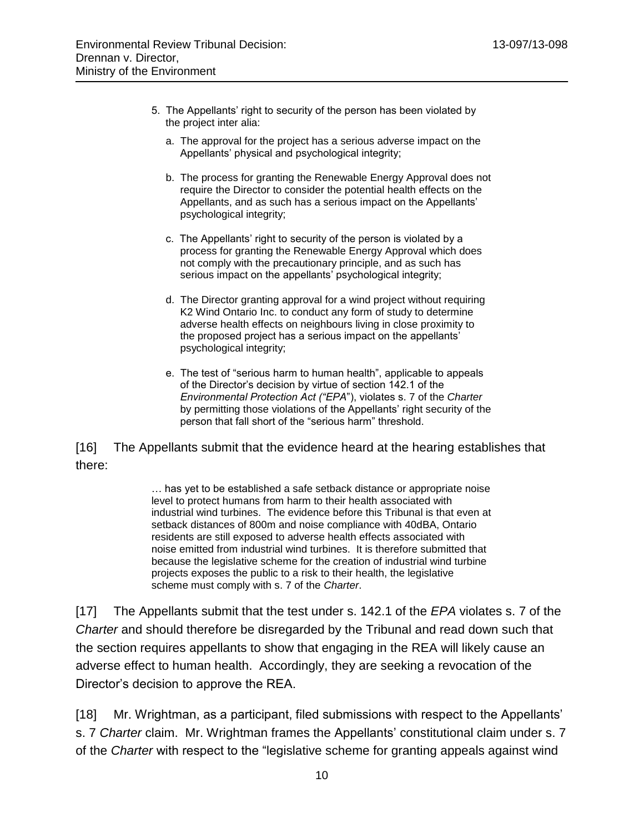- 5. The Appellants' right to security of the person has been violated by the project inter alia:
	- a. The approval for the project has a serious adverse impact on the Appellants' physical and psychological integrity;
	- b. The process for granting the Renewable Energy Approval does not require the Director to consider the potential health effects on the Appellants, and as such has a serious impact on the Appellants' psychological integrity;
	- c. The Appellants' right to security of the person is violated by a process for granting the Renewable Energy Approval which does not comply with the precautionary principle, and as such has serious impact on the appellants' psychological integrity;
	- d. The Director granting approval for a wind project without requiring K2 Wind Ontario Inc. to conduct any form of study to determine adverse health effects on neighbours living in close proximity to the proposed project has a serious impact on the appellants' psychological integrity;
	- e. The test of "serious harm to human health", applicable to appeals of the Director's decision by virtue of section 142.1 of the *Environmental Protection Act ("EPA*"), violates s. 7 of the *Charter* by permitting those violations of the Appellants' right security of the person that fall short of the "serious harm" threshold.

[16] The Appellants submit that the evidence heard at the hearing establishes that there:

> … has yet to be established a safe setback distance or appropriate noise level to protect humans from harm to their health associated with industrial wind turbines. The evidence before this Tribunal is that even at setback distances of 800m and noise compliance with 40dBA, Ontario residents are still exposed to adverse health effects associated with noise emitted from industrial wind turbines. It is therefore submitted that because the legislative scheme for the creation of industrial wind turbine projects exposes the public to a risk to their health, the legislative scheme must comply with s. 7 of the *Charter*.

[17] The Appellants submit that the test under s. 142.1 of the *EPA* violates s. 7 of the *Charter* and should therefore be disregarded by the Tribunal and read down such that the section requires appellants to show that engaging in the REA will likely cause an adverse effect to human health. Accordingly, they are seeking a revocation of the Director's decision to approve the REA.

[18] Mr. Wrightman, as a participant, filed submissions with respect to the Appellants' s. 7 *Charter* claim. Mr. Wrightman frames the Appellants' constitutional claim under s. 7 of the *Charter* with respect to the "legislative scheme for granting appeals against wind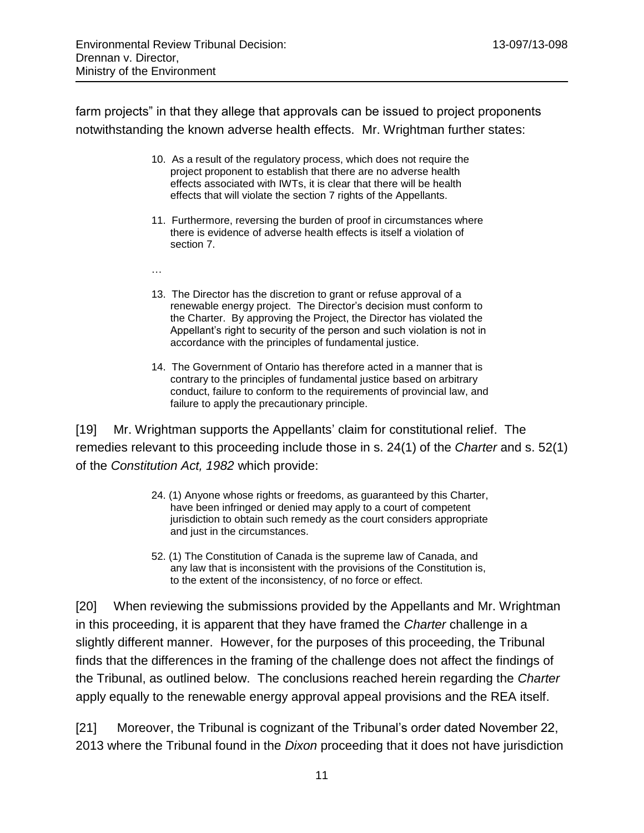farm projects" in that they allege that approvals can be issued to project proponents notwithstanding the known adverse health effects. Mr. Wrightman further states:

- 10. As a result of the regulatory process, which does not require the project proponent to establish that there are no adverse health effects associated with IWTs, it is clear that there will be health effects that will violate the section 7 rights of the Appellants.
- 11. Furthermore, reversing the burden of proof in circumstances where there is evidence of adverse health effects is itself a violation of section 7.
- …
- 13. The Director has the discretion to grant or refuse approval of a renewable energy project. The Director's decision must conform to the Charter. By approving the Project, the Director has violated the Appellant's right to security of the person and such violation is not in accordance with the principles of fundamental justice.
- 14. The Government of Ontario has therefore acted in a manner that is contrary to the principles of fundamental justice based on arbitrary conduct, failure to conform to the requirements of provincial law, and failure to apply the precautionary principle.

[19] Mr. Wrightman supports the Appellants' claim for constitutional relief. The remedies relevant to this proceeding include those in s. 24(1) of the *Charter* and s. 52(1) of the *Constitution Act, 1982* which provide:

- 24. (1) Anyone whose rights or freedoms, as guaranteed by this Charter, have been infringed or denied may apply to a court of competent jurisdiction to obtain such remedy as the court considers appropriate and just in the circumstances.
- 52. (1) The Constitution of Canada is the supreme law of Canada, and any law that is inconsistent with the provisions of the Constitution is, to the extent of the inconsistency, of no force or effect.

[20] When reviewing the submissions provided by the Appellants and Mr. Wrightman in this proceeding, it is apparent that they have framed the *Charter* challenge in a slightly different manner. However, for the purposes of this proceeding, the Tribunal finds that the differences in the framing of the challenge does not affect the findings of the Tribunal, as outlined below. The conclusions reached herein regarding the *Charter* apply equally to the renewable energy approval appeal provisions and the REA itself.

[21] Moreover, the Tribunal is cognizant of the Tribunal's order dated November 22, 2013 where the Tribunal found in the *Dixon* proceeding that it does not have jurisdiction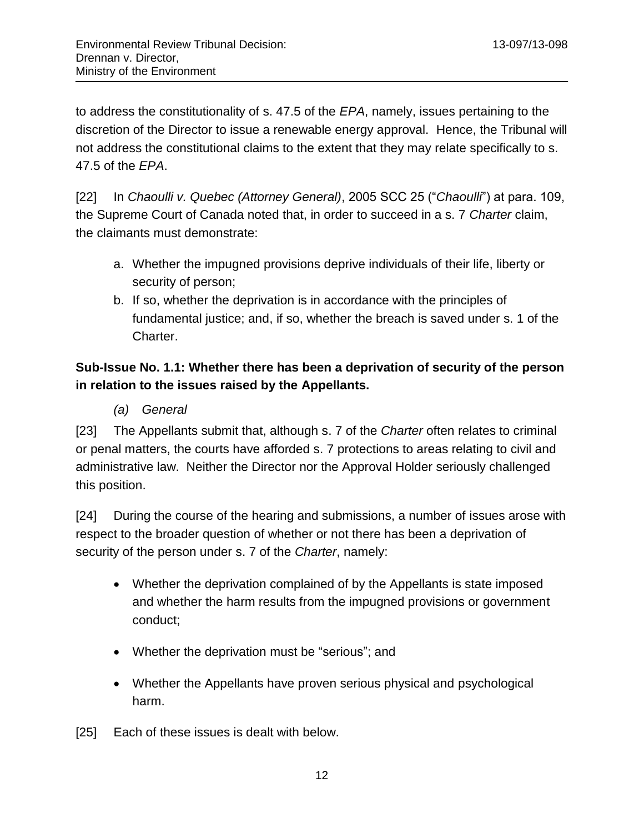to address the constitutionality of s. 47.5 of the *EPA*, namely, issues pertaining to the discretion of the Director to issue a renewable energy approval. Hence, the Tribunal will not address the constitutional claims to the extent that they may relate specifically to s. 47.5 of the *EPA*.

[22] In *Chaoulli v. Quebec (Attorney General)*, 2005 SCC 25 ("*Chaoulli*") at para. 109, the Supreme Court of Canada noted that, in order to succeed in a s. 7 *Charter* claim, the claimants must demonstrate:

- a. Whether the impugned provisions deprive individuals of their life, liberty or security of person;
- b. If so, whether the deprivation is in accordance with the principles of fundamental justice; and, if so, whether the breach is saved under s. 1 of the Charter.

# <span id="page-11-0"></span>**Sub-Issue No. 1.1: Whether there has been a deprivation of security of the person in relation to the issues raised by the Appellants.**

*(a) General*

<span id="page-11-1"></span>[23] The Appellants submit that, although s. 7 of the *Charter* often relates to criminal or penal matters, the courts have afforded s. 7 protections to areas relating to civil and administrative law. Neither the Director nor the Approval Holder seriously challenged this position.

[24] During the course of the hearing and submissions, a number of issues arose with respect to the broader question of whether or not there has been a deprivation of security of the person under s. 7 of the *Charter*, namely:

- Whether the deprivation complained of by the Appellants is state imposed and whether the harm results from the impugned provisions or government conduct;
- Whether the deprivation must be "serious"; and
- Whether the Appellants have proven serious physical and psychological harm.
- [25] Each of these issues is dealt with below.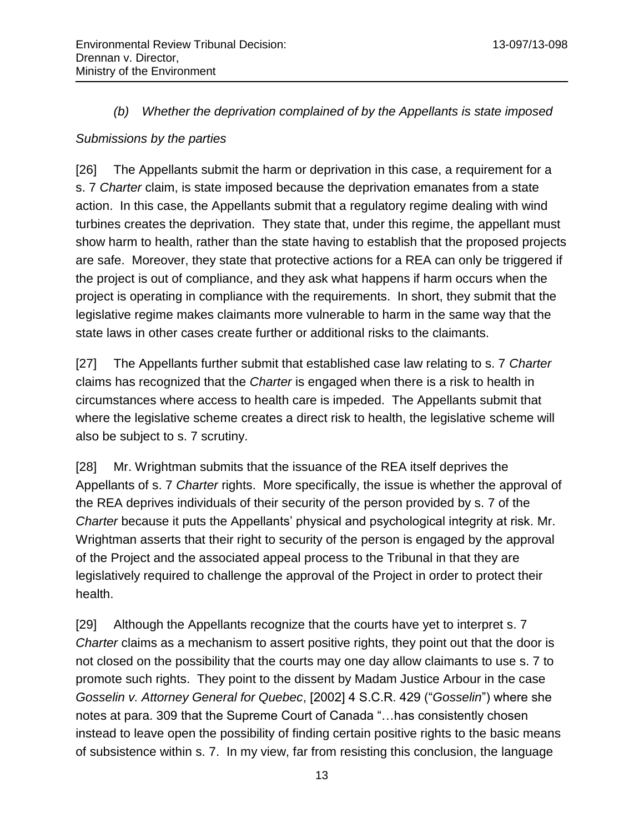#### *(b) Whether the deprivation complained of by the Appellants is state imposed*

#### <span id="page-12-1"></span><span id="page-12-0"></span>*Submissions by the parties*

[26] The Appellants submit the harm or deprivation in this case, a requirement for a s. 7 *Charter* claim, is state imposed because the deprivation emanates from a state action. In this case, the Appellants submit that a regulatory regime dealing with wind turbines creates the deprivation. They state that, under this regime, the appellant must show harm to health, rather than the state having to establish that the proposed projects are safe. Moreover, they state that protective actions for a REA can only be triggered if the project is out of compliance, and they ask what happens if harm occurs when the project is operating in compliance with the requirements. In short, they submit that the legislative regime makes claimants more vulnerable to harm in the same way that the state laws in other cases create further or additional risks to the claimants.

[27] The Appellants further submit that established case law relating to s. 7 *Charter* claims has recognized that the *Charter* is engaged when there is a risk to health in circumstances where access to health care is impeded. The Appellants submit that where the legislative scheme creates a direct risk to health, the legislative scheme will also be subject to s. 7 scrutiny.

[28] Mr. Wrightman submits that the issuance of the REA itself deprives the Appellants of s. 7 *Charter* rights. More specifically, the issue is whether the approval of the REA deprives individuals of their security of the person provided by s. 7 of the *Charter* because it puts the Appellants' physical and psychological integrity at risk. Mr. Wrightman asserts that their right to security of the person is engaged by the approval of the Project and the associated appeal process to the Tribunal in that they are legislatively required to challenge the approval of the Project in order to protect their health.

[29] Although the Appellants recognize that the courts have yet to interpret s. 7 *Charter* claims as a mechanism to assert positive rights, they point out that the door is not closed on the possibility that the courts may one day allow claimants to use s. 7 to promote such rights. They point to the dissent by Madam Justice Arbour in the case *Gosselin v. Attorney General for Quebec*, [2002] 4 S.C.R. 429 ("*Gosselin*") where she notes at para. 309 that the Supreme Court of Canada "…has consistently chosen instead to leave open the possibility of finding certain positive rights to the basic means of subsistence within s. 7. In my view, far from resisting this conclusion, the language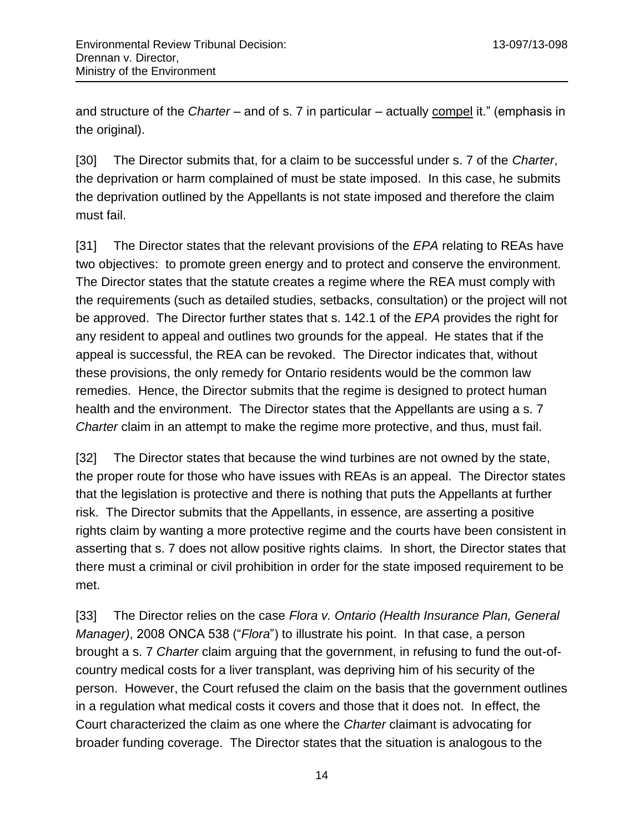and structure of the *Charter* – and of s. 7 in particular – actually compel it." (emphasis in the original).

[30] The Director submits that, for a claim to be successful under s. 7 of the *Charter*, the deprivation or harm complained of must be state imposed. In this case, he submits the deprivation outlined by the Appellants is not state imposed and therefore the claim must fail.

[31] The Director states that the relevant provisions of the *EPA* relating to REAs have two objectives: to promote green energy and to protect and conserve the environment. The Director states that the statute creates a regime where the REA must comply with the requirements (such as detailed studies, setbacks, consultation) or the project will not be approved. The Director further states that s. 142.1 of the *EPA* provides the right for any resident to appeal and outlines two grounds for the appeal. He states that if the appeal is successful, the REA can be revoked. The Director indicates that, without these provisions, the only remedy for Ontario residents would be the common law remedies. Hence, the Director submits that the regime is designed to protect human health and the environment. The Director states that the Appellants are using a s. 7 *Charter* claim in an attempt to make the regime more protective, and thus, must fail.

[32] The Director states that because the wind turbines are not owned by the state, the proper route for those who have issues with REAs is an appeal. The Director states that the legislation is protective and there is nothing that puts the Appellants at further risk. The Director submits that the Appellants, in essence, are asserting a positive rights claim by wanting a more protective regime and the courts have been consistent in asserting that s. 7 does not allow positive rights claims. In short, the Director states that there must a criminal or civil prohibition in order for the state imposed requirement to be met.

[33] The Director relies on the case *Flora v. Ontario (Health Insurance Plan, General Manager)*, 2008 ONCA 538 ("*Flora*") to illustrate his point. In that case, a person brought a s. 7 *Charter* claim arguing that the government, in refusing to fund the out-ofcountry medical costs for a liver transplant, was depriving him of his security of the person. However, the Court refused the claim on the basis that the government outlines in a regulation what medical costs it covers and those that it does not. In effect, the Court characterized the claim as one where the *Charter* claimant is advocating for broader funding coverage. The Director states that the situation is analogous to the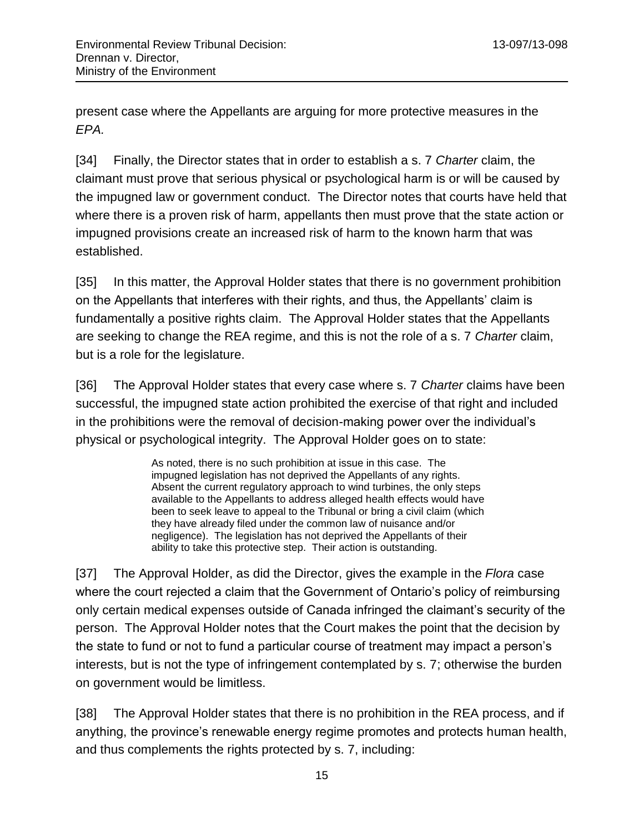present case where the Appellants are arguing for more protective measures in the *EPA.*

[34] Finally, the Director states that in order to establish a s. 7 *Charter* claim, the claimant must prove that serious physical or psychological harm is or will be caused by the impugned law or government conduct. The Director notes that courts have held that where there is a proven risk of harm, appellants then must prove that the state action or impugned provisions create an increased risk of harm to the known harm that was established.

[35] In this matter, the Approval Holder states that there is no government prohibition on the Appellants that interferes with their rights, and thus, the Appellants' claim is fundamentally a positive rights claim. The Approval Holder states that the Appellants are seeking to change the REA regime, and this is not the role of a s. 7 *Charter* claim, but is a role for the legislature.

[36] The Approval Holder states that every case where s. 7 *Charter* claims have been successful, the impugned state action prohibited the exercise of that right and included in the prohibitions were the removal of decision-making power over the individual's physical or psychological integrity. The Approval Holder goes on to state:

> As noted, there is no such prohibition at issue in this case. The impugned legislation has not deprived the Appellants of any rights. Absent the current regulatory approach to wind turbines, the only steps available to the Appellants to address alleged health effects would have been to seek leave to appeal to the Tribunal or bring a civil claim (which they have already filed under the common law of nuisance and/or negligence). The legislation has not deprived the Appellants of their ability to take this protective step. Their action is outstanding.

[37] The Approval Holder, as did the Director, gives the example in the *Flora* case where the court rejected a claim that the Government of Ontario's policy of reimbursing only certain medical expenses outside of Canada infringed the claimant's security of the person. The Approval Holder notes that the Court makes the point that the decision by the state to fund or not to fund a particular course of treatment may impact a person's interests, but is not the type of infringement contemplated by s. 7; otherwise the burden on government would be limitless.

[38] The Approval Holder states that there is no prohibition in the REA process, and if anything, the province's renewable energy regime promotes and protects human health, and thus complements the rights protected by s. 7, including: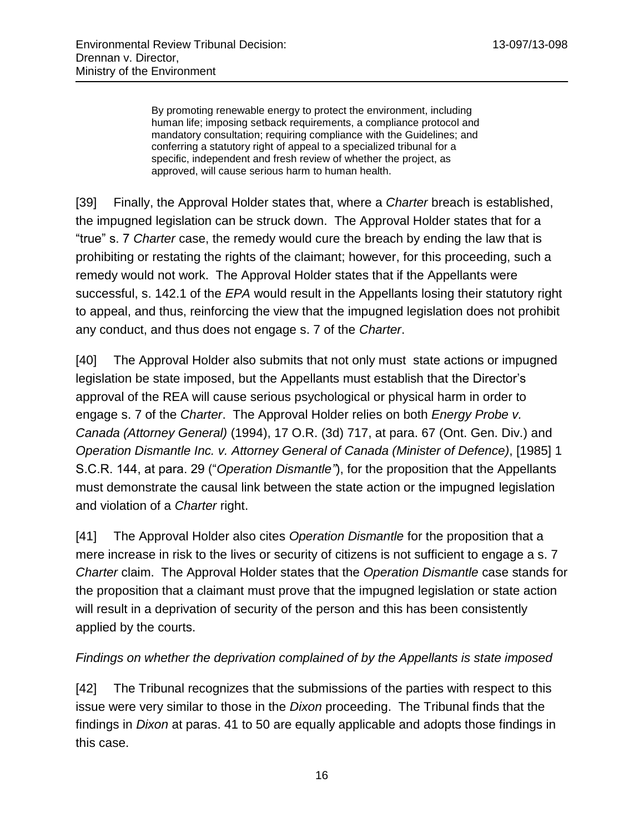By promoting renewable energy to protect the environment, including human life; imposing setback requirements, a compliance protocol and mandatory consultation; requiring compliance with the Guidelines; and conferring a statutory right of appeal to a specialized tribunal for a specific, independent and fresh review of whether the project, as approved, will cause serious harm to human health.

[39] Finally, the Approval Holder states that, where a *Charter* breach is established, the impugned legislation can be struck down. The Approval Holder states that for a "true" s. 7 *Charter* case, the remedy would cure the breach by ending the law that is prohibiting or restating the rights of the claimant; however, for this proceeding, such a remedy would not work. The Approval Holder states that if the Appellants were successful, s. 142.1 of the *EPA* would result in the Appellants losing their statutory right to appeal, and thus, reinforcing the view that the impugned legislation does not prohibit any conduct, and thus does not engage s. 7 of the *Charter*.

[40] The Approval Holder also submits that not only must state actions or impugned legislation be state imposed, but the Appellants must establish that the Director's approval of the REA will cause serious psychological or physical harm in order to engage s. 7 of the *Charter*. The Approval Holder relies on both *Energy Probe v. Canada (Attorney General)* (1994), 17 O.R. (3d) 717, at para. 67 (Ont. Gen. Div.) and *Operation Dismantle Inc. v. Attorney General of Canada (Minister of Defence)*, [1985] 1 S.C.R. 144, at para. 29 ("*Operation Dismantle"*), for the proposition that the Appellants must demonstrate the causal link between the state action or the impugned legislation and violation of a *Charter* right.

[41] The Approval Holder also cites *Operation Dismantle* for the proposition that a mere increase in risk to the lives or security of citizens is not sufficient to engage a s. 7 *Charter* claim. The Approval Holder states that the *Operation Dismantle* case stands for the proposition that a claimant must prove that the impugned legislation or state action will result in a deprivation of security of the person and this has been consistently applied by the courts.

#### <span id="page-15-0"></span>*Findings on whether the deprivation complained of by the Appellants is state imposed*

[42] The Tribunal recognizes that the submissions of the parties with respect to this issue were very similar to those in the *Dixon* proceeding. The Tribunal finds that the findings in *Dixon* at paras. 41 to 50 are equally applicable and adopts those findings in this case.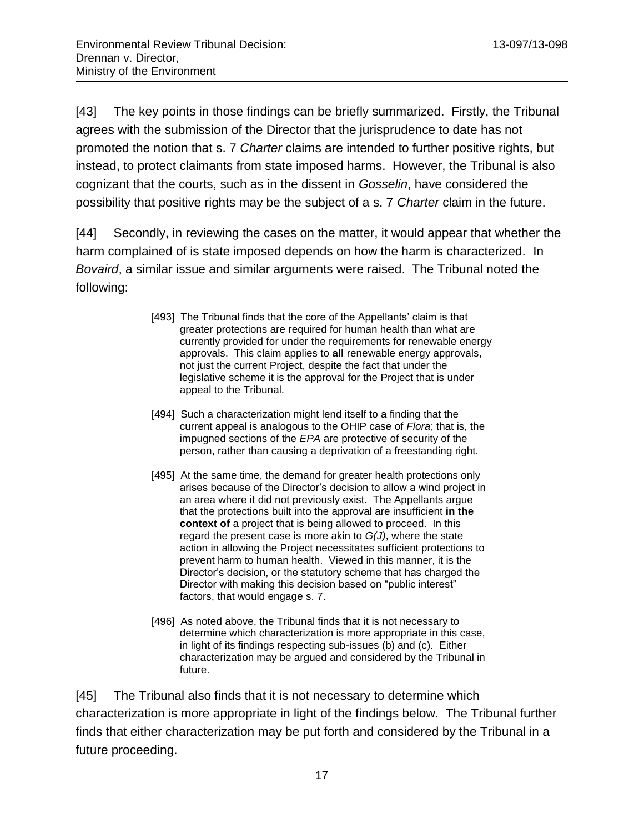[43] The key points in those findings can be briefly summarized. Firstly, the Tribunal agrees with the submission of the Director that the jurisprudence to date has not promoted the notion that s. 7 *Charter* claims are intended to further positive rights, but instead, to protect claimants from state imposed harms. However, the Tribunal is also cognizant that the courts, such as in the dissent in *Gosselin*, have considered the possibility that positive rights may be the subject of a s. 7 *Charter* claim in the future.

[44] Secondly, in reviewing the cases on the matter, it would appear that whether the harm complained of is state imposed depends on how the harm is characterized. In *Bovaird*, a similar issue and similar arguments were raised. The Tribunal noted the following:

- [493] The Tribunal finds that the core of the Appellants' claim is that greater protections are required for human health than what are currently provided for under the requirements for renewable energy approvals. This claim applies to **all** renewable energy approvals, not just the current Project, despite the fact that under the legislative scheme it is the approval for the Project that is under appeal to the Tribunal.
- [494] Such a characterization might lend itself to a finding that the current appeal is analogous to the OHIP case of *Flora*; that is, the impugned sections of the *EPA* are protective of security of the person, rather than causing a deprivation of a freestanding right.
- [495] At the same time, the demand for greater health protections only arises because of the Director's decision to allow a wind project in an area where it did not previously exist. The Appellants argue that the protections built into the approval are insufficient **in the context of** a project that is being allowed to proceed. In this regard the present case is more akin to *G(J)*, where the state action in allowing the Project necessitates sufficient protections to prevent harm to human health. Viewed in this manner, it is the Director's decision, or the statutory scheme that has charged the Director with making this decision based on "public interest" factors, that would engage s. 7.
- [496] As noted above, the Tribunal finds that it is not necessary to determine which characterization is more appropriate in this case, in light of its findings respecting sub-issues (b) and (c). Either characterization may be argued and considered by the Tribunal in future.

[45] The Tribunal also finds that it is not necessary to determine which characterization is more appropriate in light of the findings below. The Tribunal further finds that either characterization may be put forth and considered by the Tribunal in a future proceeding.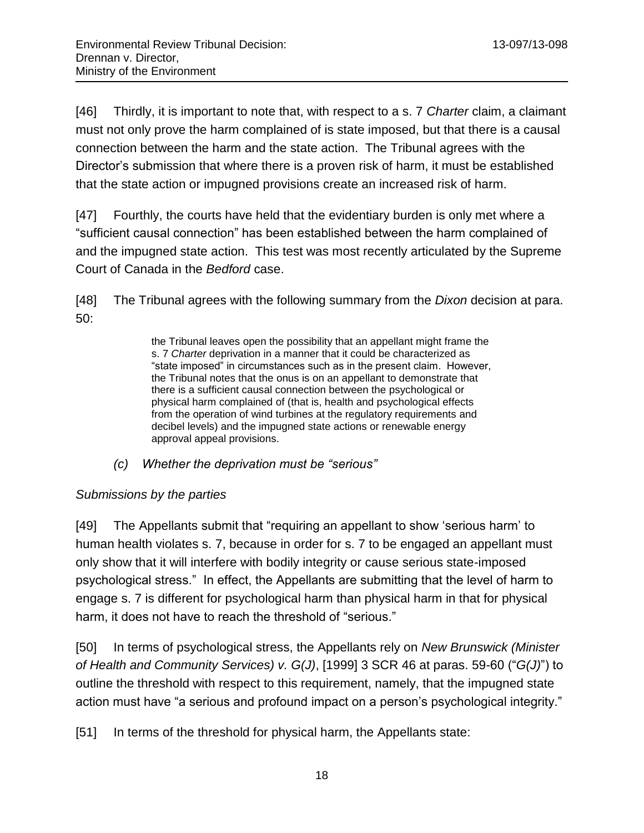[46] Thirdly, it is important to note that, with respect to a s. 7 *Charter* claim, a claimant must not only prove the harm complained of is state imposed, but that there is a causal connection between the harm and the state action. The Tribunal agrees with the Director's submission that where there is a proven risk of harm, it must be established that the state action or impugned provisions create an increased risk of harm.

[47] Fourthly, the courts have held that the evidentiary burden is only met where a "sufficient causal connection" has been established between the harm complained of and the impugned state action. This test was most recently articulated by the Supreme Court of Canada in the *Bedford* case.

[48] The Tribunal agrees with the following summary from the *Dixon* decision at para. 50:

> the Tribunal leaves open the possibility that an appellant might frame the s. 7 *Charter* deprivation in a manner that it could be characterized as "state imposed" in circumstances such as in the present claim. However, the Tribunal notes that the onus is on an appellant to demonstrate that there is a sufficient causal connection between the psychological or physical harm complained of (that is, health and psychological effects from the operation of wind turbines at the regulatory requirements and decibel levels) and the impugned state actions or renewable energy approval appeal provisions.

*(c) Whether the deprivation must be "serious"*

## <span id="page-17-1"></span><span id="page-17-0"></span>*Submissions by the parties*

[49] The Appellants submit that "requiring an appellant to show 'serious harm' to human health violates s. 7, because in order for s. 7 to be engaged an appellant must only show that it will interfere with bodily integrity or cause serious state-imposed psychological stress." In effect, the Appellants are submitting that the level of harm to engage s. 7 is different for psychological harm than physical harm in that for physical harm, it does not have to reach the threshold of "serious."

[50] In terms of psychological stress, the Appellants rely on *New Brunswick (Minister of Health and Community Services) v. G(J)*, [1999] 3 SCR 46 at paras. 59-60 ("*G(J)*") to outline the threshold with respect to this requirement, namely, that the impugned state action must have "a serious and profound impact on a person's psychological integrity."

[51] In terms of the threshold for physical harm, the Appellants state: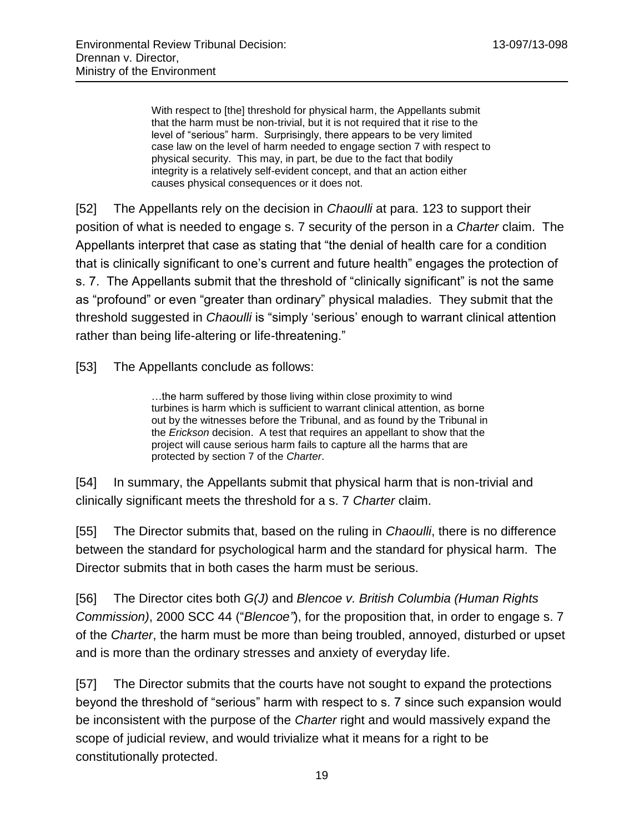With respect to [the] threshold for physical harm, the Appellants submit that the harm must be non-trivial, but it is not required that it rise to the level of "serious" harm. Surprisingly, there appears to be very limited case law on the level of harm needed to engage section 7 with respect to physical security. This may, in part, be due to the fact that bodily integrity is a relatively self-evident concept, and that an action either causes physical consequences or it does not.

[52] The Appellants rely on the decision in *Chaoulli* at para. 123 to support their position of what is needed to engage s. 7 security of the person in a *Charter* claim. The Appellants interpret that case as stating that "the denial of health care for a condition that is clinically significant to one's current and future health" engages the protection of s. 7. The Appellants submit that the threshold of "clinically significant" is not the same as "profound" or even "greater than ordinary" physical maladies. They submit that the threshold suggested in *Chaoulli* is "simply 'serious' enough to warrant clinical attention rather than being life-altering or life-threatening."

[53] The Appellants conclude as follows:

…the harm suffered by those living within close proximity to wind turbines is harm which is sufficient to warrant clinical attention, as borne out by the witnesses before the Tribunal, and as found by the Tribunal in the *Erickson* decision. A test that requires an appellant to show that the project will cause serious harm fails to capture all the harms that are protected by section 7 of the *Charter*.

[54] In summary, the Appellants submit that physical harm that is non-trivial and clinically significant meets the threshold for a s. 7 *Charter* claim.

[55] The Director submits that, based on the ruling in *Chaoulli*, there is no difference between the standard for psychological harm and the standard for physical harm. The Director submits that in both cases the harm must be serious.

[56] The Director cites both *G(J)* and *Blencoe v. British Columbia (Human Rights Commission)*, 2000 SCC 44 ("*Blencoe"*), for the proposition that, in order to engage s. 7 of the *Charter*, the harm must be more than being troubled, annoyed, disturbed or upset and is more than the ordinary stresses and anxiety of everyday life.

[57] The Director submits that the courts have not sought to expand the protections beyond the threshold of "serious" harm with respect to s. 7 since such expansion would be inconsistent with the purpose of the *Charter* right and would massively expand the scope of judicial review, and would trivialize what it means for a right to be constitutionally protected.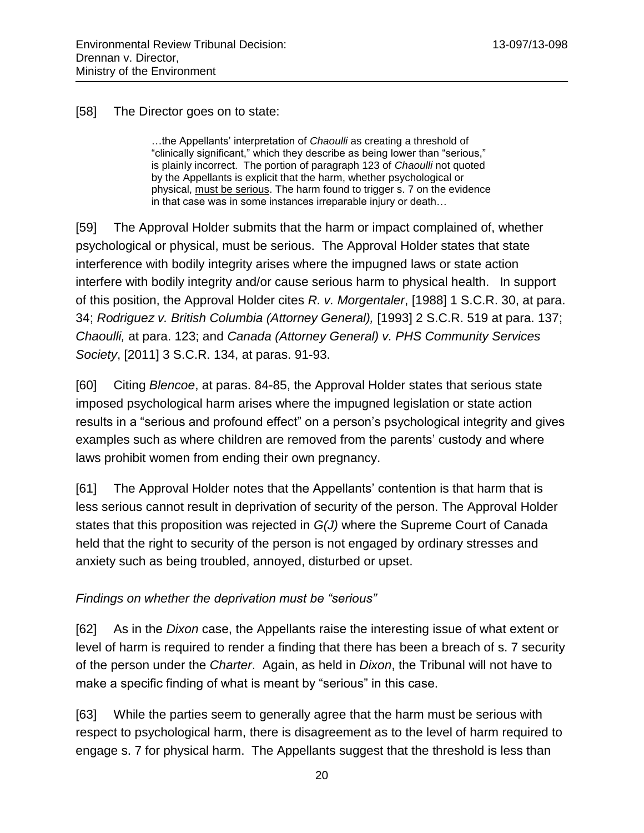#### [58] The Director goes on to state:

…the Appellants' interpretation of *Chaoulli* as creating a threshold of "clinically significant," which they describe as being lower than "serious," is plainly incorrect. The portion of paragraph 123 of *Chaoulli* not quoted by the Appellants is explicit that the harm, whether psychological or physical, must be serious. The harm found to trigger s. 7 on the evidence in that case was in some instances irreparable injury or death…

[59] The Approval Holder submits that the harm or impact complained of, whether psychological or physical, must be serious. The Approval Holder states that state interference with bodily integrity arises where the impugned laws or state action interfere with bodily integrity and/or cause serious harm to physical health. In support of this position, the Approval Holder cites *R. v. Morgentaler*, [1988] 1 S.C.R. 30, at para. 34; *Rodriguez v. British Columbia (Attorney General),* [1993] 2 S.C.R. 519 at para. 137; *Chaoulli,* at para. 123; and *Canada (Attorney General) v. PHS Community Services Society*, [2011] 3 S.C.R. 134, at paras. 91-93.

[60] Citing *Blencoe*, at paras. 84-85, the Approval Holder states that serious state imposed psychological harm arises where the impugned legislation or state action results in a "serious and profound effect" on a person's psychological integrity and gives examples such as where children are removed from the parents' custody and where laws prohibit women from ending their own pregnancy.

[61] The Approval Holder notes that the Appellants' contention is that harm that is less serious cannot result in deprivation of security of the person. The Approval Holder states that this proposition was rejected in *G(J)* where the Supreme Court of Canada held that the right to security of the person is not engaged by ordinary stresses and anxiety such as being troubled, annoyed, disturbed or upset.

#### <span id="page-19-0"></span>*Findings on whether the deprivation must be "serious"*

[62] As in the *Dixon* case, the Appellants raise the interesting issue of what extent or level of harm is required to render a finding that there has been a breach of s. 7 security of the person under the *Charter*. Again, as held in *Dixon*, the Tribunal will not have to make a specific finding of what is meant by "serious" in this case.

[63] While the parties seem to generally agree that the harm must be serious with respect to psychological harm, there is disagreement as to the level of harm required to engage s. 7 for physical harm. The Appellants suggest that the threshold is less than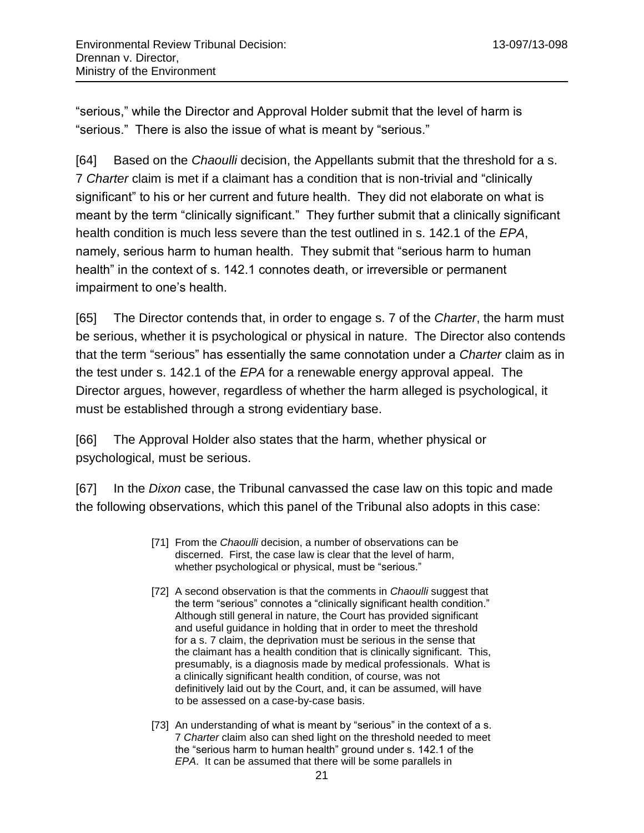"serious," while the Director and Approval Holder submit that the level of harm is "serious." There is also the issue of what is meant by "serious."

[64] Based on the *Chaoulli* decision, the Appellants submit that the threshold for a s. 7 *Charter* claim is met if a claimant has a condition that is non-trivial and "clinically significant" to his or her current and future health. They did not elaborate on what is meant by the term "clinically significant." They further submit that a clinically significant health condition is much less severe than the test outlined in s. 142.1 of the *EPA*, namely, serious harm to human health. They submit that "serious harm to human health" in the context of s. 142.1 connotes death, or irreversible or permanent impairment to one's health.

[65] The Director contends that, in order to engage s. 7 of the *Charter*, the harm must be serious, whether it is psychological or physical in nature. The Director also contends that the term "serious" has essentially the same connotation under a *Charter* claim as in the test under s. 142.1 of the *EPA* for a renewable energy approval appeal. The Director argues, however, regardless of whether the harm alleged is psychological, it must be established through a strong evidentiary base.

[66] The Approval Holder also states that the harm, whether physical or psychological, must be serious.

[67] In the *Dixon* case, the Tribunal canvassed the case law on this topic and made the following observations, which this panel of the Tribunal also adopts in this case:

- [71] From the *Chaoulli* decision, a number of observations can be discerned. First, the case law is clear that the level of harm, whether psychological or physical, must be "serious."
- [72] A second observation is that the comments in *Chaoulli* suggest that the term "serious" connotes a "clinically significant health condition." Although still general in nature, the Court has provided significant and useful guidance in holding that in order to meet the threshold for a s. 7 claim, the deprivation must be serious in the sense that the claimant has a health condition that is clinically significant. This, presumably, is a diagnosis made by medical professionals. What is a clinically significant health condition, of course, was not definitively laid out by the Court, and, it can be assumed, will have to be assessed on a case-by-case basis.
- [73] An understanding of what is meant by "serious" in the context of a s. 7 *Charter* claim also can shed light on the threshold needed to meet the "serious harm to human health" ground under s. 142.1 of the *EPA*. It can be assumed that there will be some parallels in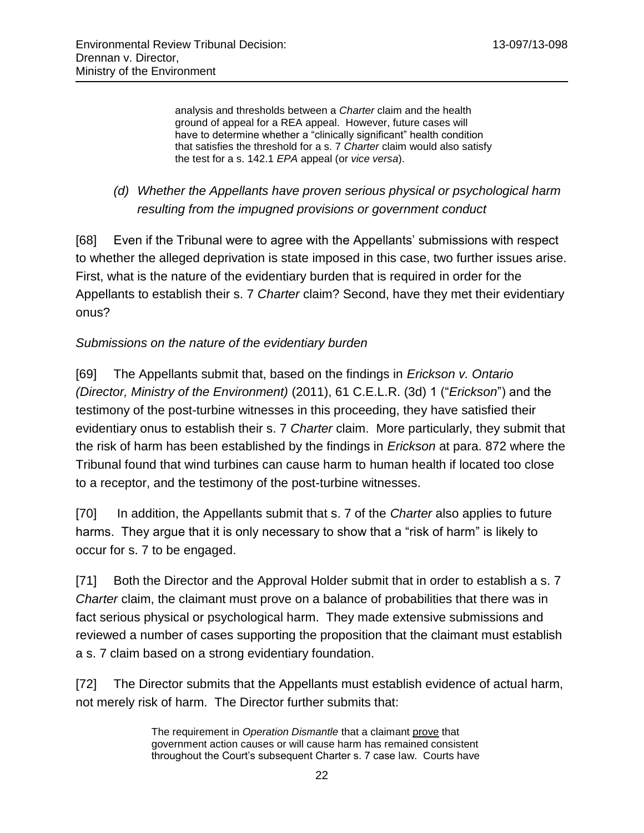analysis and thresholds between a *Charter* claim and the health ground of appeal for a REA appeal. However, future cases will have to determine whether a "clinically significant" health condition that satisfies the threshold for a s. 7 *Charter* claim would also satisfy the test for a s. 142.1 *EPA* appeal (or *vice versa*).

# <span id="page-21-0"></span>*(d) Whether the Appellants have proven serious physical or psychological harm resulting from the impugned provisions or government conduct*

[68] Even if the Tribunal were to agree with the Appellants' submissions with respect to whether the alleged deprivation is state imposed in this case, two further issues arise. First, what is the nature of the evidentiary burden that is required in order for the Appellants to establish their s. 7 *Charter* claim? Second, have they met their evidentiary onus?

## <span id="page-21-1"></span>*Submissions on the nature of the evidentiary burden*

[69] The Appellants submit that, based on the findings in *Erickson v. Ontario (Director, Ministry of the Environment)* (2011), 61 C.E.L.R. (3d) 1 ("*Erickson*") and the testimony of the post-turbine witnesses in this proceeding, they have satisfied their evidentiary onus to establish their s. 7 *Charter* claim. More particularly, they submit that the risk of harm has been established by the findings in *Erickson* at para. 872 where the Tribunal found that wind turbines can cause harm to human health if located too close to a receptor, and the testimony of the post-turbine witnesses.

[70] In addition, the Appellants submit that s. 7 of the *Charter* also applies to future harms. They argue that it is only necessary to show that a "risk of harm" is likely to occur for s. 7 to be engaged.

[71] Both the Director and the Approval Holder submit that in order to establish a s. 7 *Charter* claim, the claimant must prove on a balance of probabilities that there was in fact serious physical or psychological harm. They made extensive submissions and reviewed a number of cases supporting the proposition that the claimant must establish a s. 7 claim based on a strong evidentiary foundation.

[72] The Director submits that the Appellants must establish evidence of actual harm, not merely risk of harm. The Director further submits that:

> The requirement in *Operation Dismantle* that a claimant prove that government action causes or will cause harm has remained consistent throughout the Court's subsequent Charter s. 7 case law. Courts have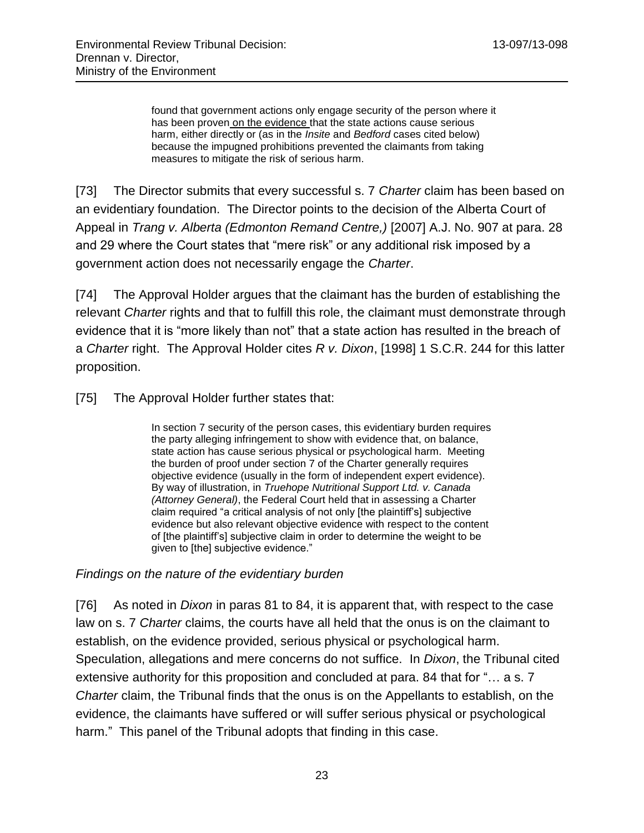found that government actions only engage security of the person where it has been proven on the evidence that the state actions cause serious harm, either directly or (as in the *Insite* and *Bedford* cases cited below) because the impugned prohibitions prevented the claimants from taking measures to mitigate the risk of serious harm.

[73] The Director submits that every successful s. 7 *Charter* claim has been based on an evidentiary foundation. The Director points to the decision of the Alberta Court of Appeal in *Trang v. Alberta (Edmonton Remand Centre,)* [2007] A.J. No. 907 at para. 28 and 29 where the Court states that "mere risk" or any additional risk imposed by a government action does not necessarily engage the *Charter*.

[74] The Approval Holder argues that the claimant has the burden of establishing the relevant *Charter* rights and that to fulfill this role, the claimant must demonstrate through evidence that it is "more likely than not" that a state action has resulted in the breach of a *Charter* right. The Approval Holder cites *R v. Dixon*, [1998] 1 S.C.R. 244 for this latter proposition.

[75] The Approval Holder further states that:

In section 7 security of the person cases, this evidentiary burden requires the party alleging infringement to show with evidence that, on balance, state action has cause serious physical or psychological harm. Meeting the burden of proof under section 7 of the Charter generally requires objective evidence (usually in the form of independent expert evidence). By way of illustration, in *Truehope Nutritional Support Ltd. v. Canada (Attorney General)*, the Federal Court held that in assessing a Charter claim required "a critical analysis of not only [the plaintiff's] subjective evidence but also relevant objective evidence with respect to the content of [the plaintiff's] subjective claim in order to determine the weight to be given to [the] subjective evidence."

<span id="page-22-0"></span>*Findings on the nature of the evidentiary burden*

[76] As noted in *Dixon* in paras 81 to 84, it is apparent that, with respect to the case law on s. 7 *Charter* claims, the courts have all held that the onus is on the claimant to establish, on the evidence provided, serious physical or psychological harm. Speculation, allegations and mere concerns do not suffice. In *Dixon*, the Tribunal cited extensive authority for this proposition and concluded at para. 84 that for "… a s. 7 *Charter* claim, the Tribunal finds that the onus is on the Appellants to establish, on the evidence, the claimants have suffered or will suffer serious physical or psychological harm." This panel of the Tribunal adopts that finding in this case.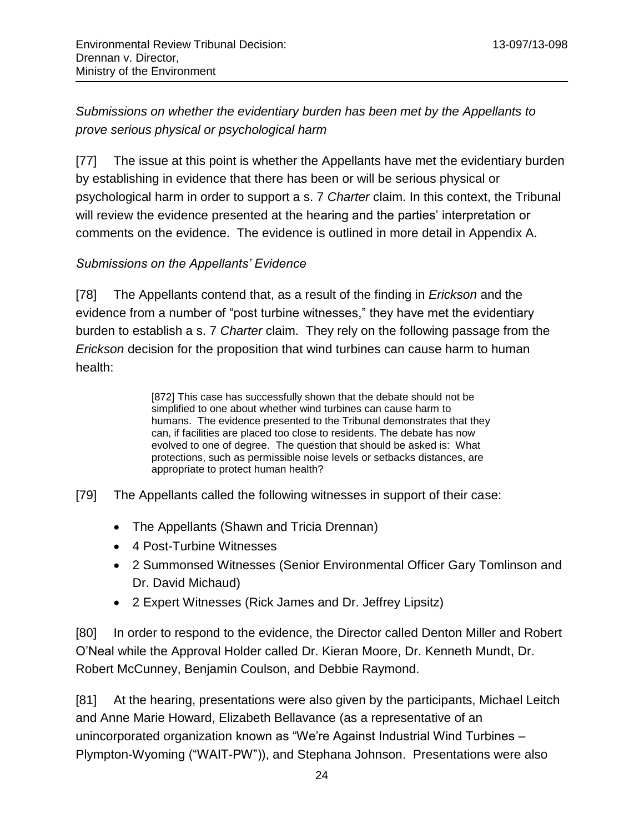<span id="page-23-0"></span>*Submissions on whether the evidentiary burden has been met by the Appellants to prove serious physical or psychological harm* 

[77] The issue at this point is whether the Appellants have met the evidentiary burden by establishing in evidence that there has been or will be serious physical or psychological harm in order to support a s. 7 *Charter* claim. In this context, the Tribunal will review the evidence presented at the hearing and the parties' interpretation or comments on the evidence. The evidence is outlined in more detail in Appendix A.

## <span id="page-23-1"></span>*Submissions on the Appellants' Evidence*

[78] The Appellants contend that, as a result of the finding in *Erickson* and the evidence from a number of "post turbine witnesses," they have met the evidentiary burden to establish a s. 7 *Charter* claim. They rely on the following passage from the *Erickson* decision for the proposition that wind turbines can cause harm to human health:

> [872] This case has successfully shown that the debate should not be simplified to one about whether wind turbines can cause harm to humans. The evidence presented to the Tribunal demonstrates that they can, if facilities are placed too close to residents. The debate has now evolved to one of degree. The question that should be asked is: What protections, such as permissible noise levels or setbacks distances, are appropriate to protect human health?

[79] The Appellants called the following witnesses in support of their case:

- The Appellants (Shawn and Tricia Drennan)
- 4 Post-Turbine Witnesses
- 2 Summonsed Witnesses (Senior Environmental Officer Gary Tomlinson and Dr. David Michaud)
- 2 Expert Witnesses (Rick James and Dr. Jeffrey Lipsitz)

[80] In order to respond to the evidence, the Director called Denton Miller and Robert O'Neal while the Approval Holder called Dr. Kieran Moore, Dr. Kenneth Mundt, Dr. Robert McCunney, Benjamin Coulson, and Debbie Raymond.

[81] At the hearing, presentations were also given by the participants, Michael Leitch and Anne Marie Howard, Elizabeth Bellavance (as a representative of an unincorporated organization known as "We're Against Industrial Wind Turbines – Plympton-Wyoming ("WAIT-PW")), and Stephana Johnson. Presentations were also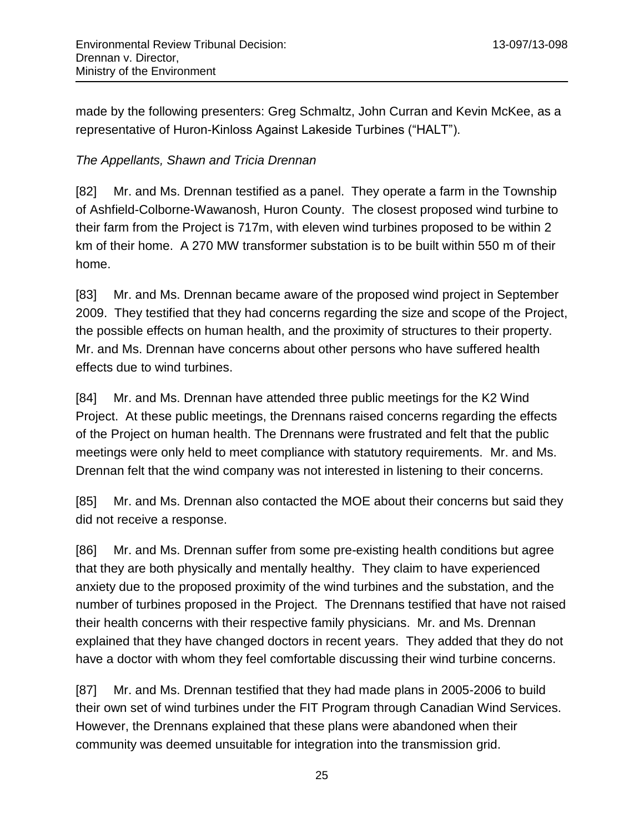made by the following presenters: Greg Schmaltz, John Curran and Kevin McKee, as a representative of Huron-Kinloss Against Lakeside Turbines ("HALT").

## <span id="page-24-0"></span>*The Appellants, Shawn and Tricia Drennan*

[82] Mr. and Ms. Drennan testified as a panel. They operate a farm in the Township of Ashfield-Colborne-Wawanosh, Huron County. The closest proposed wind turbine to their farm from the Project is 717m, with eleven wind turbines proposed to be within 2 km of their home. A 270 MW transformer substation is to be built within 550 m of their home.

[83] Mr. and Ms. Drennan became aware of the proposed wind project in September 2009. They testified that they had concerns regarding the size and scope of the Project, the possible effects on human health, and the proximity of structures to their property. Mr. and Ms. Drennan have concerns about other persons who have suffered health effects due to wind turbines.

[84] Mr. and Ms. Drennan have attended three public meetings for the K2 Wind Project. At these public meetings, the Drennans raised concerns regarding the effects of the Project on human health. The Drennans were frustrated and felt that the public meetings were only held to meet compliance with statutory requirements. Mr. and Ms. Drennan felt that the wind company was not interested in listening to their concerns.

[85] Mr. and Ms. Drennan also contacted the MOE about their concerns but said they did not receive a response.

[86] Mr. and Ms. Drennan suffer from some pre-existing health conditions but agree that they are both physically and mentally healthy. They claim to have experienced anxiety due to the proposed proximity of the wind turbines and the substation, and the number of turbines proposed in the Project. The Drennans testified that have not raised their health concerns with their respective family physicians. Mr. and Ms. Drennan explained that they have changed doctors in recent years. They added that they do not have a doctor with whom they feel comfortable discussing their wind turbine concerns.

[87] Mr. and Ms. Drennan testified that they had made plans in 2005-2006 to build their own set of wind turbines under the FIT Program through Canadian Wind Services. However, the Drennans explained that these plans were abandoned when their community was deemed unsuitable for integration into the transmission grid.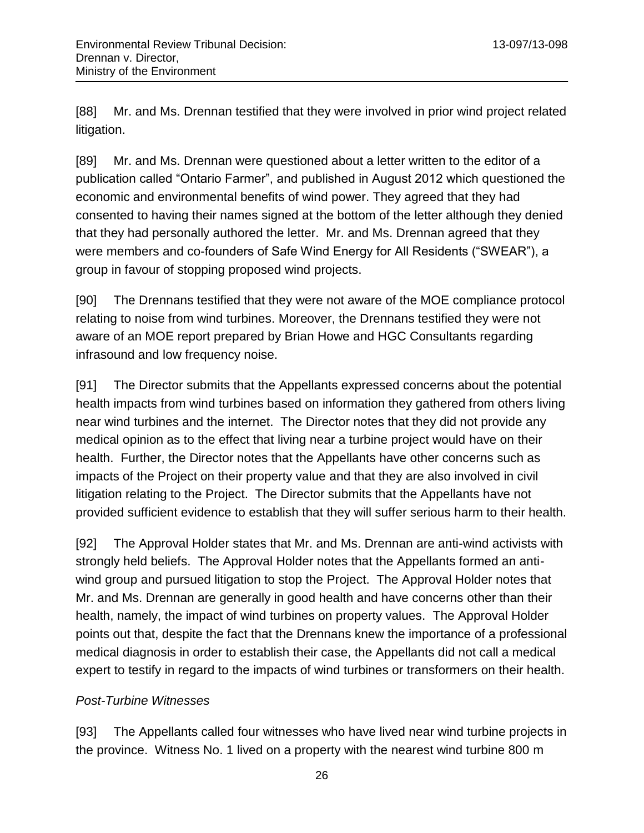[88] Mr. and Ms. Drennan testified that they were involved in prior wind project related litigation.

[89] Mr. and Ms. Drennan were questioned about a letter written to the editor of a publication called "Ontario Farmer", and published in August 2012 which questioned the economic and environmental benefits of wind power. They agreed that they had consented to having their names signed at the bottom of the letter although they denied that they had personally authored the letter. Mr. and Ms. Drennan agreed that they were members and co-founders of Safe Wind Energy for All Residents ("SWEAR"), a group in favour of stopping proposed wind projects.

[90] The Drennans testified that they were not aware of the MOE compliance protocol relating to noise from wind turbines. Moreover, the Drennans testified they were not aware of an MOE report prepared by Brian Howe and HGC Consultants regarding infrasound and low frequency noise.

[91] The Director submits that the Appellants expressed concerns about the potential health impacts from wind turbines based on information they gathered from others living near wind turbines and the internet. The Director notes that they did not provide any medical opinion as to the effect that living near a turbine project would have on their health. Further, the Director notes that the Appellants have other concerns such as impacts of the Project on their property value and that they are also involved in civil litigation relating to the Project. The Director submits that the Appellants have not provided sufficient evidence to establish that they will suffer serious harm to their health.

[92] The Approval Holder states that Mr. and Ms. Drennan are anti-wind activists with strongly held beliefs. The Approval Holder notes that the Appellants formed an antiwind group and pursued litigation to stop the Project. The Approval Holder notes that Mr. and Ms. Drennan are generally in good health and have concerns other than their health, namely, the impact of wind turbines on property values. The Approval Holder points out that, despite the fact that the Drennans knew the importance of a professional medical diagnosis in order to establish their case, the Appellants did not call a medical expert to testify in regard to the impacts of wind turbines or transformers on their health.

## <span id="page-25-0"></span>*Post-Turbine Witnesses*

[93] The Appellants called four witnesses who have lived near wind turbine projects in the province. Witness No. 1 lived on a property with the nearest wind turbine 800 m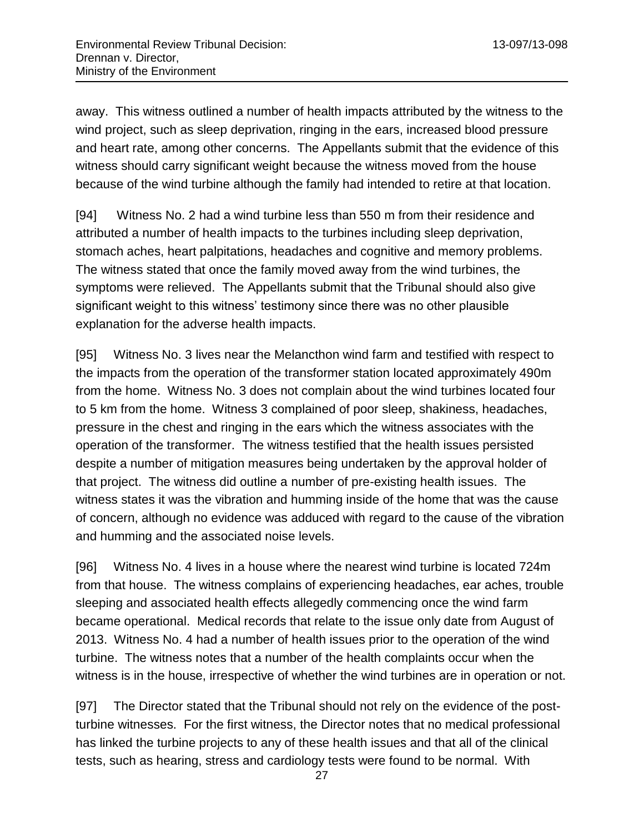away. This witness outlined a number of health impacts attributed by the witness to the wind project, such as sleep deprivation, ringing in the ears, increased blood pressure and heart rate, among other concerns. The Appellants submit that the evidence of this witness should carry significant weight because the witness moved from the house because of the wind turbine although the family had intended to retire at that location.

[94] Witness No. 2 had a wind turbine less than 550 m from their residence and attributed a number of health impacts to the turbines including sleep deprivation, stomach aches, heart palpitations, headaches and cognitive and memory problems. The witness stated that once the family moved away from the wind turbines, the symptoms were relieved. The Appellants submit that the Tribunal should also give significant weight to this witness' testimony since there was no other plausible explanation for the adverse health impacts.

[95] Witness No. 3 lives near the Melancthon wind farm and testified with respect to the impacts from the operation of the transformer station located approximately 490m from the home. Witness No. 3 does not complain about the wind turbines located four to 5 km from the home. Witness 3 complained of poor sleep, shakiness, headaches, pressure in the chest and ringing in the ears which the witness associates with the operation of the transformer. The witness testified that the health issues persisted despite a number of mitigation measures being undertaken by the approval holder of that project. The witness did outline a number of pre-existing health issues. The witness states it was the vibration and humming inside of the home that was the cause of concern, although no evidence was adduced with regard to the cause of the vibration and humming and the associated noise levels.

[96] Witness No. 4 lives in a house where the nearest wind turbine is located 724m from that house. The witness complains of experiencing headaches, ear aches, trouble sleeping and associated health effects allegedly commencing once the wind farm became operational. Medical records that relate to the issue only date from August of 2013. Witness No. 4 had a number of health issues prior to the operation of the wind turbine. The witness notes that a number of the health complaints occur when the witness is in the house, irrespective of whether the wind turbines are in operation or not.

[97] The Director stated that the Tribunal should not rely on the evidence of the postturbine witnesses. For the first witness, the Director notes that no medical professional has linked the turbine projects to any of these health issues and that all of the clinical tests, such as hearing, stress and cardiology tests were found to be normal. With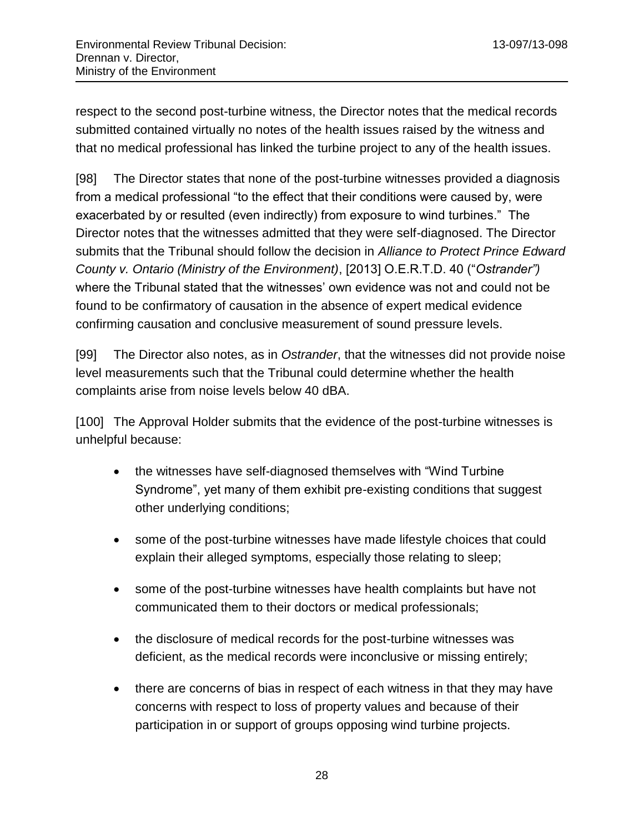respect to the second post-turbine witness, the Director notes that the medical records submitted contained virtually no notes of the health issues raised by the witness and that no medical professional has linked the turbine project to any of the health issues.

[98] The Director states that none of the post-turbine witnesses provided a diagnosis from a medical professional "to the effect that their conditions were caused by, were exacerbated by or resulted (even indirectly) from exposure to wind turbines." The Director notes that the witnesses admitted that they were self-diagnosed. The Director submits that the Tribunal should follow the decision in *Alliance to Protect Prince Edward County v. Ontario (Ministry of the Environment)*, [2013] O.E.R.T.D. 40 ("*Ostrander")* where the Tribunal stated that the witnesses' own evidence was not and could not be found to be confirmatory of causation in the absence of expert medical evidence confirming causation and conclusive measurement of sound pressure levels.

[99] The Director also notes, as in *Ostrander*, that the witnesses did not provide noise level measurements such that the Tribunal could determine whether the health complaints arise from noise levels below 40 dBA.

[100] The Approval Holder submits that the evidence of the post-turbine witnesses is unhelpful because:

- the witnesses have self-diagnosed themselves with "Wind Turbine Syndrome", yet many of them exhibit pre-existing conditions that suggest other underlying conditions;
- some of the post-turbine witnesses have made lifestyle choices that could explain their alleged symptoms, especially those relating to sleep;
- some of the post-turbine witnesses have health complaints but have not communicated them to their doctors or medical professionals;
- the disclosure of medical records for the post-turbine witnesses was deficient, as the medical records were inconclusive or missing entirely;
- there are concerns of bias in respect of each witness in that they may have concerns with respect to loss of property values and because of their participation in or support of groups opposing wind turbine projects.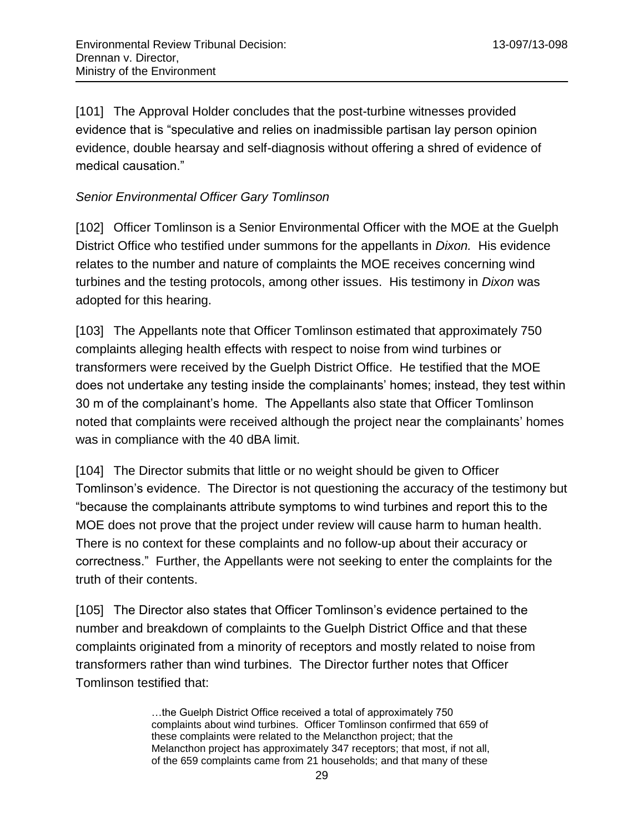[101] The Approval Holder concludes that the post-turbine witnesses provided evidence that is "speculative and relies on inadmissible partisan lay person opinion evidence, double hearsay and self-diagnosis without offering a shred of evidence of medical causation."

## <span id="page-28-0"></span>*Senior Environmental Officer Gary Tomlinson*

[102] Officer Tomlinson is a Senior Environmental Officer with the MOE at the Guelph District Office who testified under summons for the appellants in *Dixon.* His evidence relates to the number and nature of complaints the MOE receives concerning wind turbines and the testing protocols, among other issues. His testimony in *Dixon* was adopted for this hearing.

[103] The Appellants note that Officer Tomlinson estimated that approximately 750 complaints alleging health effects with respect to noise from wind turbines or transformers were received by the Guelph District Office. He testified that the MOE does not undertake any testing inside the complainants' homes; instead, they test within 30 m of the complainant's home. The Appellants also state that Officer Tomlinson noted that complaints were received although the project near the complainants' homes was in compliance with the 40 dBA limit.

[104] The Director submits that little or no weight should be given to Officer Tomlinson's evidence. The Director is not questioning the accuracy of the testimony but "because the complainants attribute symptoms to wind turbines and report this to the MOE does not prove that the project under review will cause harm to human health. There is no context for these complaints and no follow-up about their accuracy or correctness." Further, the Appellants were not seeking to enter the complaints for the truth of their contents.

[105] The Director also states that Officer Tomlinson's evidence pertained to the number and breakdown of complaints to the Guelph District Office and that these complaints originated from a minority of receptors and mostly related to noise from transformers rather than wind turbines. The Director further notes that Officer Tomlinson testified that:

> …the Guelph District Office received a total of approximately 750 complaints about wind turbines. Officer Tomlinson confirmed that 659 of these complaints were related to the Melancthon project; that the Melancthon project has approximately 347 receptors; that most, if not all, of the 659 complaints came from 21 households; and that many of these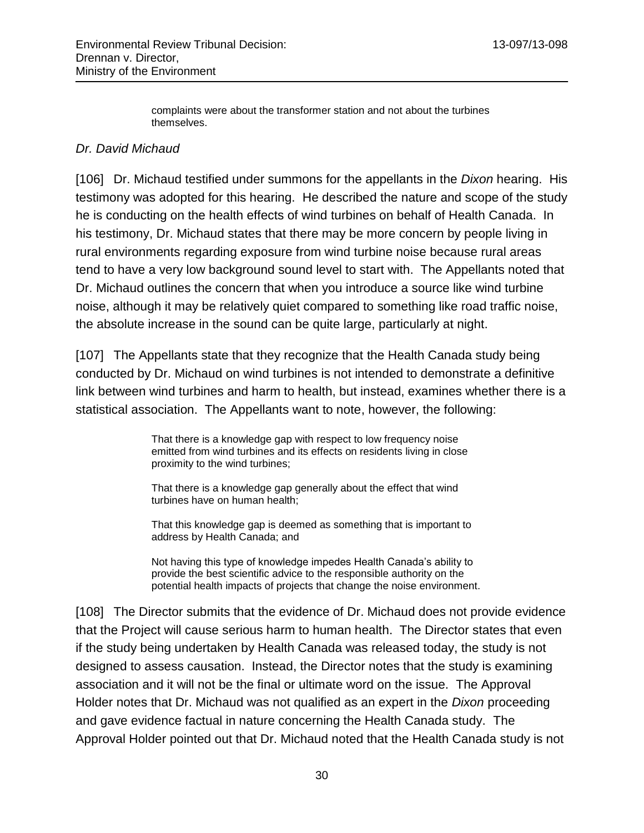complaints were about the transformer station and not about the turbines themselves.

## <span id="page-29-0"></span>*Dr. David Michaud*

[106] Dr. Michaud testified under summons for the appellants in the *Dixon* hearing. His testimony was adopted for this hearing. He described the nature and scope of the study he is conducting on the health effects of wind turbines on behalf of Health Canada. In his testimony, Dr. Michaud states that there may be more concern by people living in rural environments regarding exposure from wind turbine noise because rural areas tend to have a very low background sound level to start with. The Appellants noted that Dr. Michaud outlines the concern that when you introduce a source like wind turbine noise, although it may be relatively quiet compared to something like road traffic noise, the absolute increase in the sound can be quite large, particularly at night.

[107] The Appellants state that they recognize that the Health Canada study being conducted by Dr. Michaud on wind turbines is not intended to demonstrate a definitive link between wind turbines and harm to health, but instead, examines whether there is a statistical association. The Appellants want to note, however, the following:

> That there is a knowledge gap with respect to low frequency noise emitted from wind turbines and its effects on residents living in close proximity to the wind turbines;

That there is a knowledge gap generally about the effect that wind turbines have on human health;

That this knowledge gap is deemed as something that is important to address by Health Canada; and

Not having this type of knowledge impedes Health Canada's ability to provide the best scientific advice to the responsible authority on the potential health impacts of projects that change the noise environment.

[108] The Director submits that the evidence of Dr. Michaud does not provide evidence that the Project will cause serious harm to human health. The Director states that even if the study being undertaken by Health Canada was released today, the study is not designed to assess causation. Instead, the Director notes that the study is examining association and it will not be the final or ultimate word on the issue. The Approval Holder notes that Dr. Michaud was not qualified as an expert in the *Dixon* proceeding and gave evidence factual in nature concerning the Health Canada study. The Approval Holder pointed out that Dr. Michaud noted that the Health Canada study is not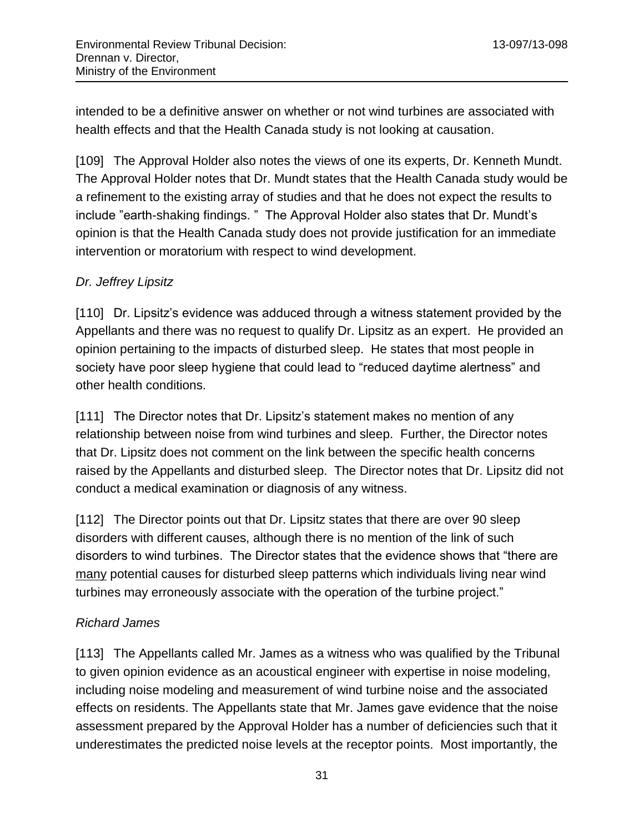intended to be a definitive answer on whether or not wind turbines are associated with health effects and that the Health Canada study is not looking at causation.

[109] The Approval Holder also notes the views of one its experts, Dr. Kenneth Mundt. The Approval Holder notes that Dr. Mundt states that the Health Canada study would be a refinement to the existing array of studies and that he does not expect the results to include "earth-shaking findings. " The Approval Holder also states that Dr. Mundt's opinion is that the Health Canada study does not provide justification for an immediate intervention or moratorium with respect to wind development.

## <span id="page-30-0"></span>*Dr. Jeffrey Lipsitz*

[110] Dr. Lipsitz's evidence was adduced through a witness statement provided by the Appellants and there was no request to qualify Dr. Lipsitz as an expert. He provided an opinion pertaining to the impacts of disturbed sleep. He states that most people in society have poor sleep hygiene that could lead to "reduced daytime alertness" and other health conditions.

[111] The Director notes that Dr. Lipsitz's statement makes no mention of any relationship between noise from wind turbines and sleep. Further, the Director notes that Dr. Lipsitz does not comment on the link between the specific health concerns raised by the Appellants and disturbed sleep. The Director notes that Dr. Lipsitz did not conduct a medical examination or diagnosis of any witness.

[112] The Director points out that Dr. Lipsitz states that there are over 90 sleep disorders with different causes, although there is no mention of the link of such disorders to wind turbines. The Director states that the evidence shows that "there are many potential causes for disturbed sleep patterns which individuals living near wind turbines may erroneously associate with the operation of the turbine project."

# <span id="page-30-1"></span>*Richard James*

[113] The Appellants called Mr. James as a witness who was qualified by the Tribunal to given opinion evidence as an acoustical engineer with expertise in noise modeling, including noise modeling and measurement of wind turbine noise and the associated effects on residents. The Appellants state that Mr. James gave evidence that the noise assessment prepared by the Approval Holder has a number of deficiencies such that it underestimates the predicted noise levels at the receptor points. Most importantly, the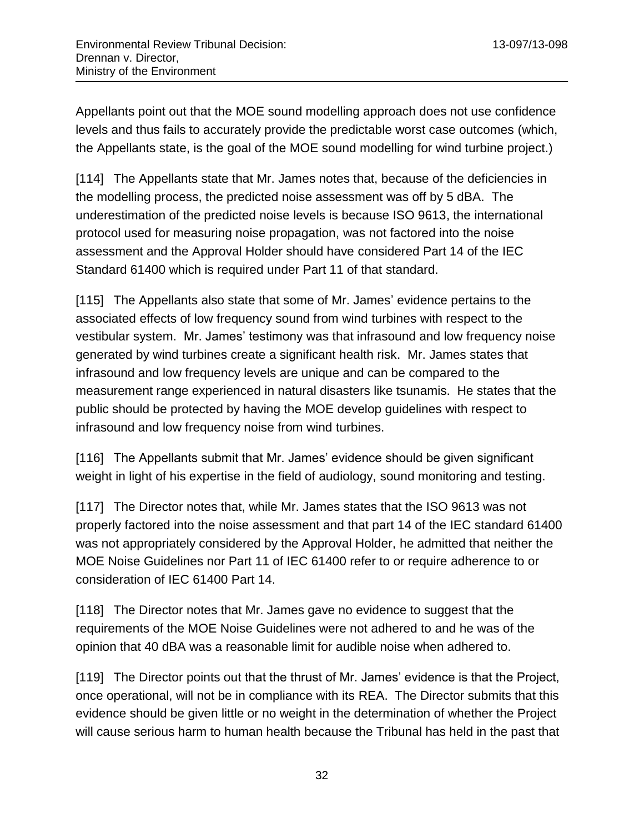Appellants point out that the MOE sound modelling approach does not use confidence levels and thus fails to accurately provide the predictable worst case outcomes (which, the Appellants state, is the goal of the MOE sound modelling for wind turbine project.)

[114] The Appellants state that Mr. James notes that, because of the deficiencies in the modelling process, the predicted noise assessment was off by 5 dBA. The underestimation of the predicted noise levels is because ISO 9613, the international protocol used for measuring noise propagation, was not factored into the noise assessment and the Approval Holder should have considered Part 14 of the IEC Standard 61400 which is required under Part 11 of that standard.

[115] The Appellants also state that some of Mr. James' evidence pertains to the associated effects of low frequency sound from wind turbines with respect to the vestibular system. Mr. James' testimony was that infrasound and low frequency noise generated by wind turbines create a significant health risk. Mr. James states that infrasound and low frequency levels are unique and can be compared to the measurement range experienced in natural disasters like tsunamis. He states that the public should be protected by having the MOE develop guidelines with respect to infrasound and low frequency noise from wind turbines.

[116] The Appellants submit that Mr. James' evidence should be given significant weight in light of his expertise in the field of audiology, sound monitoring and testing.

[117] The Director notes that, while Mr. James states that the ISO 9613 was not properly factored into the noise assessment and that part 14 of the IEC standard 61400 was not appropriately considered by the Approval Holder, he admitted that neither the MOE Noise Guidelines nor Part 11 of IEC 61400 refer to or require adherence to or consideration of IEC 61400 Part 14.

[118] The Director notes that Mr. James gave no evidence to suggest that the requirements of the MOE Noise Guidelines were not adhered to and he was of the opinion that 40 dBA was a reasonable limit for audible noise when adhered to.

[119] The Director points out that the thrust of Mr. James' evidence is that the Project, once operational, will not be in compliance with its REA. The Director submits that this evidence should be given little or no weight in the determination of whether the Project will cause serious harm to human health because the Tribunal has held in the past that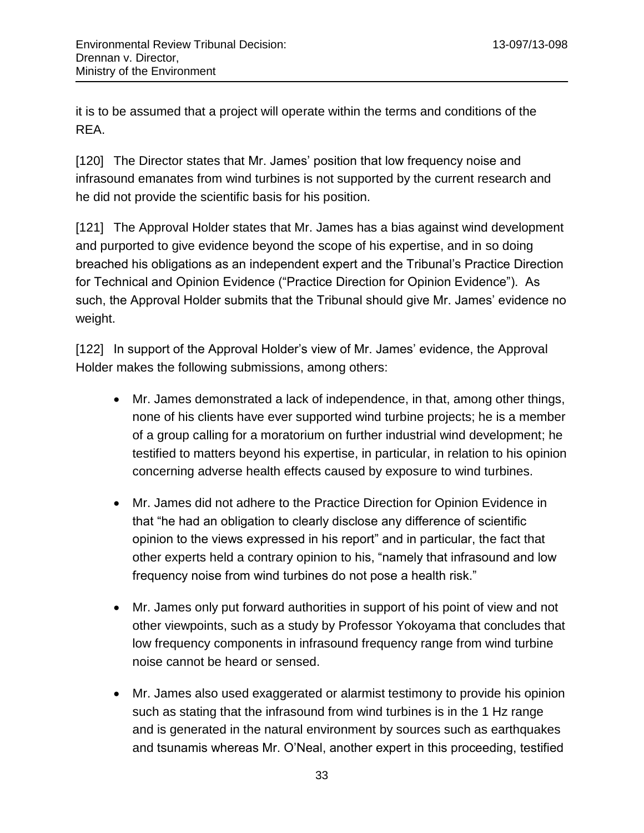it is to be assumed that a project will operate within the terms and conditions of the REA.

[120] The Director states that Mr. James' position that low frequency noise and infrasound emanates from wind turbines is not supported by the current research and he did not provide the scientific basis for his position.

[121] The Approval Holder states that Mr. James has a bias against wind development and purported to give evidence beyond the scope of his expertise, and in so doing breached his obligations as an independent expert and the Tribunal's Practice Direction for Technical and Opinion Evidence ("Practice Direction for Opinion Evidence"). As such, the Approval Holder submits that the Tribunal should give Mr. James' evidence no weight.

[122] In support of the Approval Holder's view of Mr. James' evidence, the Approval Holder makes the following submissions, among others:

- Mr. James demonstrated a lack of independence, in that, among other things, none of his clients have ever supported wind turbine projects; he is a member of a group calling for a moratorium on further industrial wind development; he testified to matters beyond his expertise, in particular, in relation to his opinion concerning adverse health effects caused by exposure to wind turbines.
- Mr. James did not adhere to the Practice Direction for Opinion Evidence in that "he had an obligation to clearly disclose any difference of scientific opinion to the views expressed in his report" and in particular, the fact that other experts held a contrary opinion to his, "namely that infrasound and low frequency noise from wind turbines do not pose a health risk."
- Mr. James only put forward authorities in support of his point of view and not other viewpoints, such as a study by Professor Yokoyama that concludes that low frequency components in infrasound frequency range from wind turbine noise cannot be heard or sensed.
- Mr. James also used exaggerated or alarmist testimony to provide his opinion such as stating that the infrasound from wind turbines is in the 1 Hz range and is generated in the natural environment by sources such as earthquakes and tsunamis whereas Mr. O'Neal, another expert in this proceeding, testified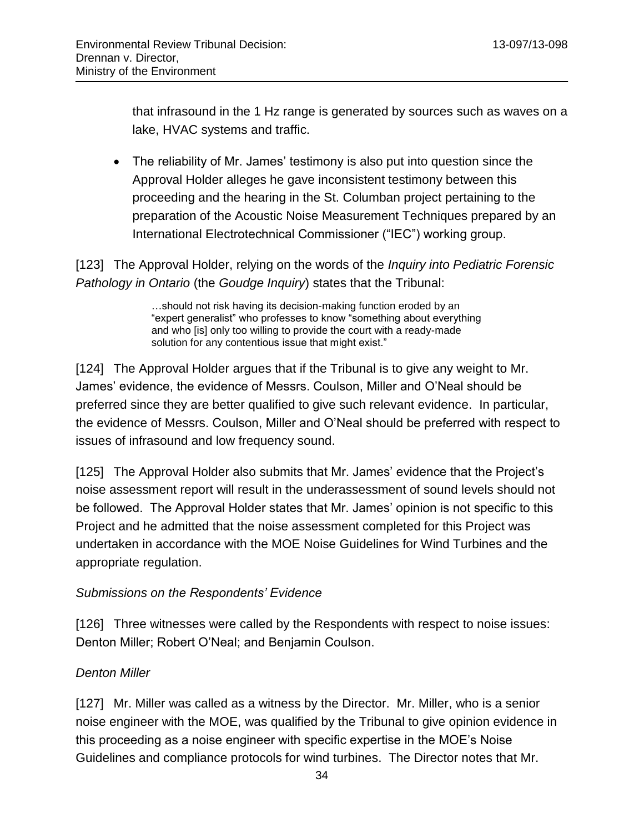that infrasound in the 1 Hz range is generated by sources such as waves on a lake, HVAC systems and traffic.

• The reliability of Mr. James' testimony is also put into question since the Approval Holder alleges he gave inconsistent testimony between this proceeding and the hearing in the St. Columban project pertaining to the preparation of the Acoustic Noise Measurement Techniques prepared by an International Electrotechnical Commissioner ("IEC") working group.

[123] The Approval Holder, relying on the words of the *Inquiry into Pediatric Forensic Pathology in Ontario* (the *Goudge Inquiry*) states that the Tribunal:

> …should not risk having its decision-making function eroded by an "expert generalist" who professes to know "something about everything and who [is] only too willing to provide the court with a ready-made solution for any contentious issue that might exist."

[124] The Approval Holder argues that if the Tribunal is to give any weight to Mr. James' evidence, the evidence of Messrs. Coulson, Miller and O'Neal should be preferred since they are better qualified to give such relevant evidence. In particular, the evidence of Messrs. Coulson, Miller and O'Neal should be preferred with respect to issues of infrasound and low frequency sound.

[125] The Approval Holder also submits that Mr. James' evidence that the Project's noise assessment report will result in the underassessment of sound levels should not be followed. The Approval Holder states that Mr. James' opinion is not specific to this Project and he admitted that the noise assessment completed for this Project was undertaken in accordance with the MOE Noise Guidelines for Wind Turbines and the appropriate regulation.

#### <span id="page-33-0"></span>*Submissions on the Respondents' Evidence*

[126] Three witnesses were called by the Respondents with respect to noise issues: Denton Miller; Robert O'Neal; and Benjamin Coulson.

## <span id="page-33-1"></span>*Denton Miller*

[127] Mr. Miller was called as a witness by the Director. Mr. Miller, who is a senior noise engineer with the MOE, was qualified by the Tribunal to give opinion evidence in this proceeding as a noise engineer with specific expertise in the MOE's Noise Guidelines and compliance protocols for wind turbines. The Director notes that Mr.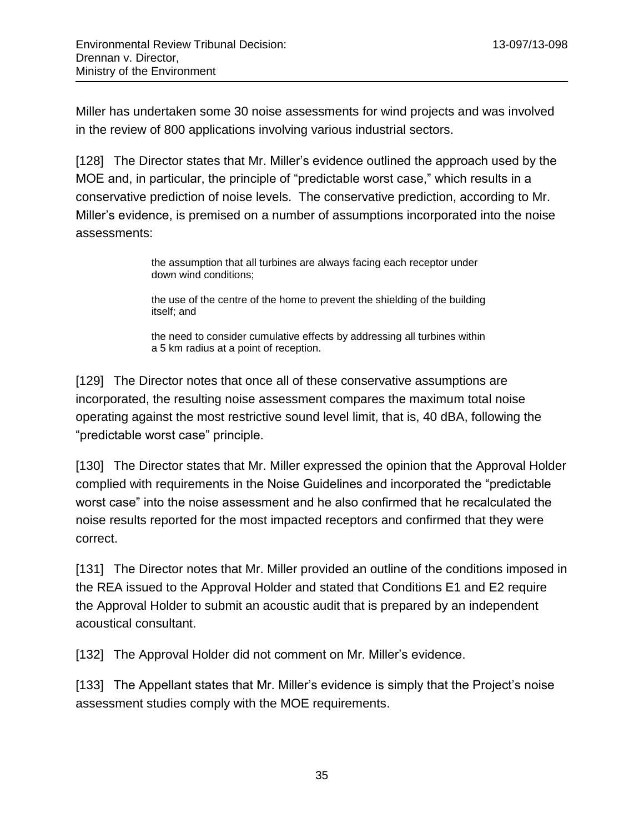Miller has undertaken some 30 noise assessments for wind projects and was involved in the review of 800 applications involving various industrial sectors.

[128] The Director states that Mr. Miller's evidence outlined the approach used by the MOE and, in particular, the principle of "predictable worst case," which results in a conservative prediction of noise levels. The conservative prediction, according to Mr. Miller's evidence, is premised on a number of assumptions incorporated into the noise assessments:

> the assumption that all turbines are always facing each receptor under down wind conditions;

the use of the centre of the home to prevent the shielding of the building itself; and

the need to consider cumulative effects by addressing all turbines within a 5 km radius at a point of reception.

[129] The Director notes that once all of these conservative assumptions are incorporated, the resulting noise assessment compares the maximum total noise operating against the most restrictive sound level limit, that is, 40 dBA, following the "predictable worst case" principle.

[130] The Director states that Mr. Miller expressed the opinion that the Approval Holder complied with requirements in the Noise Guidelines and incorporated the "predictable worst case" into the noise assessment and he also confirmed that he recalculated the noise results reported for the most impacted receptors and confirmed that they were correct.

[131] The Director notes that Mr. Miller provided an outline of the conditions imposed in the REA issued to the Approval Holder and stated that Conditions E1 and E2 require the Approval Holder to submit an acoustic audit that is prepared by an independent acoustical consultant.

[132] The Approval Holder did not comment on Mr. Miller's evidence.

[133] The Appellant states that Mr. Miller's evidence is simply that the Project's noise assessment studies comply with the MOE requirements.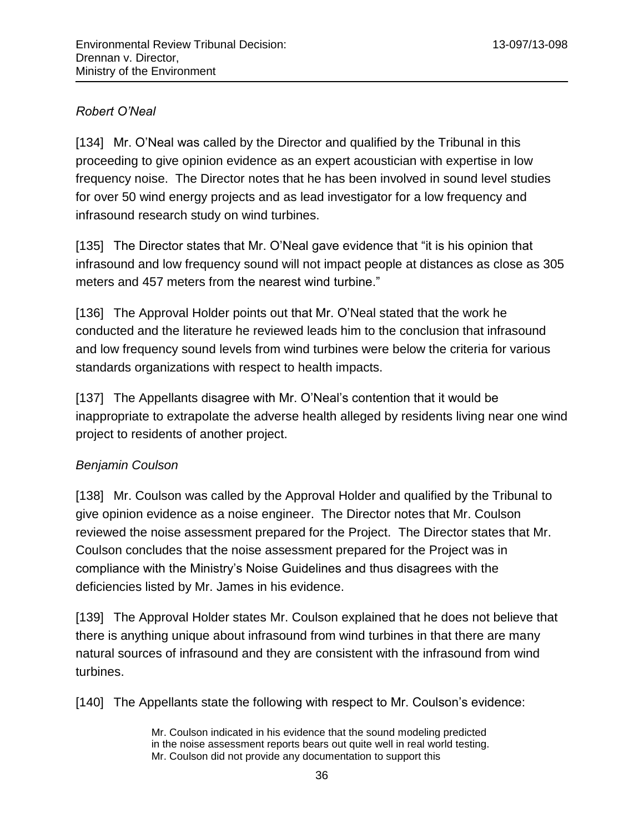## <span id="page-35-0"></span>*Robert O'Neal*

[134] Mr. O'Neal was called by the Director and qualified by the Tribunal in this proceeding to give opinion evidence as an expert acoustician with expertise in low frequency noise. The Director notes that he has been involved in sound level studies for over 50 wind energy projects and as lead investigator for a low frequency and infrasound research study on wind turbines.

[135] The Director states that Mr. O'Neal gave evidence that "it is his opinion that infrasound and low frequency sound will not impact people at distances as close as 305 meters and 457 meters from the nearest wind turbine."

[136] The Approval Holder points out that Mr. O'Neal stated that the work he conducted and the literature he reviewed leads him to the conclusion that infrasound and low frequency sound levels from wind turbines were below the criteria for various standards organizations with respect to health impacts.

[137] The Appellants disagree with Mr. O'Neal's contention that it would be inappropriate to extrapolate the adverse health alleged by residents living near one wind project to residents of another project.

#### <span id="page-35-1"></span>*Benjamin Coulson*

[138] Mr. Coulson was called by the Approval Holder and qualified by the Tribunal to give opinion evidence as a noise engineer. The Director notes that Mr. Coulson reviewed the noise assessment prepared for the Project. The Director states that Mr. Coulson concludes that the noise assessment prepared for the Project was in compliance with the Ministry's Noise Guidelines and thus disagrees with the deficiencies listed by Mr. James in his evidence.

[139] The Approval Holder states Mr. Coulson explained that he does not believe that there is anything unique about infrasound from wind turbines in that there are many natural sources of infrasound and they are consistent with the infrasound from wind turbines.

[140] The Appellants state the following with respect to Mr. Coulson's evidence:

Mr. Coulson indicated in his evidence that the sound modeling predicted in the noise assessment reports bears out quite well in real world testing. Mr. Coulson did not provide any documentation to support this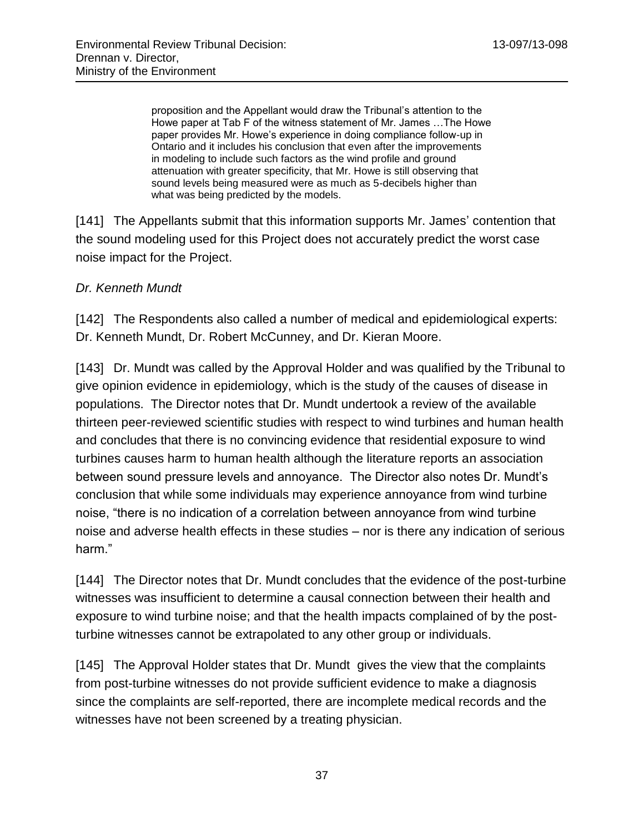proposition and the Appellant would draw the Tribunal's attention to the Howe paper at Tab F of the witness statement of Mr. James …The Howe paper provides Mr. Howe's experience in doing compliance follow-up in Ontario and it includes his conclusion that even after the improvements in modeling to include such factors as the wind profile and ground attenuation with greater specificity, that Mr. Howe is still observing that sound levels being measured were as much as 5-decibels higher than what was being predicted by the models.

[141] The Appellants submit that this information supports Mr. James' contention that the sound modeling used for this Project does not accurately predict the worst case noise impact for the Project.

### *Dr. Kenneth Mundt*

[142] The Respondents also called a number of medical and epidemiological experts: Dr. Kenneth Mundt, Dr. Robert McCunney, and Dr. Kieran Moore.

[143] Dr. Mundt was called by the Approval Holder and was qualified by the Tribunal to give opinion evidence in epidemiology, which is the study of the causes of disease in populations. The Director notes that Dr. Mundt undertook a review of the available thirteen peer-reviewed scientific studies with respect to wind turbines and human health and concludes that there is no convincing evidence that residential exposure to wind turbines causes harm to human health although the literature reports an association between sound pressure levels and annoyance. The Director also notes Dr. Mundt's conclusion that while some individuals may experience annoyance from wind turbine noise, "there is no indication of a correlation between annoyance from wind turbine noise and adverse health effects in these studies – nor is there any indication of serious harm."

[144] The Director notes that Dr. Mundt concludes that the evidence of the post-turbine witnesses was insufficient to determine a causal connection between their health and exposure to wind turbine noise; and that the health impacts complained of by the postturbine witnesses cannot be extrapolated to any other group or individuals.

[145] The Approval Holder states that Dr. Mundt gives the view that the complaints from post-turbine witnesses do not provide sufficient evidence to make a diagnosis since the complaints are self-reported, there are incomplete medical records and the witnesses have not been screened by a treating physician.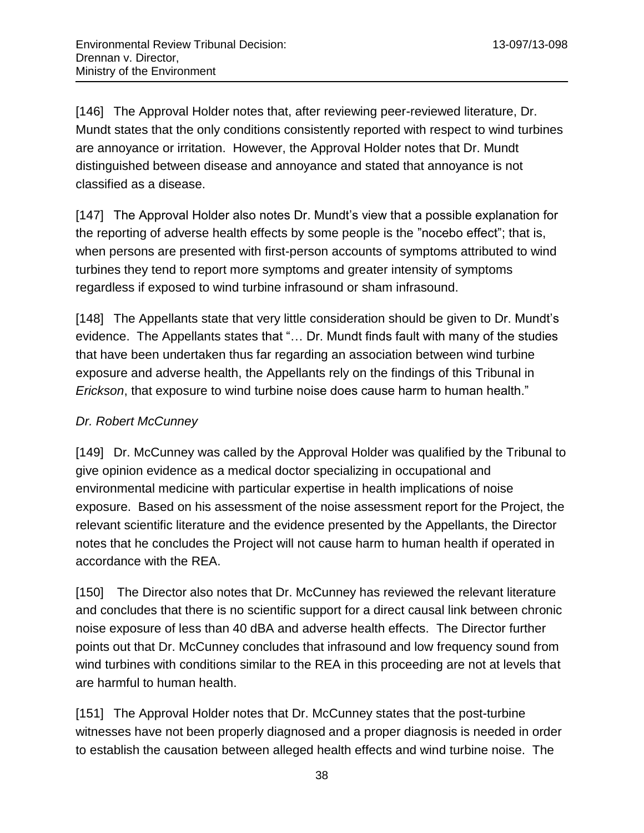[146] The Approval Holder notes that, after reviewing peer-reviewed literature, Dr. Mundt states that the only conditions consistently reported with respect to wind turbines are annoyance or irritation. However, the Approval Holder notes that Dr. Mundt distinguished between disease and annoyance and stated that annoyance is not classified as a disease.

[147] The Approval Holder also notes Dr. Mundt's view that a possible explanation for the reporting of adverse health effects by some people is the "nocebo effect"; that is, when persons are presented with first-person accounts of symptoms attributed to wind turbines they tend to report more symptoms and greater intensity of symptoms regardless if exposed to wind turbine infrasound or sham infrasound.

[148] The Appellants state that very little consideration should be given to Dr. Mundt's evidence. The Appellants states that "… Dr. Mundt finds fault with many of the studies that have been undertaken thus far regarding an association between wind turbine exposure and adverse health, the Appellants rely on the findings of this Tribunal in *Erickson*, that exposure to wind turbine noise does cause harm to human health."

## *Dr. Robert McCunney*

[149] Dr. McCunney was called by the Approval Holder was qualified by the Tribunal to give opinion evidence as a medical doctor specializing in occupational and environmental medicine with particular expertise in health implications of noise exposure. Based on his assessment of the noise assessment report for the Project, the relevant scientific literature and the evidence presented by the Appellants, the Director notes that he concludes the Project will not cause harm to human health if operated in accordance with the REA.

[150] The Director also notes that Dr. McCunney has reviewed the relevant literature and concludes that there is no scientific support for a direct causal link between chronic noise exposure of less than 40 dBA and adverse health effects. The Director further points out that Dr. McCunney concludes that infrasound and low frequency sound from wind turbines with conditions similar to the REA in this proceeding are not at levels that are harmful to human health.

[151] The Approval Holder notes that Dr. McCunney states that the post-turbine witnesses have not been properly diagnosed and a proper diagnosis is needed in order to establish the causation between alleged health effects and wind turbine noise. The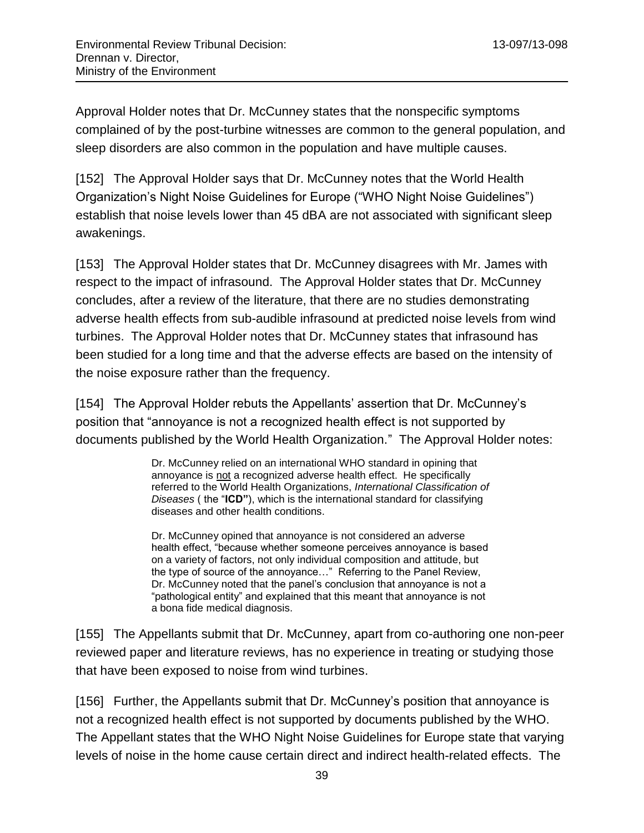Approval Holder notes that Dr. McCunney states that the nonspecific symptoms complained of by the post-turbine witnesses are common to the general population, and sleep disorders are also common in the population and have multiple causes.

[152] The Approval Holder says that Dr. McCunney notes that the World Health Organization's Night Noise Guidelines for Europe ("WHO Night Noise Guidelines") establish that noise levels lower than 45 dBA are not associated with significant sleep awakenings.

[153] The Approval Holder states that Dr. McCunney disagrees with Mr. James with respect to the impact of infrasound. The Approval Holder states that Dr. McCunney concludes, after a review of the literature, that there are no studies demonstrating adverse health effects from sub-audible infrasound at predicted noise levels from wind turbines. The Approval Holder notes that Dr. McCunney states that infrasound has been studied for a long time and that the adverse effects are based on the intensity of the noise exposure rather than the frequency.

[154] The Approval Holder rebuts the Appellants' assertion that Dr. McCunney's position that "annoyance is not a recognized health effect is not supported by documents published by the World Health Organization." The Approval Holder notes:

> Dr. McCunney relied on an international WHO standard in opining that annoyance is not a recognized adverse health effect. He specifically referred to the World Health Organizations, *International Classification of Diseases* ( the "**ICD"**), which is the international standard for classifying diseases and other health conditions.

> Dr. McCunney opined that annoyance is not considered an adverse health effect, "because whether someone perceives annoyance is based on a variety of factors, not only individual composition and attitude, but the type of source of the annoyance…" Referring to the Panel Review, Dr. McCunney noted that the panel's conclusion that annoyance is not a "pathological entity" and explained that this meant that annoyance is not a bona fide medical diagnosis.

[155] The Appellants submit that Dr. McCunney, apart from co-authoring one non-peer reviewed paper and literature reviews, has no experience in treating or studying those that have been exposed to noise from wind turbines.

[156] Further, the Appellants submit that Dr. McCunney's position that annoyance is not a recognized health effect is not supported by documents published by the WHO. The Appellant states that the WHO Night Noise Guidelines for Europe state that varying levels of noise in the home cause certain direct and indirect health-related effects. The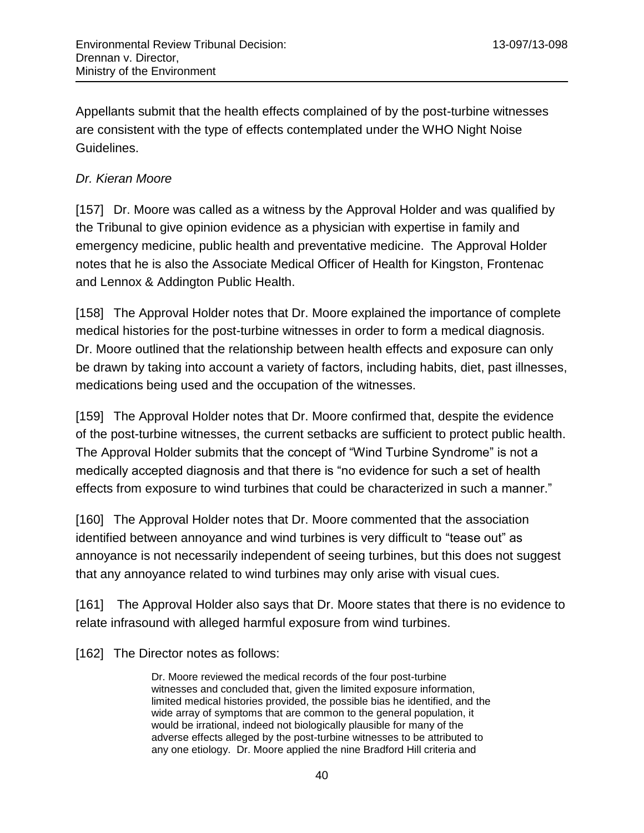Appellants submit that the health effects complained of by the post-turbine witnesses are consistent with the type of effects contemplated under the WHO Night Noise Guidelines.

### *Dr. Kieran Moore*

[157] Dr. Moore was called as a witness by the Approval Holder and was qualified by the Tribunal to give opinion evidence as a physician with expertise in family and emergency medicine, public health and preventative medicine. The Approval Holder notes that he is also the Associate Medical Officer of Health for Kingston, Frontenac and Lennox & Addington Public Health.

[158] The Approval Holder notes that Dr. Moore explained the importance of complete medical histories for the post-turbine witnesses in order to form a medical diagnosis. Dr. Moore outlined that the relationship between health effects and exposure can only be drawn by taking into account a variety of factors, including habits, diet, past illnesses, medications being used and the occupation of the witnesses.

[159] The Approval Holder notes that Dr. Moore confirmed that, despite the evidence of the post-turbine witnesses, the current setbacks are sufficient to protect public health. The Approval Holder submits that the concept of "Wind Turbine Syndrome" is not a medically accepted diagnosis and that there is "no evidence for such a set of health effects from exposure to wind turbines that could be characterized in such a manner."

[160] The Approval Holder notes that Dr. Moore commented that the association identified between annoyance and wind turbines is very difficult to "tease out" as annoyance is not necessarily independent of seeing turbines, but this does not suggest that any annoyance related to wind turbines may only arise with visual cues.

[161] The Approval Holder also says that Dr. Moore states that there is no evidence to relate infrasound with alleged harmful exposure from wind turbines.

[162] The Director notes as follows:

Dr. Moore reviewed the medical records of the four post-turbine witnesses and concluded that, given the limited exposure information, limited medical histories provided, the possible bias he identified, and the wide array of symptoms that are common to the general population, it would be irrational, indeed not biologically plausible for many of the adverse effects alleged by the post-turbine witnesses to be attributed to any one etiology. Dr. Moore applied the nine Bradford Hill criteria and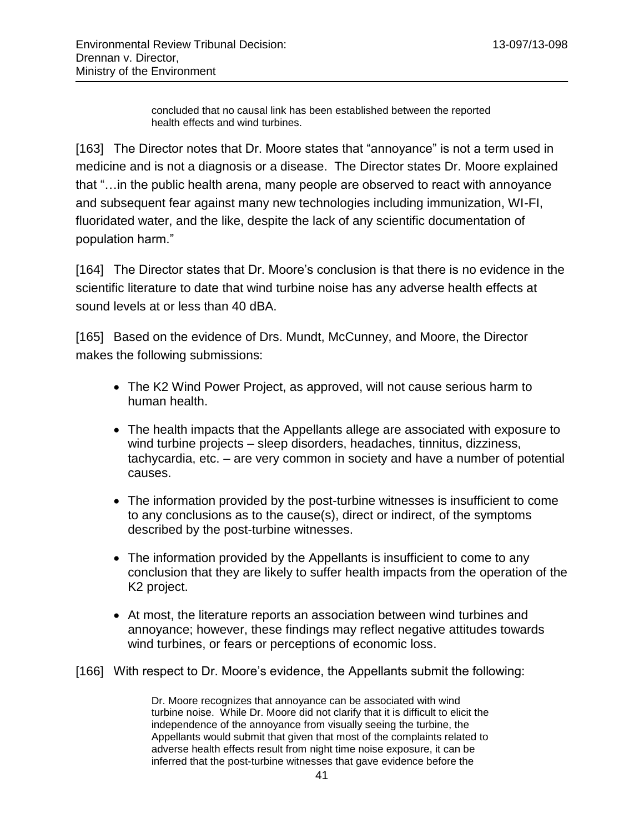concluded that no causal link has been established between the reported health effects and wind turbines.

[163] The Director notes that Dr. Moore states that "annoyance" is not a term used in medicine and is not a diagnosis or a disease. The Director states Dr. Moore explained that "…in the public health arena, many people are observed to react with annoyance and subsequent fear against many new technologies including immunization, WI-FI, fluoridated water, and the like, despite the lack of any scientific documentation of population harm."

[164] The Director states that Dr. Moore's conclusion is that there is no evidence in the scientific literature to date that wind turbine noise has any adverse health effects at sound levels at or less than 40 dBA.

[165] Based on the evidence of Drs. Mundt, McCunney, and Moore, the Director makes the following submissions:

- The K2 Wind Power Project, as approved, will not cause serious harm to human health.
- The health impacts that the Appellants allege are associated with exposure to wind turbine projects – sleep disorders, headaches, tinnitus, dizziness, tachycardia, etc. – are very common in society and have a number of potential causes.
- The information provided by the post-turbine witnesses is insufficient to come to any conclusions as to the cause(s), direct or indirect, of the symptoms described by the post-turbine witnesses.
- The information provided by the Appellants is insufficient to come to any conclusion that they are likely to suffer health impacts from the operation of the K2 project.
- At most, the literature reports an association between wind turbines and annoyance; however, these findings may reflect negative attitudes towards wind turbines, or fears or perceptions of economic loss.
- [166] With respect to Dr. Moore's evidence, the Appellants submit the following:

Dr. Moore recognizes that annoyance can be associated with wind turbine noise. While Dr. Moore did not clarify that it is difficult to elicit the independence of the annoyance from visually seeing the turbine, the Appellants would submit that given that most of the complaints related to adverse health effects result from night time noise exposure, it can be inferred that the post-turbine witnesses that gave evidence before the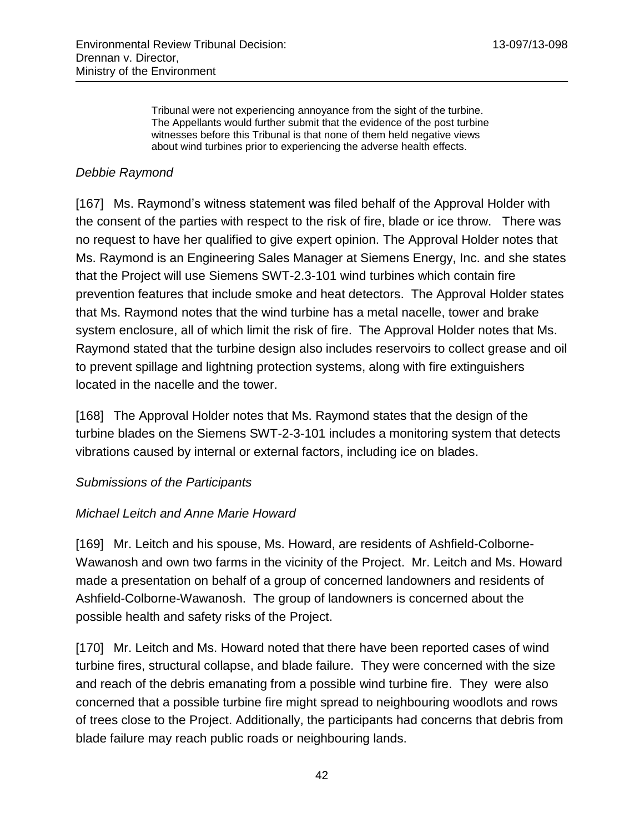Tribunal were not experiencing annoyance from the sight of the turbine. The Appellants would further submit that the evidence of the post turbine witnesses before this Tribunal is that none of them held negative views about wind turbines prior to experiencing the adverse health effects.

#### *Debbie Raymond*

[167] Ms. Raymond's witness statement was filed behalf of the Approval Holder with the consent of the parties with respect to the risk of fire, blade or ice throw. There was no request to have her qualified to give expert opinion. The Approval Holder notes that Ms. Raymond is an Engineering Sales Manager at Siemens Energy, Inc. and she states that the Project will use Siemens SWT-2.3-101 wind turbines which contain fire prevention features that include smoke and heat detectors. The Approval Holder states that Ms. Raymond notes that the wind turbine has a metal nacelle, tower and brake system enclosure, all of which limit the risk of fire. The Approval Holder notes that Ms. Raymond stated that the turbine design also includes reservoirs to collect grease and oil to prevent spillage and lightning protection systems, along with fire extinguishers located in the nacelle and the tower.

[168] The Approval Holder notes that Ms. Raymond states that the design of the turbine blades on the Siemens SWT-2-3-101 includes a monitoring system that detects vibrations caused by internal or external factors, including ice on blades.

#### *Submissions of the Participants*

#### *Michael Leitch and Anne Marie Howard*

[169] Mr. Leitch and his spouse, Ms. Howard, are residents of Ashfield-Colborne-Wawanosh and own two farms in the vicinity of the Project. Mr. Leitch and Ms. Howard made a presentation on behalf of a group of concerned landowners and residents of Ashfield-Colborne-Wawanosh. The group of landowners is concerned about the possible health and safety risks of the Project.

[170] Mr. Leitch and Ms. Howard noted that there have been reported cases of wind turbine fires, structural collapse, and blade failure. They were concerned with the size and reach of the debris emanating from a possible wind turbine fire. They were also concerned that a possible turbine fire might spread to neighbouring woodlots and rows of trees close to the Project. Additionally, the participants had concerns that debris from blade failure may reach public roads or neighbouring lands.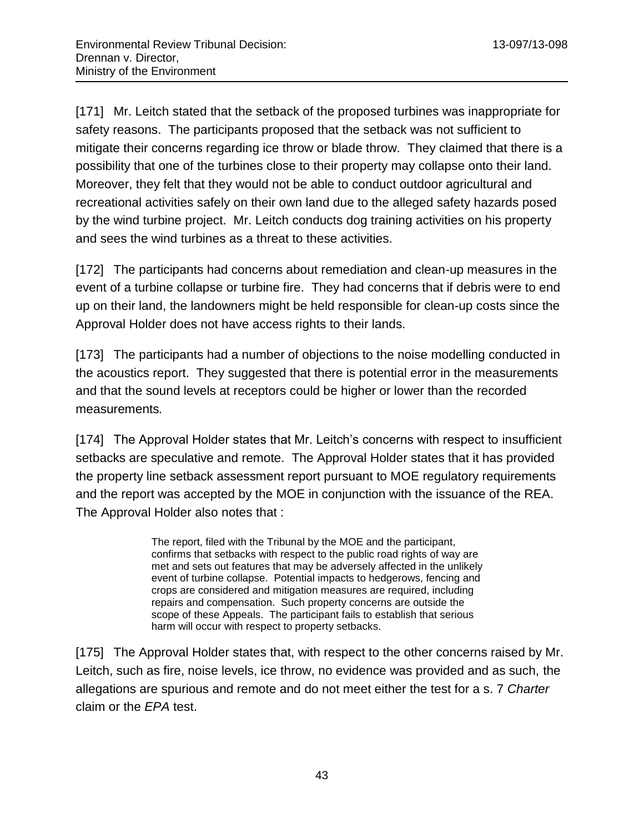[171] Mr. Leitch stated that the setback of the proposed turbines was inappropriate for safety reasons. The participants proposed that the setback was not sufficient to mitigate their concerns regarding ice throw or blade throw. They claimed that there is a possibility that one of the turbines close to their property may collapse onto their land. Moreover, they felt that they would not be able to conduct outdoor agricultural and recreational activities safely on their own land due to the alleged safety hazards posed by the wind turbine project. Mr. Leitch conducts dog training activities on his property and sees the wind turbines as a threat to these activities.

[172] The participants had concerns about remediation and clean-up measures in the event of a turbine collapse or turbine fire. They had concerns that if debris were to end up on their land, the landowners might be held responsible for clean-up costs since the Approval Holder does not have access rights to their lands.

[173] The participants had a number of objections to the noise modelling conducted in the acoustics report. They suggested that there is potential error in the measurements and that the sound levels at receptors could be higher or lower than the recorded measurements*.*

[174] The Approval Holder states that Mr. Leitch's concerns with respect to insufficient setbacks are speculative and remote. The Approval Holder states that it has provided the property line setback assessment report pursuant to MOE regulatory requirements and the report was accepted by the MOE in conjunction with the issuance of the REA. The Approval Holder also notes that :

> The report, filed with the Tribunal by the MOE and the participant, confirms that setbacks with respect to the public road rights of way are met and sets out features that may be adversely affected in the unlikely event of turbine collapse. Potential impacts to hedgerows, fencing and crops are considered and mitigation measures are required, including repairs and compensation. Such property concerns are outside the scope of these Appeals. The participant fails to establish that serious harm will occur with respect to property setbacks.

[175] The Approval Holder states that, with respect to the other concerns raised by Mr. Leitch, such as fire, noise levels, ice throw, no evidence was provided and as such, the allegations are spurious and remote and do not meet either the test for a s. 7 *Charter* claim or the *EPA* test.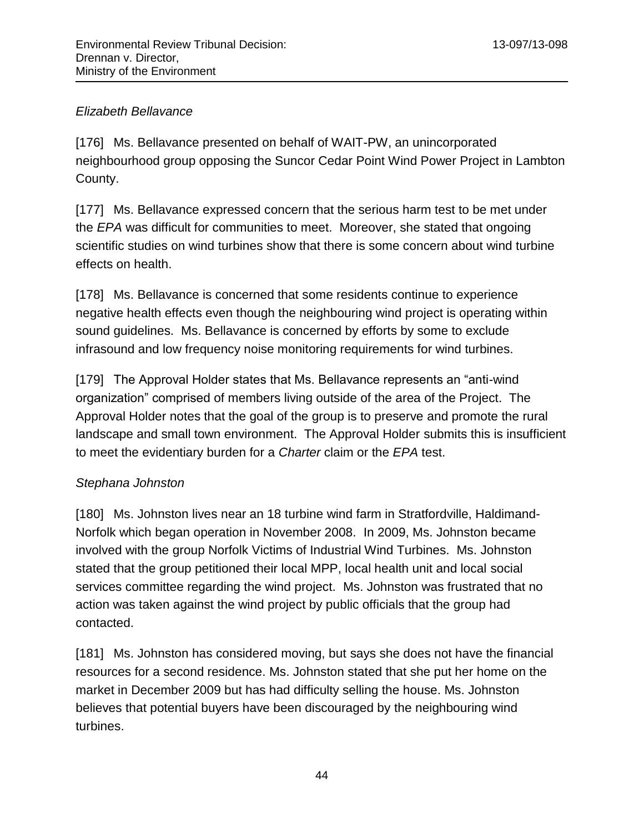### *Elizabeth Bellavance*

[176] Ms. Bellavance presented on behalf of WAIT-PW, an unincorporated neighbourhood group opposing the Suncor Cedar Point Wind Power Project in Lambton County.

[177] Ms. Bellavance expressed concern that the serious harm test to be met under the *EPA* was difficult for communities to meet. Moreover, she stated that ongoing scientific studies on wind turbines show that there is some concern about wind turbine effects on health.

[178] Ms. Bellavance is concerned that some residents continue to experience negative health effects even though the neighbouring wind project is operating within sound guidelines. Ms. Bellavance is concerned by efforts by some to exclude infrasound and low frequency noise monitoring requirements for wind turbines.

[179] The Approval Holder states that Ms. Bellavance represents an "anti-wind organization" comprised of members living outside of the area of the Project. The Approval Holder notes that the goal of the group is to preserve and promote the rural landscape and small town environment. The Approval Holder submits this is insufficient to meet the evidentiary burden for a *Charter* claim or the *EPA* test.

## *Stephana Johnston*

[180] Ms. Johnston lives near an 18 turbine wind farm in Stratfordville, Haldimand-Norfolk which began operation in November 2008. In 2009, Ms. Johnston became involved with the group Norfolk Victims of Industrial Wind Turbines. Ms. Johnston stated that the group petitioned their local MPP, local health unit and local social services committee regarding the wind project. Ms. Johnston was frustrated that no action was taken against the wind project by public officials that the group had contacted.

[181] Ms. Johnston has considered moving, but says she does not have the financial resources for a second residence. Ms. Johnston stated that she put her home on the market in December 2009 but has had difficulty selling the house. Ms. Johnston believes that potential buyers have been discouraged by the neighbouring wind turbines.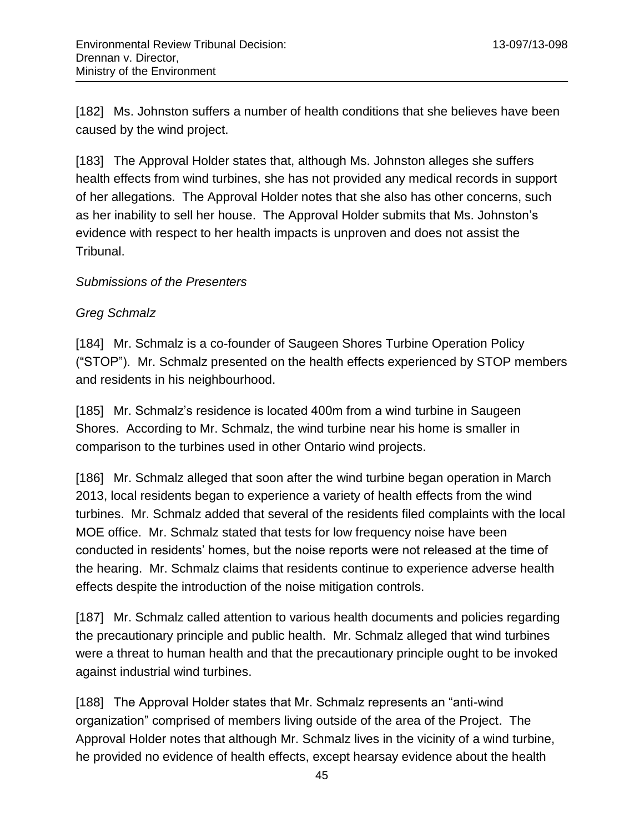[182] Ms. Johnston suffers a number of health conditions that she believes have been caused by the wind project.

[183] The Approval Holder states that, although Ms. Johnston alleges she suffers health effects from wind turbines, she has not provided any medical records in support of her allegations. The Approval Holder notes that she also has other concerns, such as her inability to sell her house. The Approval Holder submits that Ms. Johnston's evidence with respect to her health impacts is unproven and does not assist the Tribunal.

#### *Submissions of the Presenters*

### *Greg Schmalz*

[184] Mr. Schmalz is a co-founder of Saugeen Shores Turbine Operation Policy ("STOP"). Mr. Schmalz presented on the health effects experienced by STOP members and residents in his neighbourhood.

[185] Mr. Schmalz's residence is located 400m from a wind turbine in Saugeen Shores. According to Mr. Schmalz, the wind turbine near his home is smaller in comparison to the turbines used in other Ontario wind projects.

[186] Mr. Schmalz alleged that soon after the wind turbine began operation in March 2013, local residents began to experience a variety of health effects from the wind turbines. Mr. Schmalz added that several of the residents filed complaints with the local MOE office. Mr. Schmalz stated that tests for low frequency noise have been conducted in residents' homes, but the noise reports were not released at the time of the hearing. Mr. Schmalz claims that residents continue to experience adverse health effects despite the introduction of the noise mitigation controls.

[187] Mr. Schmalz called attention to various health documents and policies regarding the precautionary principle and public health. Mr. Schmalz alleged that wind turbines were a threat to human health and that the precautionary principle ought to be invoked against industrial wind turbines.

[188] The Approval Holder states that Mr. Schmalz represents an "anti-wind organization" comprised of members living outside of the area of the Project. The Approval Holder notes that although Mr. Schmalz lives in the vicinity of a wind turbine, he provided no evidence of health effects, except hearsay evidence about the health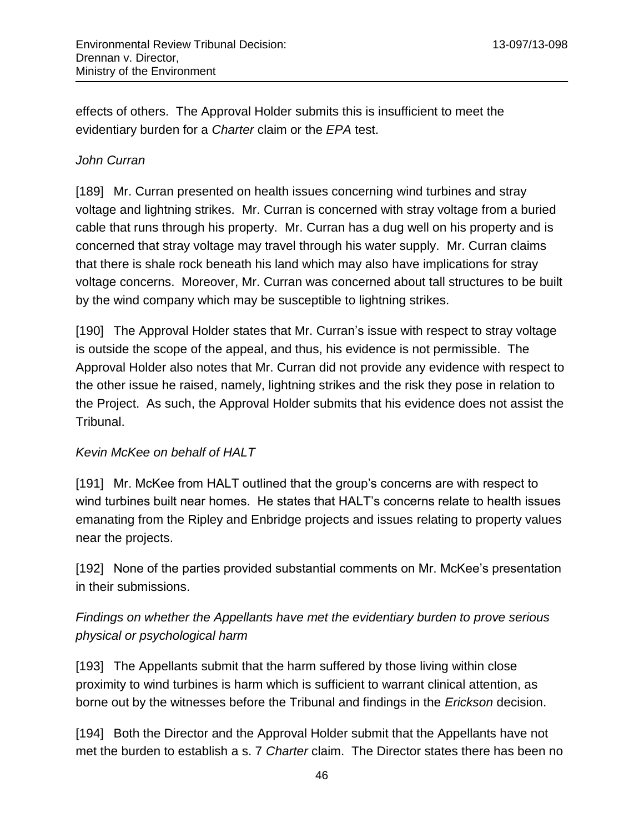effects of others. The Approval Holder submits this is insufficient to meet the evidentiary burden for a *Charter* claim or the *EPA* test.

### *John Curran*

[189] Mr. Curran presented on health issues concerning wind turbines and stray voltage and lightning strikes. Mr. Curran is concerned with stray voltage from a buried cable that runs through his property. Mr. Curran has a dug well on his property and is concerned that stray voltage may travel through his water supply. Mr. Curran claims that there is shale rock beneath his land which may also have implications for stray voltage concerns. Moreover, Mr. Curran was concerned about tall structures to be built by the wind company which may be susceptible to lightning strikes.

[190] The Approval Holder states that Mr. Curran's issue with respect to stray voltage is outside the scope of the appeal, and thus, his evidence is not permissible. The Approval Holder also notes that Mr. Curran did not provide any evidence with respect to the other issue he raised, namely, lightning strikes and the risk they pose in relation to the Project. As such, the Approval Holder submits that his evidence does not assist the Tribunal.

### *Kevin McKee on behalf of HALT*

[191] Mr. McKee from HALT outlined that the group's concerns are with respect to wind turbines built near homes. He states that HALT's concerns relate to health issues emanating from the Ripley and Enbridge projects and issues relating to property values near the projects.

[192] None of the parties provided substantial comments on Mr. McKee's presentation in their submissions.

# *Findings on whether the Appellants have met the evidentiary burden to prove serious physical or psychological harm*

[193] The Appellants submit that the harm suffered by those living within close proximity to wind turbines is harm which is sufficient to warrant clinical attention, as borne out by the witnesses before the Tribunal and findings in the *Erickson* decision.

[194] Both the Director and the Approval Holder submit that the Appellants have not met the burden to establish a s. 7 *Charter* claim. The Director states there has been no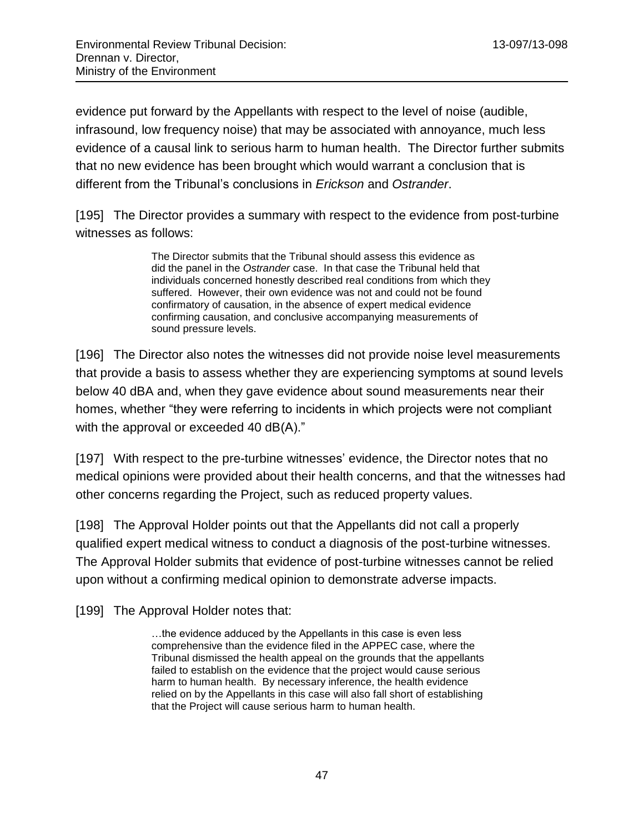evidence put forward by the Appellants with respect to the level of noise (audible, infrasound, low frequency noise) that may be associated with annoyance, much less evidence of a causal link to serious harm to human health. The Director further submits that no new evidence has been brought which would warrant a conclusion that is different from the Tribunal's conclusions in *Erickson* and *Ostrander*.

[195] The Director provides a summary with respect to the evidence from post-turbine witnesses as follows:

> The Director submits that the Tribunal should assess this evidence as did the panel in the *Ostrander* case. In that case the Tribunal held that individuals concerned honestly described real conditions from which they suffered. However, their own evidence was not and could not be found confirmatory of causation, in the absence of expert medical evidence confirming causation, and conclusive accompanying measurements of sound pressure levels.

[196] The Director also notes the witnesses did not provide noise level measurements that provide a basis to assess whether they are experiencing symptoms at sound levels below 40 dBA and, when they gave evidence about sound measurements near their homes, whether "they were referring to incidents in which projects were not compliant with the approval or exceeded 40 dB(A)."

[197] With respect to the pre-turbine witnesses' evidence, the Director notes that no medical opinions were provided about their health concerns, and that the witnesses had other concerns regarding the Project, such as reduced property values.

[198] The Approval Holder points out that the Appellants did not call a properly qualified expert medical witness to conduct a diagnosis of the post-turbine witnesses. The Approval Holder submits that evidence of post-turbine witnesses cannot be relied upon without a confirming medical opinion to demonstrate adverse impacts.

[199] The Approval Holder notes that:

…the evidence adduced by the Appellants in this case is even less comprehensive than the evidence filed in the APPEC case, where the Tribunal dismissed the health appeal on the grounds that the appellants failed to establish on the evidence that the project would cause serious harm to human health. By necessary inference, the health evidence relied on by the Appellants in this case will also fall short of establishing that the Project will cause serious harm to human health.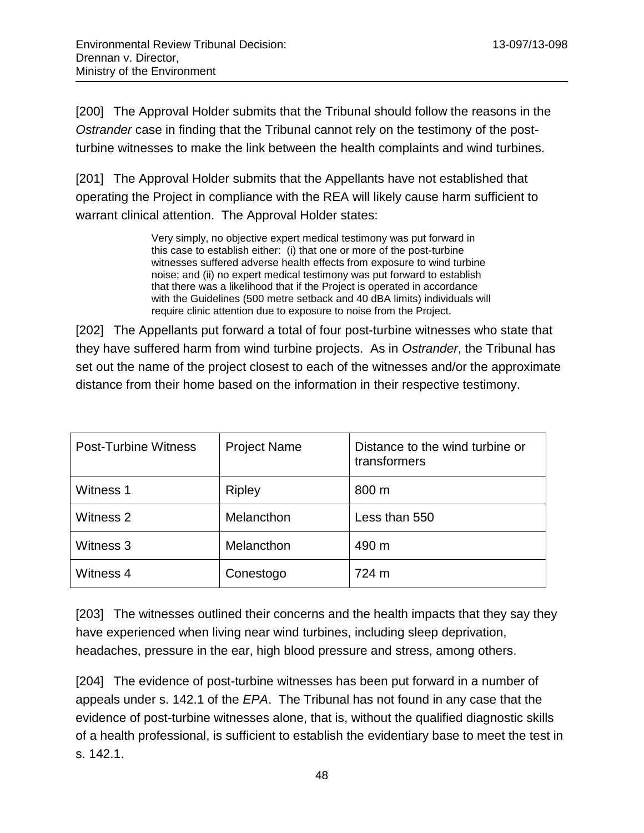[200] The Approval Holder submits that the Tribunal should follow the reasons in the *Ostrander* case in finding that the Tribunal cannot rely on the testimony of the postturbine witnesses to make the link between the health complaints and wind turbines.

[201] The Approval Holder submits that the Appellants have not established that operating the Project in compliance with the REA will likely cause harm sufficient to warrant clinical attention. The Approval Holder states:

> Very simply, no objective expert medical testimony was put forward in this case to establish either: (i) that one or more of the post-turbine witnesses suffered adverse health effects from exposure to wind turbine noise; and (ii) no expert medical testimony was put forward to establish that there was a likelihood that if the Project is operated in accordance with the Guidelines (500 metre setback and 40 dBA limits) individuals will require clinic attention due to exposure to noise from the Project.

[202] The Appellants put forward a total of four post-turbine witnesses who state that they have suffered harm from wind turbine projects. As in *Ostrander*, the Tribunal has set out the name of the project closest to each of the witnesses and/or the approximate distance from their home based on the information in their respective testimony.

| <b>Post-Turbine Witness</b> | <b>Project Name</b> | Distance to the wind turbine or<br>transformers |
|-----------------------------|---------------------|-------------------------------------------------|
| Witness 1                   | <b>Ripley</b>       | 800 m                                           |
| Witness 2                   | Melancthon          | Less than 550                                   |
| Witness 3                   | Melancthon          | 490 m                                           |
| Witness 4                   | Conestogo           | 724 m                                           |

[203] The witnesses outlined their concerns and the health impacts that they say they have experienced when living near wind turbines, including sleep deprivation, headaches, pressure in the ear, high blood pressure and stress, among others.

[204] The evidence of post-turbine witnesses has been put forward in a number of appeals under s. 142.1 of the *EPA*. The Tribunal has not found in any case that the evidence of post-turbine witnesses alone, that is, without the qualified diagnostic skills of a health professional, is sufficient to establish the evidentiary base to meet the test in s. 142.1.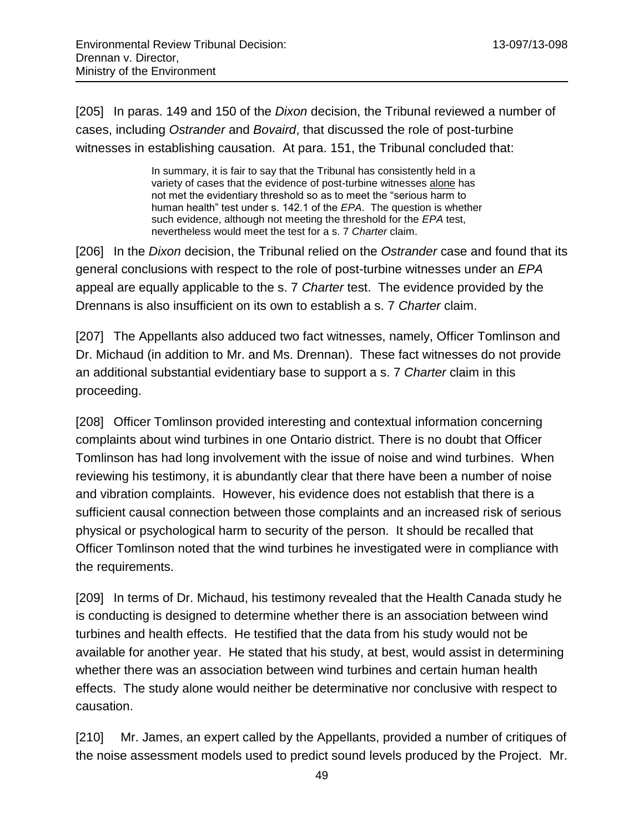[205] In paras. 149 and 150 of the *Dixon* decision, the Tribunal reviewed a number of cases, including *Ostrander* and *Bovaird*, that discussed the role of post-turbine witnesses in establishing causation. At para. 151, the Tribunal concluded that:

> In summary, it is fair to say that the Tribunal has consistently held in a variety of cases that the evidence of post-turbine witnesses alone has not met the evidentiary threshold so as to meet the "serious harm to human health" test under s. 142.1 of the *EPA*. The question is whether such evidence, although not meeting the threshold for the *EPA* test, nevertheless would meet the test for a s. 7 *Charter* claim.

[206] In the *Dixon* decision, the Tribunal relied on the *Ostrander* case and found that its general conclusions with respect to the role of post-turbine witnesses under an *EPA* appeal are equally applicable to the s. 7 *Charter* test. The evidence provided by the Drennans is also insufficient on its own to establish a s. 7 *Charter* claim.

[207] The Appellants also adduced two fact witnesses, namely, Officer Tomlinson and Dr. Michaud (in addition to Mr. and Ms. Drennan). These fact witnesses do not provide an additional substantial evidentiary base to support a s. 7 *Charter* claim in this proceeding.

[208] Officer Tomlinson provided interesting and contextual information concerning complaints about wind turbines in one Ontario district. There is no doubt that Officer Tomlinson has had long involvement with the issue of noise and wind turbines. When reviewing his testimony, it is abundantly clear that there have been a number of noise and vibration complaints. However, his evidence does not establish that there is a sufficient causal connection between those complaints and an increased risk of serious physical or psychological harm to security of the person. It should be recalled that Officer Tomlinson noted that the wind turbines he investigated were in compliance with the requirements.

[209] In terms of Dr. Michaud, his testimony revealed that the Health Canada study he is conducting is designed to determine whether there is an association between wind turbines and health effects. He testified that the data from his study would not be available for another year. He stated that his study, at best, would assist in determining whether there was an association between wind turbines and certain human health effects. The study alone would neither be determinative nor conclusive with respect to causation.

[210] Mr. James, an expert called by the Appellants, provided a number of critiques of the noise assessment models used to predict sound levels produced by the Project. Mr.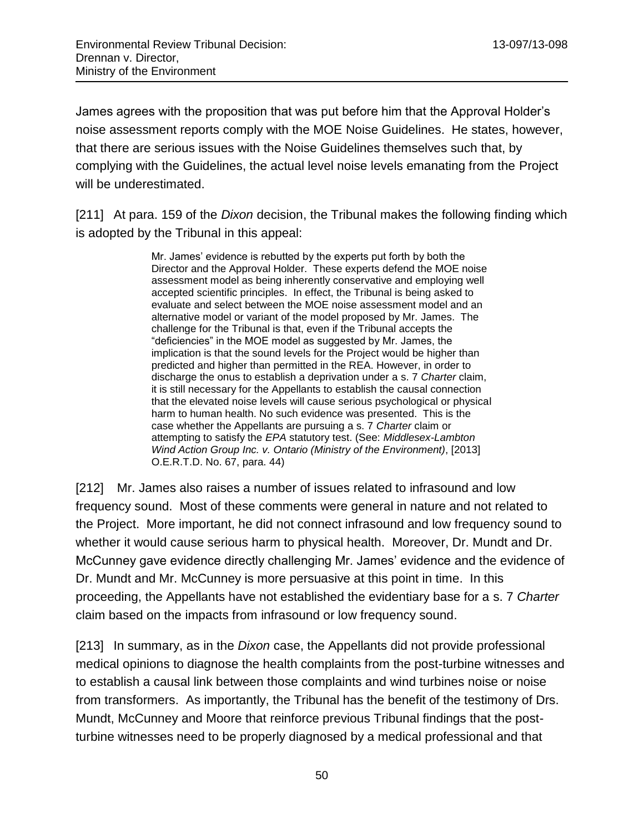James agrees with the proposition that was put before him that the Approval Holder's noise assessment reports comply with the MOE Noise Guidelines. He states, however, that there are serious issues with the Noise Guidelines themselves such that, by complying with the Guidelines, the actual level noise levels emanating from the Project will be underestimated.

[211] At para. 159 of the *Dixon* decision, the Tribunal makes the following finding which is adopted by the Tribunal in this appeal:

> Mr. James' evidence is rebutted by the experts put forth by both the Director and the Approval Holder. These experts defend the MOE noise assessment model as being inherently conservative and employing well accepted scientific principles. In effect, the Tribunal is being asked to evaluate and select between the MOE noise assessment model and an alternative model or variant of the model proposed by Mr. James. The challenge for the Tribunal is that, even if the Tribunal accepts the "deficiencies" in the MOE model as suggested by Mr. James, the implication is that the sound levels for the Project would be higher than predicted and higher than permitted in the REA. However, in order to discharge the onus to establish a deprivation under a s. 7 *Charter* claim, it is still necessary for the Appellants to establish the causal connection that the elevated noise levels will cause serious psychological or physical harm to human health. No such evidence was presented. This is the case whether the Appellants are pursuing a s. 7 *Charter* claim or attempting to satisfy the *EPA* statutory test. (See: *Middlesex-Lambton Wind Action Group Inc. v. Ontario (Ministry of the Environment)*, [2013] O.E.R.T.D. No. 67, para. 44)

[212] Mr. James also raises a number of issues related to infrasound and low frequency sound. Most of these comments were general in nature and not related to the Project. More important, he did not connect infrasound and low frequency sound to whether it would cause serious harm to physical health. Moreover, Dr. Mundt and Dr. McCunney gave evidence directly challenging Mr. James' evidence and the evidence of Dr. Mundt and Mr. McCunney is more persuasive at this point in time. In this proceeding, the Appellants have not established the evidentiary base for a s. 7 *Charter* claim based on the impacts from infrasound or low frequency sound.

[213] In summary, as in the *Dixon* case, the Appellants did not provide professional medical opinions to diagnose the health complaints from the post-turbine witnesses and to establish a causal link between those complaints and wind turbines noise or noise from transformers. As importantly, the Tribunal has the benefit of the testimony of Drs. Mundt, McCunney and Moore that reinforce previous Tribunal findings that the postturbine witnesses need to be properly diagnosed by a medical professional and that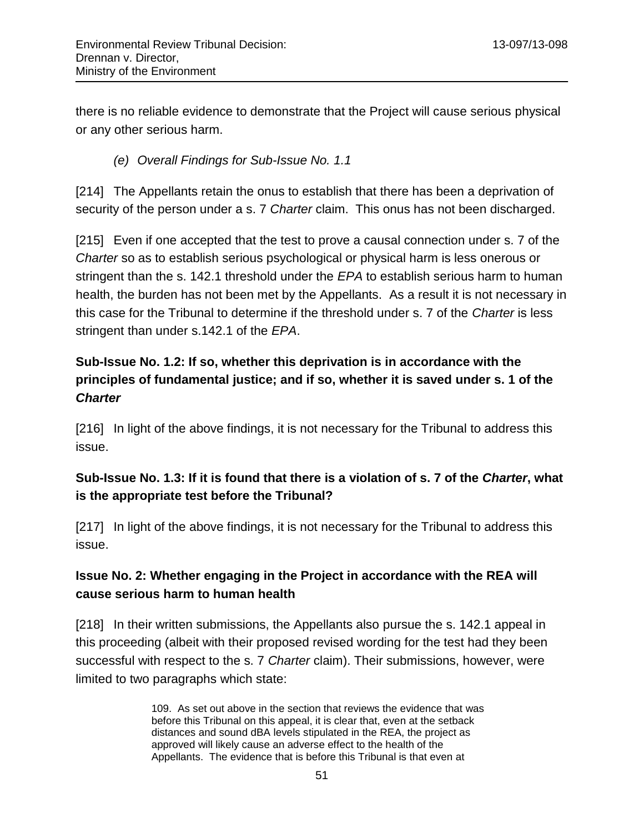there is no reliable evidence to demonstrate that the Project will cause serious physical or any other serious harm.

### *(e) Overall Findings for Sub-Issue No. 1.1*

[214] The Appellants retain the onus to establish that there has been a deprivation of security of the person under a s. 7 *Charter* claim. This onus has not been discharged.

[215] Even if one accepted that the test to prove a causal connection under s. 7 of the *Charter* so as to establish serious psychological or physical harm is less onerous or stringent than the s. 142.1 threshold under the *EPA* to establish serious harm to human health, the burden has not been met by the Appellants. As a result it is not necessary in this case for the Tribunal to determine if the threshold under s. 7 of the *Charter* is less stringent than under s.142.1 of the *EPA*.

# **Sub-Issue No. 1.2: If so, whether this deprivation is in accordance with the principles of fundamental justice; and if so, whether it is saved under s. 1 of the**  *Charter*

[216] In light of the above findings, it is not necessary for the Tribunal to address this issue.

## **Sub-Issue No. 1.3: If it is found that there is a violation of s. 7 of the** *Charter***, what is the appropriate test before the Tribunal?**

[217] In light of the above findings, it is not necessary for the Tribunal to address this issue.

## **Issue No. 2: Whether engaging in the Project in accordance with the REA will cause serious harm to human health**

[218] In their written submissions, the Appellants also pursue the s. 142.1 appeal in this proceeding (albeit with their proposed revised wording for the test had they been successful with respect to the s. 7 *Charter* claim). Their submissions, however, were limited to two paragraphs which state:

> 109. As set out above in the section that reviews the evidence that was before this Tribunal on this appeal, it is clear that, even at the setback distances and sound dBA levels stipulated in the REA, the project as approved will likely cause an adverse effect to the health of the Appellants. The evidence that is before this Tribunal is that even at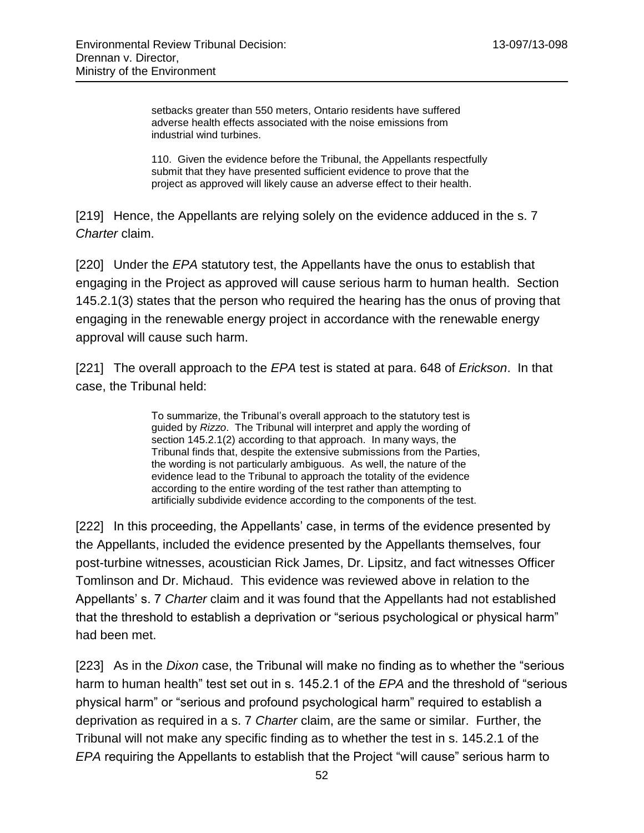setbacks greater than 550 meters, Ontario residents have suffered adverse health effects associated with the noise emissions from industrial wind turbines.

110. Given the evidence before the Tribunal, the Appellants respectfully submit that they have presented sufficient evidence to prove that the project as approved will likely cause an adverse effect to their health.

[219] Hence, the Appellants are relying solely on the evidence adduced in the s. 7 *Charter* claim.

[220] Under the *EPA* statutory test, the Appellants have the onus to establish that engaging in the Project as approved will cause serious harm to human health. Section 145.2.1(3) states that the person who required the hearing has the onus of proving that engaging in the renewable energy project in accordance with the renewable energy approval will cause such harm.

[221] The overall approach to the *EPA* test is stated at para. 648 of *Erickson*. In that case, the Tribunal held:

> To summarize, the Tribunal's overall approach to the statutory test is guided by *Rizzo*. The Tribunal will interpret and apply the wording of section 145.2.1(2) according to that approach. In many ways, the Tribunal finds that, despite the extensive submissions from the Parties, the wording is not particularly ambiguous. As well, the nature of the evidence lead to the Tribunal to approach the totality of the evidence according to the entire wording of the test rather than attempting to artificially subdivide evidence according to the components of the test.

[222] In this proceeding, the Appellants' case, in terms of the evidence presented by the Appellants, included the evidence presented by the Appellants themselves, four post-turbine witnesses, acoustician Rick James, Dr. Lipsitz, and fact witnesses Officer Tomlinson and Dr. Michaud. This evidence was reviewed above in relation to the Appellants' s. 7 *Charter* claim and it was found that the Appellants had not established that the threshold to establish a deprivation or "serious psychological or physical harm" had been met.

[223] As in the *Dixon* case, the Tribunal will make no finding as to whether the "serious harm to human health" test set out in s. 145.2.1 of the *EPA* and the threshold of "serious physical harm" or "serious and profound psychological harm" required to establish a deprivation as required in a s. 7 *Charter* claim, are the same or similar. Further, the Tribunal will not make any specific finding as to whether the test in s. 145.2.1 of the *EPA* requiring the Appellants to establish that the Project "will cause" serious harm to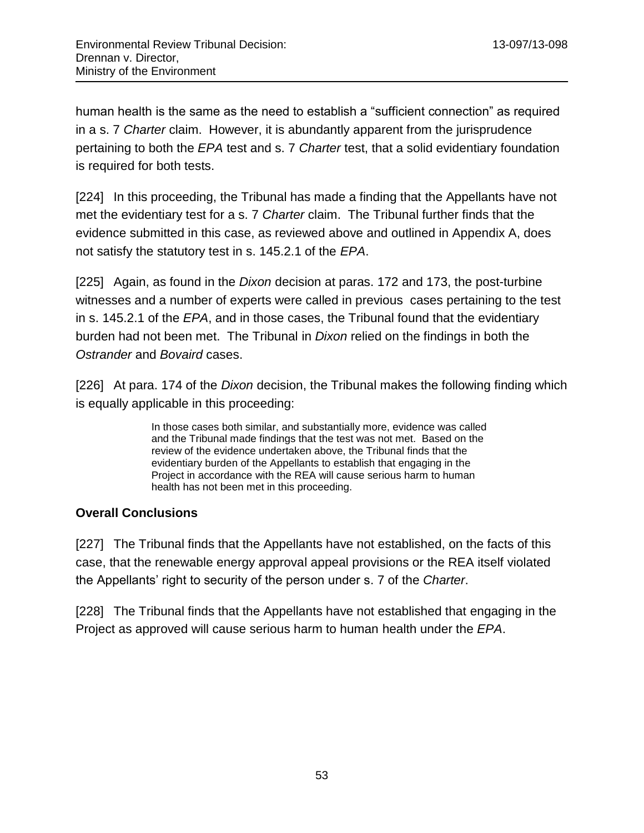human health is the same as the need to establish a "sufficient connection" as required in a s. 7 *Charter* claim. However, it is abundantly apparent from the jurisprudence pertaining to both the *EPA* test and s. 7 *Charter* test, that a solid evidentiary foundation is required for both tests.

[224] In this proceeding, the Tribunal has made a finding that the Appellants have not met the evidentiary test for a s. 7 *Charter* claim. The Tribunal further finds that the evidence submitted in this case, as reviewed above and outlined in Appendix A, does not satisfy the statutory test in s. 145.2.1 of the *EPA*.

[225] Again, as found in the *Dixon* decision at paras. 172 and 173, the post-turbine witnesses and a number of experts were called in previous cases pertaining to the test in s. 145.2.1 of the *EPA*, and in those cases, the Tribunal found that the evidentiary burden had not been met. The Tribunal in *Dixon* relied on the findings in both the *Ostrander* and *Bovaird* cases.

[226] At para. 174 of the *Dixon* decision, the Tribunal makes the following finding which is equally applicable in this proceeding:

> In those cases both similar, and substantially more, evidence was called and the Tribunal made findings that the test was not met. Based on the review of the evidence undertaken above, the Tribunal finds that the evidentiary burden of the Appellants to establish that engaging in the Project in accordance with the REA will cause serious harm to human health has not been met in this proceeding.

### **Overall Conclusions**

[227] The Tribunal finds that the Appellants have not established, on the facts of this case, that the renewable energy approval appeal provisions or the REA itself violated the Appellants' right to security of the person under s. 7 of the *Charter*.

[228] The Tribunal finds that the Appellants have not established that engaging in the Project as approved will cause serious harm to human health under the *EPA*.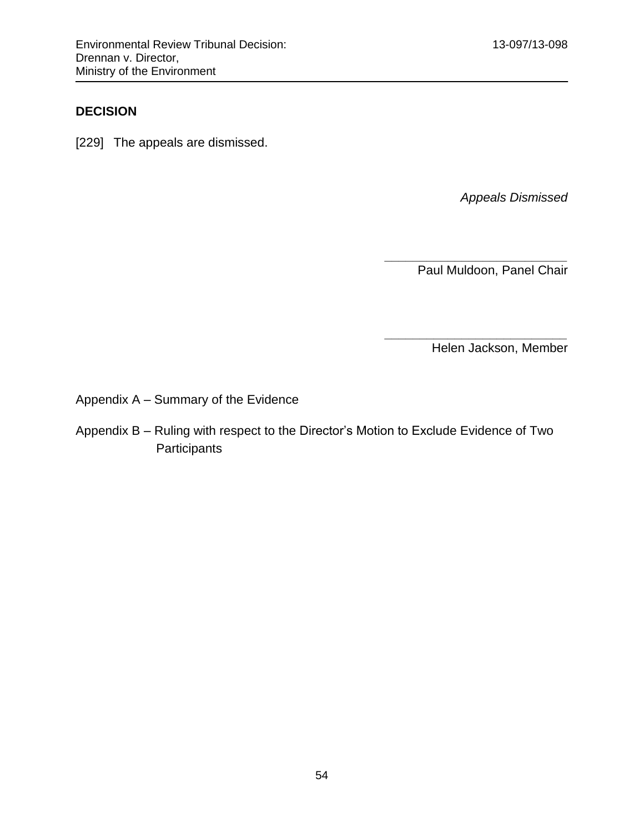## **DECISION**

[229] The appeals are dismissed.

*Appeals Dismissed*

Paul Muldoon, Panel Chair

*\_\_\_\_\_\_\_\_\_\_\_\_\_\_\_\_\_\_\_\_\_\_\_\_\_\_*

*\_\_\_\_\_\_\_\_\_\_\_\_\_\_\_\_\_\_\_\_\_\_\_\_\_\_*

Helen Jackson, Member

Appendix A – Summary of the Evidence

Appendix B – Ruling with respect to the Director's Motion to Exclude Evidence of Two **Participants**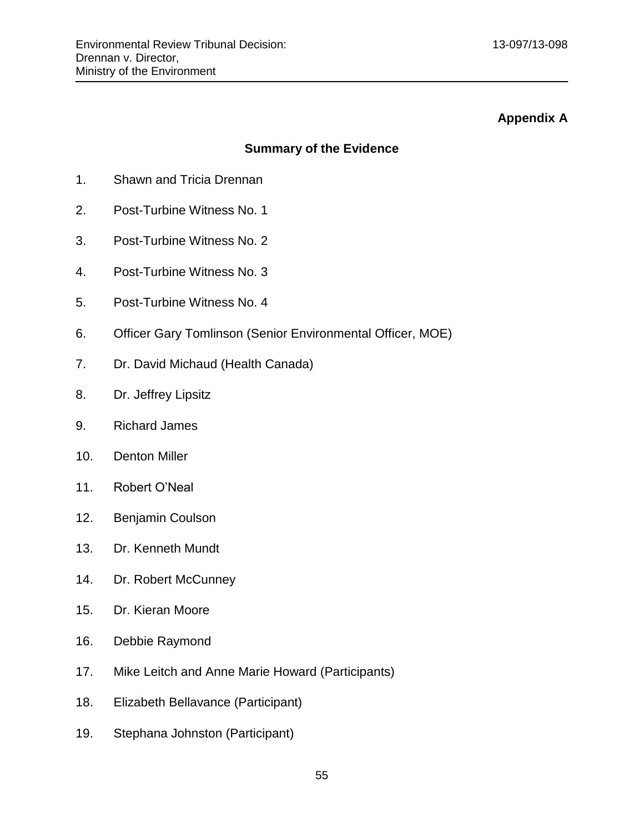### **Appendix A**

### **Summary of the Evidence**

- 1. Shawn and Tricia Drennan
- 2. Post-Turbine Witness No. 1
- 3. Post-Turbine Witness No. 2
- 4. Post-Turbine Witness No. 3
- 5. Post-Turbine Witness No. 4
- 6. Officer Gary Tomlinson (Senior Environmental Officer, MOE)
- 7. Dr. David Michaud (Health Canada)
- 8. Dr. Jeffrey Lipsitz
- 9. Richard James
- 10. Denton Miller
- 11. Robert O'Neal
- 12. Benjamin Coulson
- 13. Dr. Kenneth Mundt
- 14. Dr. Robert McCunney
- 15. Dr. Kieran Moore
- 16. Debbie Raymond
- 17. Mike Leitch and Anne Marie Howard (Participants)
- 18. Elizabeth Bellavance (Participant)
- 19. Stephana Johnston (Participant)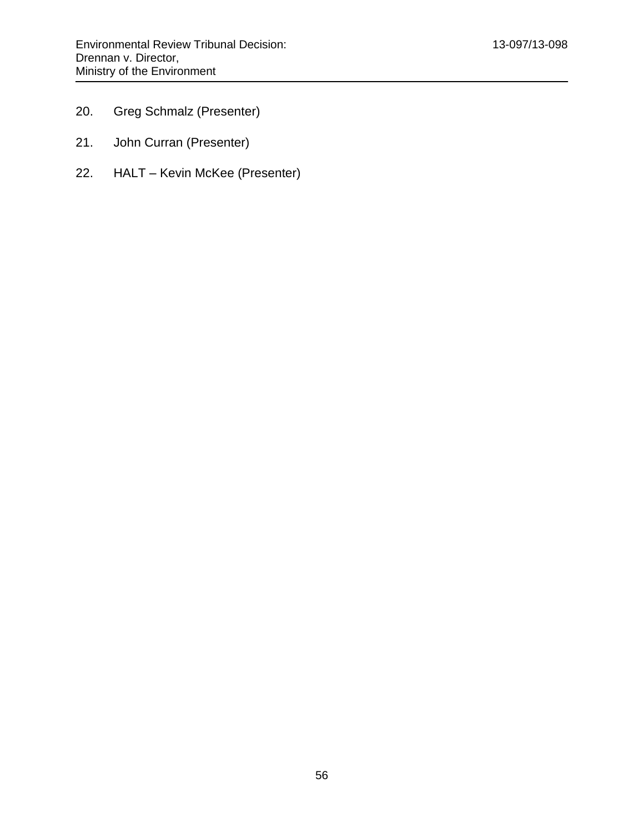- 20. Greg Schmalz (Presenter)
- 21. John Curran (Presenter)
- 22. HALT Kevin McKee (Presenter)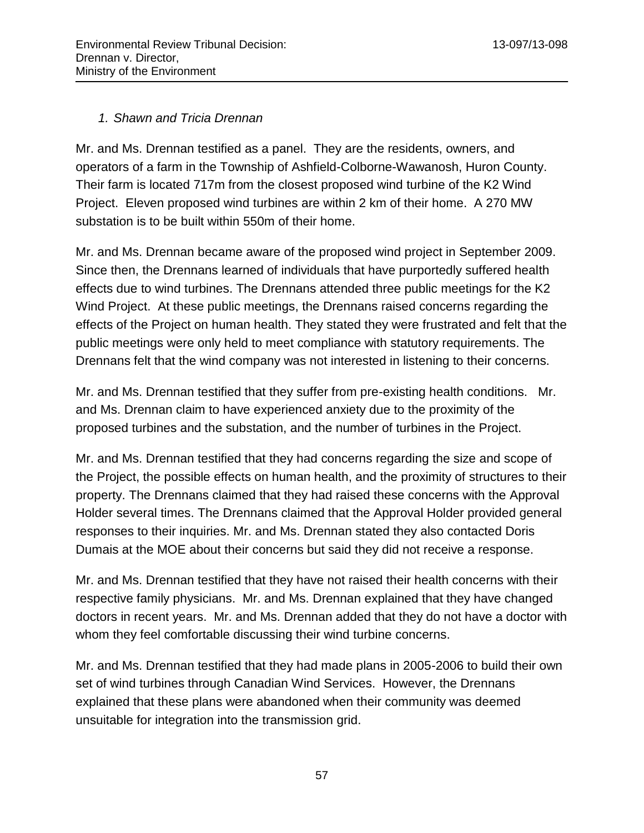### *1. Shawn and Tricia Drennan*

Mr. and Ms. Drennan testified as a panel. They are the residents, owners, and operators of a farm in the Township of Ashfield-Colborne-Wawanosh, Huron County. Their farm is located 717m from the closest proposed wind turbine of the K2 Wind Project. Eleven proposed wind turbines are within 2 km of their home. A 270 MW substation is to be built within 550m of their home.

Mr. and Ms. Drennan became aware of the proposed wind project in September 2009. Since then, the Drennans learned of individuals that have purportedly suffered health effects due to wind turbines. The Drennans attended three public meetings for the K2 Wind Project. At these public meetings, the Drennans raised concerns regarding the effects of the Project on human health. They stated they were frustrated and felt that the public meetings were only held to meet compliance with statutory requirements. The Drennans felt that the wind company was not interested in listening to their concerns.

Mr. and Ms. Drennan testified that they suffer from pre-existing health conditions. Mr. and Ms. Drennan claim to have experienced anxiety due to the proximity of the proposed turbines and the substation, and the number of turbines in the Project.

Mr. and Ms. Drennan testified that they had concerns regarding the size and scope of the Project, the possible effects on human health, and the proximity of structures to their property. The Drennans claimed that they had raised these concerns with the Approval Holder several times. The Drennans claimed that the Approval Holder provided general responses to their inquiries. Mr. and Ms. Drennan stated they also contacted Doris Dumais at the MOE about their concerns but said they did not receive a response.

Mr. and Ms. Drennan testified that they have not raised their health concerns with their respective family physicians. Mr. and Ms. Drennan explained that they have changed doctors in recent years. Mr. and Ms. Drennan added that they do not have a doctor with whom they feel comfortable discussing their wind turbine concerns.

Mr. and Ms. Drennan testified that they had made plans in 2005-2006 to build their own set of wind turbines through Canadian Wind Services. However, the Drennans explained that these plans were abandoned when their community was deemed unsuitable for integration into the transmission grid.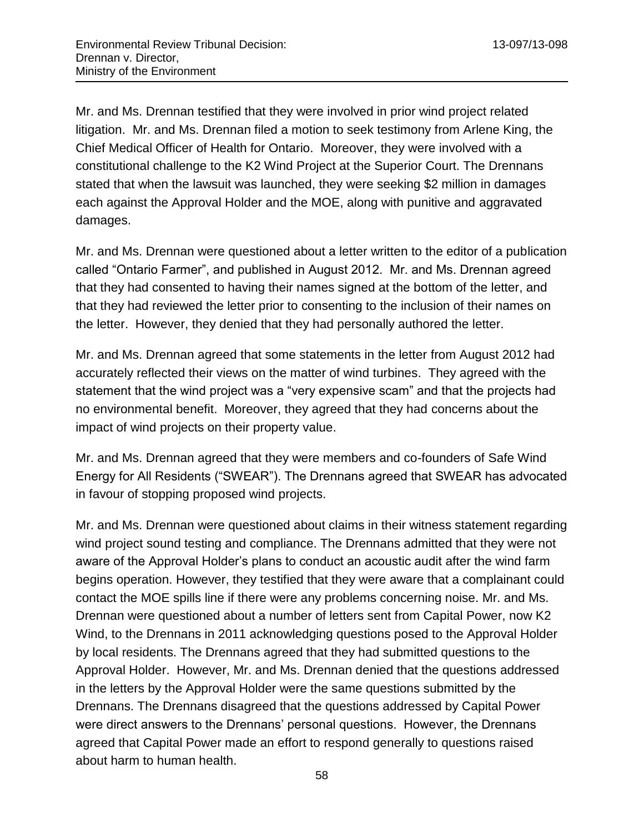Mr. and Ms. Drennan testified that they were involved in prior wind project related litigation. Mr. and Ms. Drennan filed a motion to seek testimony from Arlene King, the Chief Medical Officer of Health for Ontario. Moreover, they were involved with a constitutional challenge to the K2 Wind Project at the Superior Court. The Drennans stated that when the lawsuit was launched, they were seeking \$2 million in damages each against the Approval Holder and the MOE, along with punitive and aggravated damages.

Mr. and Ms. Drennan were questioned about a letter written to the editor of a publication called "Ontario Farmer", and published in August 2012. Mr. and Ms. Drennan agreed that they had consented to having their names signed at the bottom of the letter, and that they had reviewed the letter prior to consenting to the inclusion of their names on the letter. However, they denied that they had personally authored the letter.

Mr. and Ms. Drennan agreed that some statements in the letter from August 2012 had accurately reflected their views on the matter of wind turbines. They agreed with the statement that the wind project was a "very expensive scam" and that the projects had no environmental benefit. Moreover, they agreed that they had concerns about the impact of wind projects on their property value.

Mr. and Ms. Drennan agreed that they were members and co-founders of Safe Wind Energy for All Residents ("SWEAR"). The Drennans agreed that SWEAR has advocated in favour of stopping proposed wind projects.

Mr. and Ms. Drennan were questioned about claims in their witness statement regarding wind project sound testing and compliance. The Drennans admitted that they were not aware of the Approval Holder's plans to conduct an acoustic audit after the wind farm begins operation. However, they testified that they were aware that a complainant could contact the MOE spills line if there were any problems concerning noise. Mr. and Ms. Drennan were questioned about a number of letters sent from Capital Power, now K2 Wind, to the Drennans in 2011 acknowledging questions posed to the Approval Holder by local residents. The Drennans agreed that they had submitted questions to the Approval Holder. However, Mr. and Ms. Drennan denied that the questions addressed in the letters by the Approval Holder were the same questions submitted by the Drennans. The Drennans disagreed that the questions addressed by Capital Power were direct answers to the Drennans' personal questions. However, the Drennans agreed that Capital Power made an effort to respond generally to questions raised about harm to human health.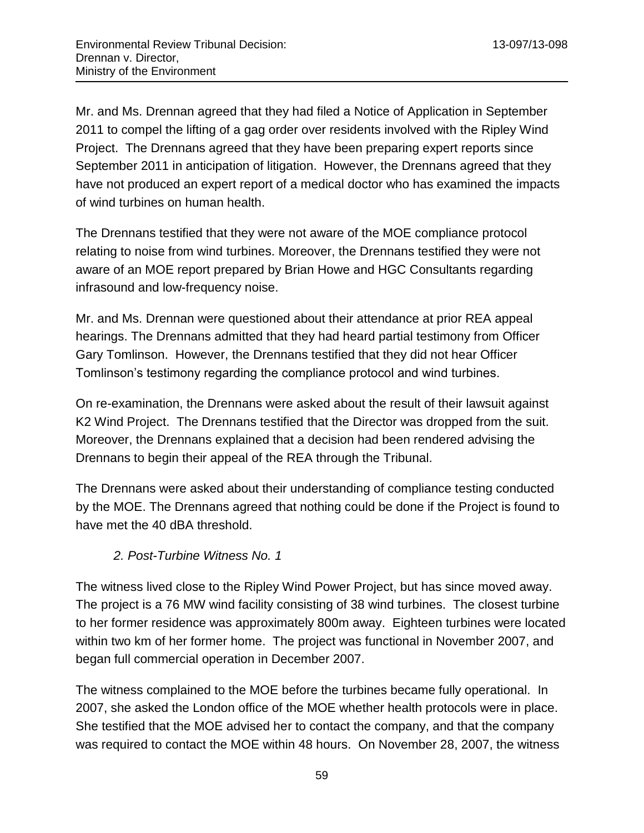Mr. and Ms. Drennan agreed that they had filed a Notice of Application in September 2011 to compel the lifting of a gag order over residents involved with the Ripley Wind Project. The Drennans agreed that they have been preparing expert reports since September 2011 in anticipation of litigation. However, the Drennans agreed that they have not produced an expert report of a medical doctor who has examined the impacts of wind turbines on human health.

The Drennans testified that they were not aware of the MOE compliance protocol relating to noise from wind turbines. Moreover, the Drennans testified they were not aware of an MOE report prepared by Brian Howe and HGC Consultants regarding infrasound and low-frequency noise.

Mr. and Ms. Drennan were questioned about their attendance at prior REA appeal hearings. The Drennans admitted that they had heard partial testimony from Officer Gary Tomlinson. However, the Drennans testified that they did not hear Officer Tomlinson's testimony regarding the compliance protocol and wind turbines.

On re-examination, the Drennans were asked about the result of their lawsuit against K2 Wind Project. The Drennans testified that the Director was dropped from the suit. Moreover, the Drennans explained that a decision had been rendered advising the Drennans to begin their appeal of the REA through the Tribunal.

The Drennans were asked about their understanding of compliance testing conducted by the MOE. The Drennans agreed that nothing could be done if the Project is found to have met the 40 dBA threshold.

### *2. Post-Turbine Witness No. 1*

The witness lived close to the Ripley Wind Power Project, but has since moved away. The project is a 76 MW wind facility consisting of 38 wind turbines. The closest turbine to her former residence was approximately 800m away. Eighteen turbines were located within two km of her former home. The project was functional in November 2007, and began full commercial operation in December 2007.

The witness complained to the MOE before the turbines became fully operational. In 2007, she asked the London office of the MOE whether health protocols were in place. She testified that the MOE advised her to contact the company, and that the company was required to contact the MOE within 48 hours. On November 28, 2007, the witness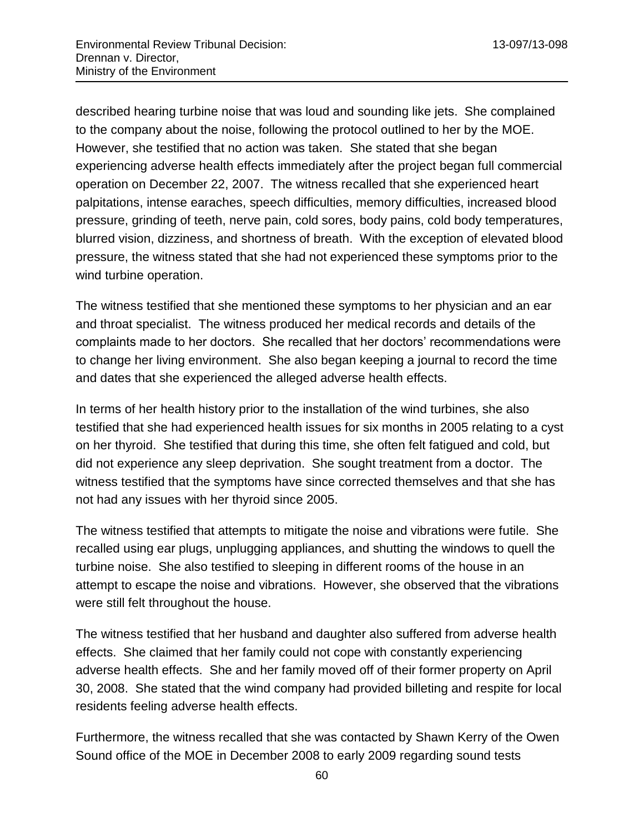described hearing turbine noise that was loud and sounding like jets. She complained to the company about the noise, following the protocol outlined to her by the MOE. However, she testified that no action was taken. She stated that she began experiencing adverse health effects immediately after the project began full commercial operation on December 22, 2007. The witness recalled that she experienced heart palpitations, intense earaches, speech difficulties, memory difficulties, increased blood pressure, grinding of teeth, nerve pain, cold sores, body pains, cold body temperatures, blurred vision, dizziness, and shortness of breath. With the exception of elevated blood pressure, the witness stated that she had not experienced these symptoms prior to the wind turbine operation.

The witness testified that she mentioned these symptoms to her physician and an ear and throat specialist. The witness produced her medical records and details of the complaints made to her doctors. She recalled that her doctors' recommendations were to change her living environment. She also began keeping a journal to record the time and dates that she experienced the alleged adverse health effects.

In terms of her health history prior to the installation of the wind turbines, she also testified that she had experienced health issues for six months in 2005 relating to a cyst on her thyroid. She testified that during this time, she often felt fatigued and cold, but did not experience any sleep deprivation. She sought treatment from a doctor. The witness testified that the symptoms have since corrected themselves and that she has not had any issues with her thyroid since 2005.

The witness testified that attempts to mitigate the noise and vibrations were futile. She recalled using ear plugs, unplugging appliances, and shutting the windows to quell the turbine noise. She also testified to sleeping in different rooms of the house in an attempt to escape the noise and vibrations. However, she observed that the vibrations were still felt throughout the house.

The witness testified that her husband and daughter also suffered from adverse health effects. She claimed that her family could not cope with constantly experiencing adverse health effects. She and her family moved off of their former property on April 30, 2008. She stated that the wind company had provided billeting and respite for local residents feeling adverse health effects.

Furthermore, the witness recalled that she was contacted by Shawn Kerry of the Owen Sound office of the MOE in December 2008 to early 2009 regarding sound tests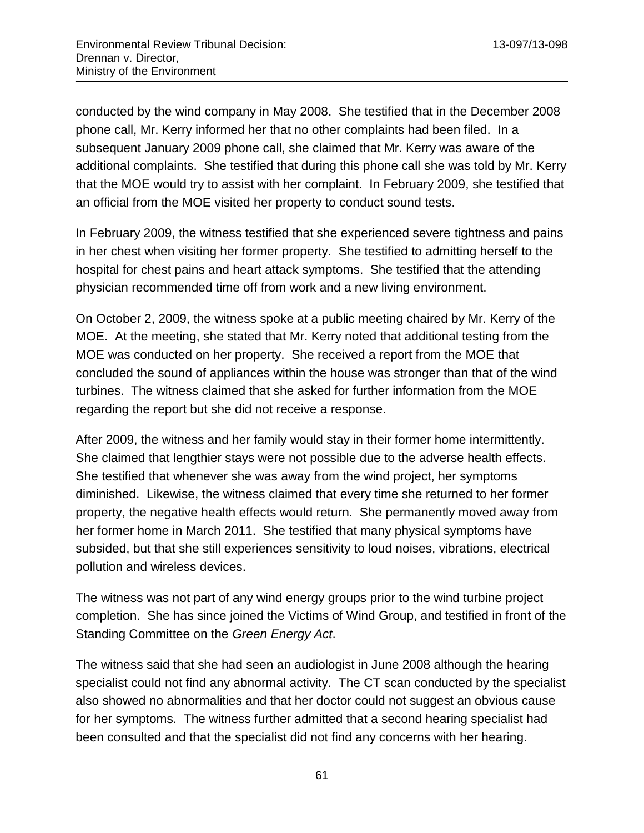conducted by the wind company in May 2008. She testified that in the December 2008 phone call, Mr. Kerry informed her that no other complaints had been filed. In a subsequent January 2009 phone call, she claimed that Mr. Kerry was aware of the additional complaints. She testified that during this phone call she was told by Mr. Kerry that the MOE would try to assist with her complaint. In February 2009, she testified that an official from the MOE visited her property to conduct sound tests.

In February 2009, the witness testified that she experienced severe tightness and pains in her chest when visiting her former property. She testified to admitting herself to the hospital for chest pains and heart attack symptoms. She testified that the attending physician recommended time off from work and a new living environment.

On October 2, 2009, the witness spoke at a public meeting chaired by Mr. Kerry of the MOE. At the meeting, she stated that Mr. Kerry noted that additional testing from the MOE was conducted on her property. She received a report from the MOE that concluded the sound of appliances within the house was stronger than that of the wind turbines. The witness claimed that she asked for further information from the MOE regarding the report but she did not receive a response.

After 2009, the witness and her family would stay in their former home intermittently. She claimed that lengthier stays were not possible due to the adverse health effects. She testified that whenever she was away from the wind project, her symptoms diminished. Likewise, the witness claimed that every time she returned to her former property, the negative health effects would return. She permanently moved away from her former home in March 2011. She testified that many physical symptoms have subsided, but that she still experiences sensitivity to loud noises, vibrations, electrical pollution and wireless devices.

The witness was not part of any wind energy groups prior to the wind turbine project completion. She has since joined the Victims of Wind Group, and testified in front of the Standing Committee on the *Green Energy Act*.

The witness said that she had seen an audiologist in June 2008 although the hearing specialist could not find any abnormal activity. The CT scan conducted by the specialist also showed no abnormalities and that her doctor could not suggest an obvious cause for her symptoms. The witness further admitted that a second hearing specialist had been consulted and that the specialist did not find any concerns with her hearing.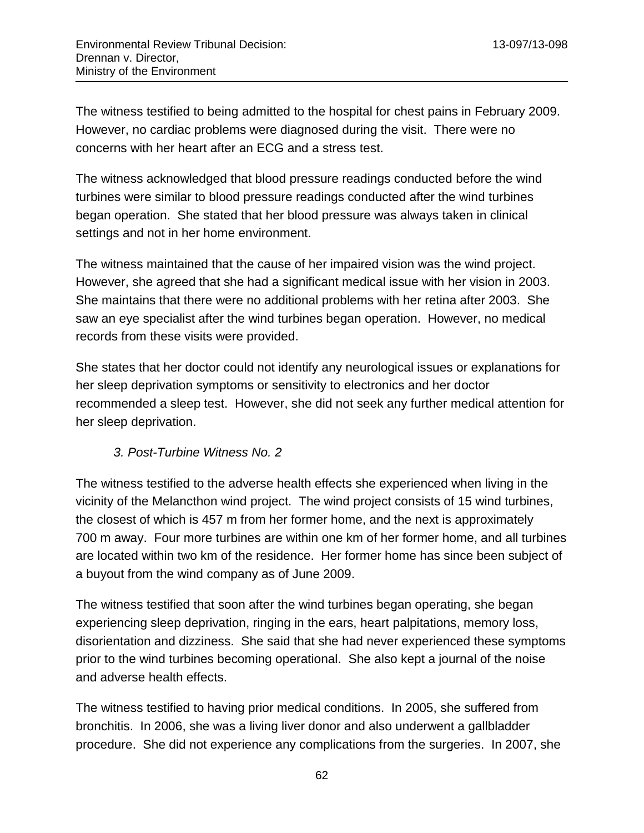The witness testified to being admitted to the hospital for chest pains in February 2009. However, no cardiac problems were diagnosed during the visit. There were no concerns with her heart after an ECG and a stress test.

The witness acknowledged that blood pressure readings conducted before the wind turbines were similar to blood pressure readings conducted after the wind turbines began operation. She stated that her blood pressure was always taken in clinical settings and not in her home environment.

The witness maintained that the cause of her impaired vision was the wind project. However, she agreed that she had a significant medical issue with her vision in 2003. She maintains that there were no additional problems with her retina after 2003. She saw an eye specialist after the wind turbines began operation. However, no medical records from these visits were provided.

She states that her doctor could not identify any neurological issues or explanations for her sleep deprivation symptoms or sensitivity to electronics and her doctor recommended a sleep test. However, she did not seek any further medical attention for her sleep deprivation.

### *3. Post-Turbine Witness No. 2*

The witness testified to the adverse health effects she experienced when living in the vicinity of the Melancthon wind project. The wind project consists of 15 wind turbines, the closest of which is 457 m from her former home, and the next is approximately 700 m away. Four more turbines are within one km of her former home, and all turbines are located within two km of the residence. Her former home has since been subject of a buyout from the wind company as of June 2009.

The witness testified that soon after the wind turbines began operating, she began experiencing sleep deprivation, ringing in the ears, heart palpitations, memory loss, disorientation and dizziness. She said that she had never experienced these symptoms prior to the wind turbines becoming operational. She also kept a journal of the noise and adverse health effects.

The witness testified to having prior medical conditions. In 2005, she suffered from bronchitis. In 2006, she was a living liver donor and also underwent a gallbladder procedure. She did not experience any complications from the surgeries. In 2007, she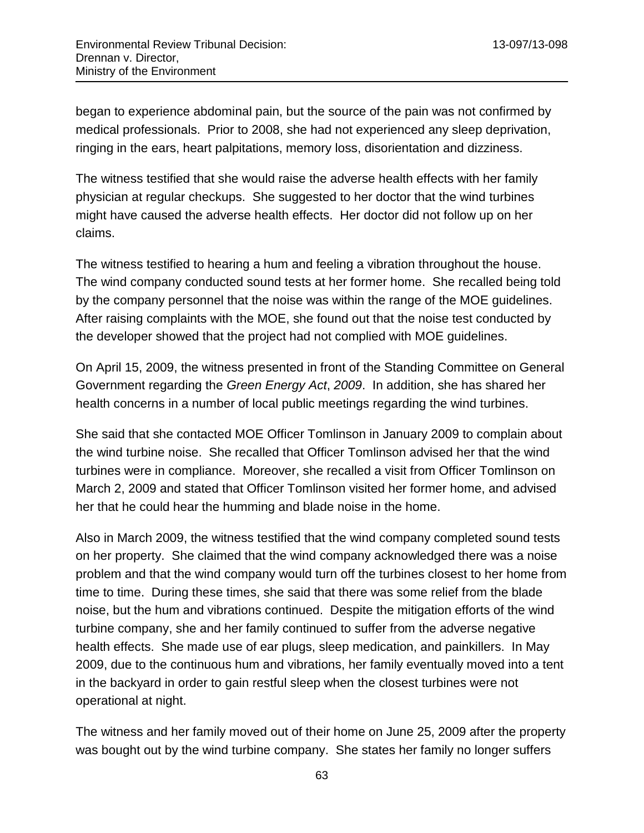began to experience abdominal pain, but the source of the pain was not confirmed by medical professionals. Prior to 2008, she had not experienced any sleep deprivation, ringing in the ears, heart palpitations, memory loss, disorientation and dizziness.

The witness testified that she would raise the adverse health effects with her family physician at regular checkups. She suggested to her doctor that the wind turbines might have caused the adverse health effects. Her doctor did not follow up on her claims.

The witness testified to hearing a hum and feeling a vibration throughout the house. The wind company conducted sound tests at her former home. She recalled being told by the company personnel that the noise was within the range of the MOE guidelines. After raising complaints with the MOE, she found out that the noise test conducted by the developer showed that the project had not complied with MOE guidelines.

On April 15, 2009, the witness presented in front of the Standing Committee on General Government regarding the *Green Energy Act*, *2009*. In addition, she has shared her health concerns in a number of local public meetings regarding the wind turbines.

She said that she contacted MOE Officer Tomlinson in January 2009 to complain about the wind turbine noise. She recalled that Officer Tomlinson advised her that the wind turbines were in compliance. Moreover, she recalled a visit from Officer Tomlinson on March 2, 2009 and stated that Officer Tomlinson visited her former home, and advised her that he could hear the humming and blade noise in the home.

Also in March 2009, the witness testified that the wind company completed sound tests on her property. She claimed that the wind company acknowledged there was a noise problem and that the wind company would turn off the turbines closest to her home from time to time. During these times, she said that there was some relief from the blade noise, but the hum and vibrations continued. Despite the mitigation efforts of the wind turbine company, she and her family continued to suffer from the adverse negative health effects. She made use of ear plugs, sleep medication, and painkillers. In May 2009, due to the continuous hum and vibrations, her family eventually moved into a tent in the backyard in order to gain restful sleep when the closest turbines were not operational at night.

The witness and her family moved out of their home on June 25, 2009 after the property was bought out by the wind turbine company. She states her family no longer suffers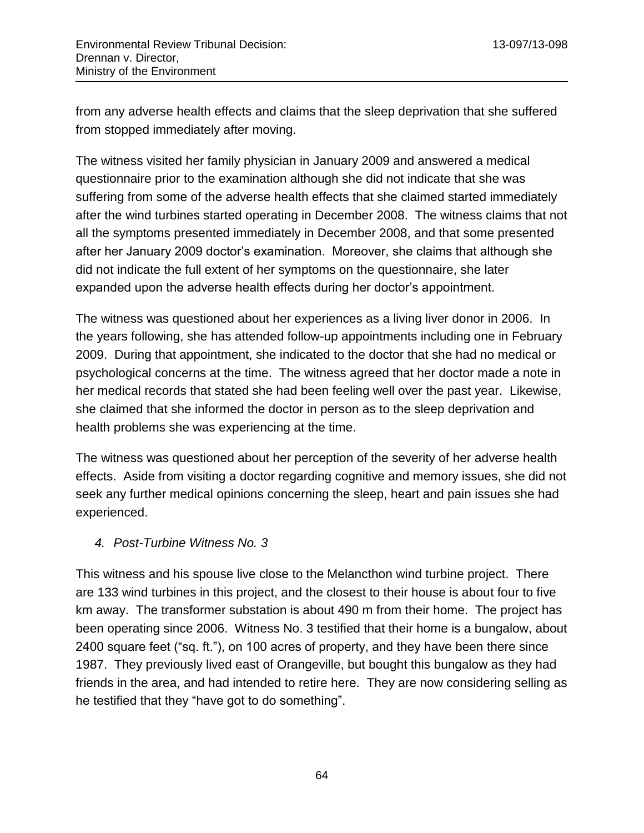from any adverse health effects and claims that the sleep deprivation that she suffered from stopped immediately after moving.

The witness visited her family physician in January 2009 and answered a medical questionnaire prior to the examination although she did not indicate that she was suffering from some of the adverse health effects that she claimed started immediately after the wind turbines started operating in December 2008. The witness claims that not all the symptoms presented immediately in December 2008, and that some presented after her January 2009 doctor's examination. Moreover, she claims that although she did not indicate the full extent of her symptoms on the questionnaire, she later expanded upon the adverse health effects during her doctor's appointment.

The witness was questioned about her experiences as a living liver donor in 2006. In the years following, she has attended follow-up appointments including one in February 2009. During that appointment, she indicated to the doctor that she had no medical or psychological concerns at the time. The witness agreed that her doctor made a note in her medical records that stated she had been feeling well over the past year. Likewise, she claimed that she informed the doctor in person as to the sleep deprivation and health problems she was experiencing at the time.

The witness was questioned about her perception of the severity of her adverse health effects. Aside from visiting a doctor regarding cognitive and memory issues, she did not seek any further medical opinions concerning the sleep, heart and pain issues she had experienced.

#### *4. Post-Turbine Witness No. 3*

This witness and his spouse live close to the Melancthon wind turbine project. There are 133 wind turbines in this project, and the closest to their house is about four to five km away. The transformer substation is about 490 m from their home. The project has been operating since 2006. Witness No. 3 testified that their home is a bungalow, about 2400 square feet ("sq. ft."), on 100 acres of property, and they have been there since 1987. They previously lived east of Orangeville, but bought this bungalow as they had friends in the area, and had intended to retire here. They are now considering selling as he testified that they "have got to do something".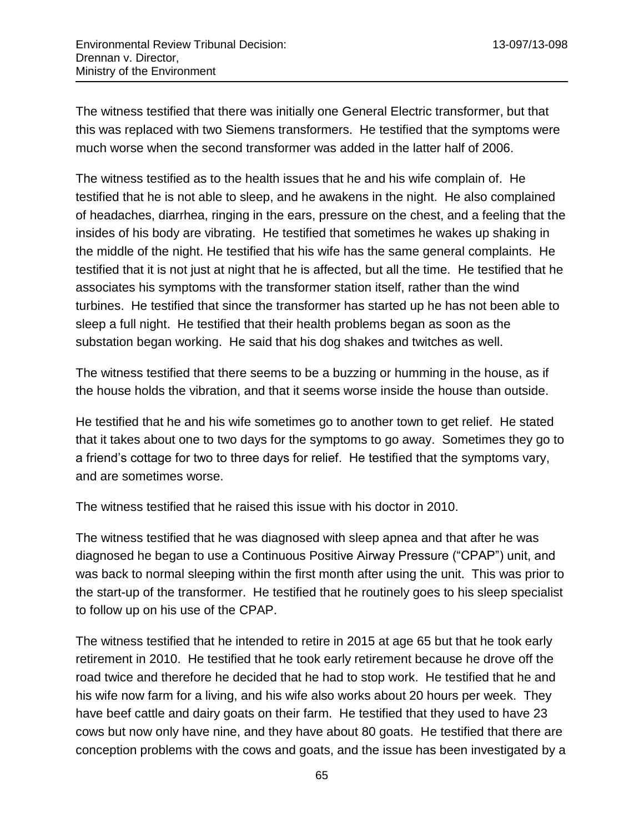The witness testified that there was initially one General Electric transformer, but that this was replaced with two Siemens transformers. He testified that the symptoms were much worse when the second transformer was added in the latter half of 2006.

The witness testified as to the health issues that he and his wife complain of. He testified that he is not able to sleep, and he awakens in the night. He also complained of headaches, diarrhea, ringing in the ears, pressure on the chest, and a feeling that the insides of his body are vibrating. He testified that sometimes he wakes up shaking in the middle of the night. He testified that his wife has the same general complaints. He testified that it is not just at night that he is affected, but all the time. He testified that he associates his symptoms with the transformer station itself, rather than the wind turbines. He testified that since the transformer has started up he has not been able to sleep a full night. He testified that their health problems began as soon as the substation began working. He said that his dog shakes and twitches as well.

The witness testified that there seems to be a buzzing or humming in the house, as if the house holds the vibration, and that it seems worse inside the house than outside.

He testified that he and his wife sometimes go to another town to get relief. He stated that it takes about one to two days for the symptoms to go away. Sometimes they go to a friend's cottage for two to three days for relief. He testified that the symptoms vary, and are sometimes worse.

The witness testified that he raised this issue with his doctor in 2010.

The witness testified that he was diagnosed with sleep apnea and that after he was diagnosed he began to use a Continuous Positive Airway Pressure ("CPAP") unit, and was back to normal sleeping within the first month after using the unit. This was prior to the start-up of the transformer. He testified that he routinely goes to his sleep specialist to follow up on his use of the CPAP.

The witness testified that he intended to retire in 2015 at age 65 but that he took early retirement in 2010. He testified that he took early retirement because he drove off the road twice and therefore he decided that he had to stop work. He testified that he and his wife now farm for a living, and his wife also works about 20 hours per week. They have beef cattle and dairy goats on their farm. He testified that they used to have 23 cows but now only have nine, and they have about 80 goats. He testified that there are conception problems with the cows and goats, and the issue has been investigated by a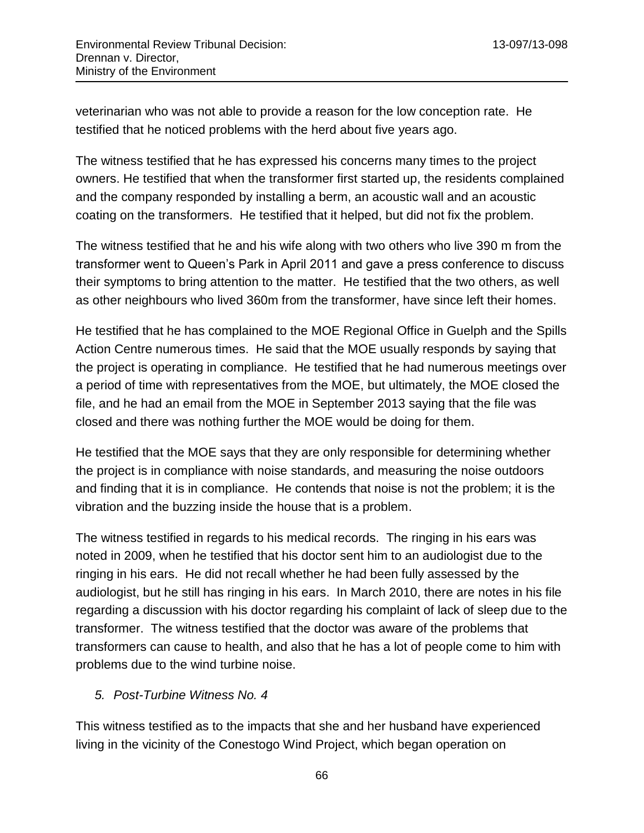veterinarian who was not able to provide a reason for the low conception rate. He testified that he noticed problems with the herd about five years ago.

The witness testified that he has expressed his concerns many times to the project owners. He testified that when the transformer first started up, the residents complained and the company responded by installing a berm, an acoustic wall and an acoustic coating on the transformers. He testified that it helped, but did not fix the problem.

The witness testified that he and his wife along with two others who live 390 m from the transformer went to Queen's Park in April 2011 and gave a press conference to discuss their symptoms to bring attention to the matter. He testified that the two others, as well as other neighbours who lived 360m from the transformer, have since left their homes.

He testified that he has complained to the MOE Regional Office in Guelph and the Spills Action Centre numerous times. He said that the MOE usually responds by saying that the project is operating in compliance. He testified that he had numerous meetings over a period of time with representatives from the MOE, but ultimately, the MOE closed the file, and he had an email from the MOE in September 2013 saying that the file was closed and there was nothing further the MOE would be doing for them.

He testified that the MOE says that they are only responsible for determining whether the project is in compliance with noise standards, and measuring the noise outdoors and finding that it is in compliance. He contends that noise is not the problem; it is the vibration and the buzzing inside the house that is a problem.

The witness testified in regards to his medical records. The ringing in his ears was noted in 2009, when he testified that his doctor sent him to an audiologist due to the ringing in his ears. He did not recall whether he had been fully assessed by the audiologist, but he still has ringing in his ears. In March 2010, there are notes in his file regarding a discussion with his doctor regarding his complaint of lack of sleep due to the transformer. The witness testified that the doctor was aware of the problems that transformers can cause to health, and also that he has a lot of people come to him with problems due to the wind turbine noise.

### *5. Post-Turbine Witness No. 4*

This witness testified as to the impacts that she and her husband have experienced living in the vicinity of the Conestogo Wind Project, which began operation on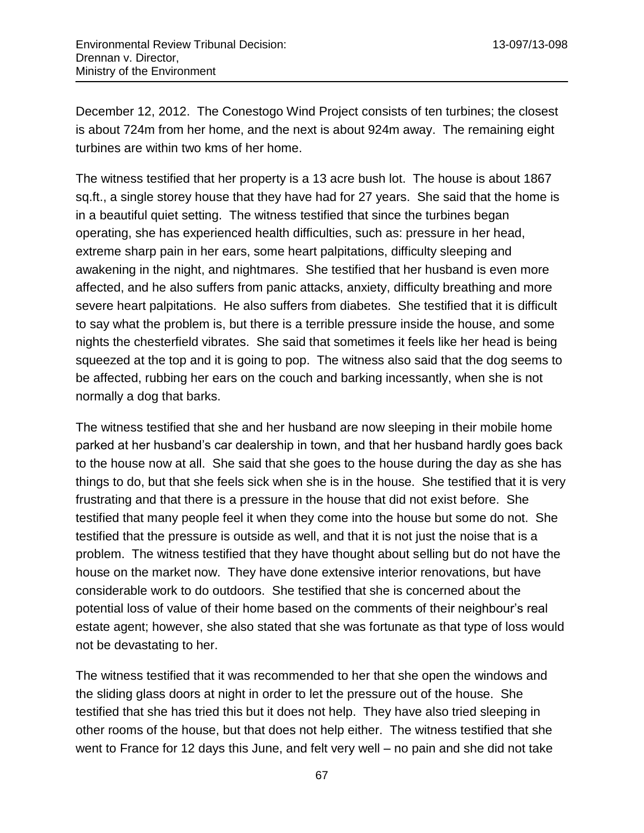December 12, 2012. The Conestogo Wind Project consists of ten turbines; the closest is about 724m from her home, and the next is about 924m away. The remaining eight turbines are within two kms of her home.

The witness testified that her property is a 13 acre bush lot. The house is about 1867 sq.ft., a single storey house that they have had for 27 years. She said that the home is in a beautiful quiet setting. The witness testified that since the turbines began operating, she has experienced health difficulties, such as: pressure in her head, extreme sharp pain in her ears, some heart palpitations, difficulty sleeping and awakening in the night, and nightmares. She testified that her husband is even more affected, and he also suffers from panic attacks, anxiety, difficulty breathing and more severe heart palpitations. He also suffers from diabetes. She testified that it is difficult to say what the problem is, but there is a terrible pressure inside the house, and some nights the chesterfield vibrates. She said that sometimes it feels like her head is being squeezed at the top and it is going to pop. The witness also said that the dog seems to be affected, rubbing her ears on the couch and barking incessantly, when she is not normally a dog that barks.

The witness testified that she and her husband are now sleeping in their mobile home parked at her husband's car dealership in town, and that her husband hardly goes back to the house now at all. She said that she goes to the house during the day as she has things to do, but that she feels sick when she is in the house. She testified that it is very frustrating and that there is a pressure in the house that did not exist before. She testified that many people feel it when they come into the house but some do not. She testified that the pressure is outside as well, and that it is not just the noise that is a problem. The witness testified that they have thought about selling but do not have the house on the market now. They have done extensive interior renovations, but have considerable work to do outdoors. She testified that she is concerned about the potential loss of value of their home based on the comments of their neighbour's real estate agent; however, she also stated that she was fortunate as that type of loss would not be devastating to her.

The witness testified that it was recommended to her that she open the windows and the sliding glass doors at night in order to let the pressure out of the house. She testified that she has tried this but it does not help. They have also tried sleeping in other rooms of the house, but that does not help either. The witness testified that she went to France for 12 days this June, and felt very well – no pain and she did not take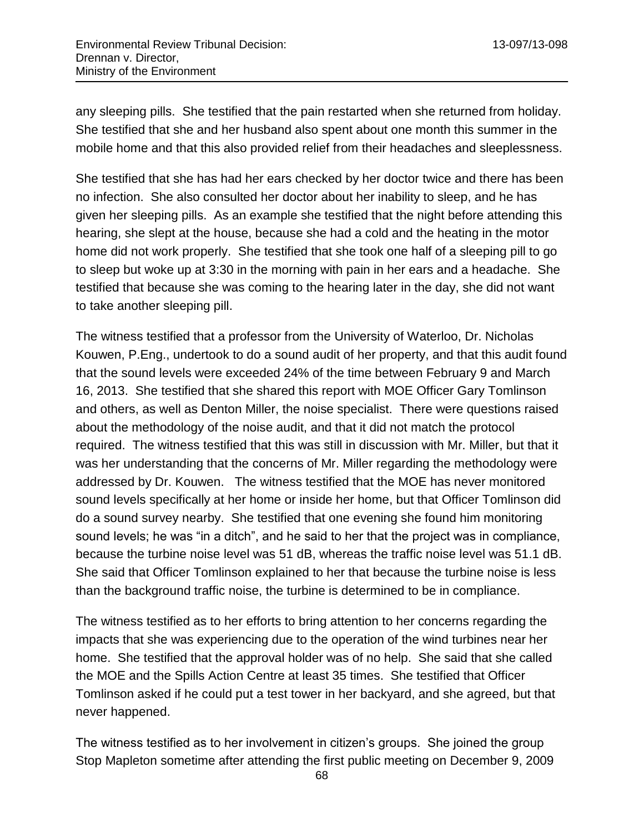any sleeping pills. She testified that the pain restarted when she returned from holiday. She testified that she and her husband also spent about one month this summer in the mobile home and that this also provided relief from their headaches and sleeplessness.

She testified that she has had her ears checked by her doctor twice and there has been no infection. She also consulted her doctor about her inability to sleep, and he has given her sleeping pills. As an example she testified that the night before attending this hearing, she slept at the house, because she had a cold and the heating in the motor home did not work properly. She testified that she took one half of a sleeping pill to go to sleep but woke up at 3:30 in the morning with pain in her ears and a headache. She testified that because she was coming to the hearing later in the day, she did not want to take another sleeping pill.

The witness testified that a professor from the University of Waterloo, Dr. Nicholas Kouwen, P.Eng., undertook to do a sound audit of her property, and that this audit found that the sound levels were exceeded 24% of the time between February 9 and March 16, 2013. She testified that she shared this report with MOE Officer Gary Tomlinson and others, as well as Denton Miller, the noise specialist. There were questions raised about the methodology of the noise audit, and that it did not match the protocol required. The witness testified that this was still in discussion with Mr. Miller, but that it was her understanding that the concerns of Mr. Miller regarding the methodology were addressed by Dr. Kouwen. The witness testified that the MOE has never monitored sound levels specifically at her home or inside her home, but that Officer Tomlinson did do a sound survey nearby. She testified that one evening she found him monitoring sound levels; he was "in a ditch", and he said to her that the project was in compliance, because the turbine noise level was 51 dB, whereas the traffic noise level was 51.1 dB. She said that Officer Tomlinson explained to her that because the turbine noise is less than the background traffic noise, the turbine is determined to be in compliance.

The witness testified as to her efforts to bring attention to her concerns regarding the impacts that she was experiencing due to the operation of the wind turbines near her home. She testified that the approval holder was of no help. She said that she called the MOE and the Spills Action Centre at least 35 times. She testified that Officer Tomlinson asked if he could put a test tower in her backyard, and she agreed, but that never happened.

The witness testified as to her involvement in citizen's groups. She joined the group Stop Mapleton sometime after attending the first public meeting on December 9, 2009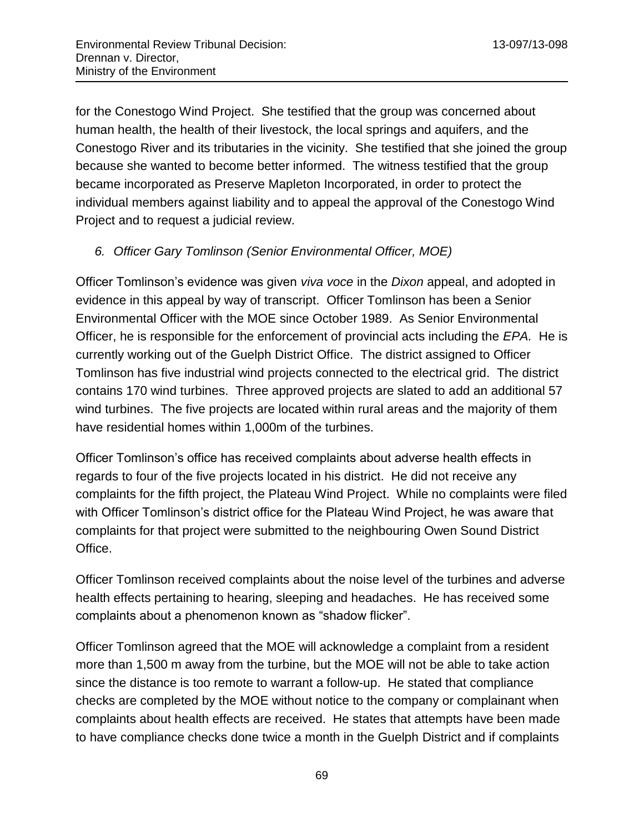for the Conestogo Wind Project. She testified that the group was concerned about human health, the health of their livestock, the local springs and aquifers, and the Conestogo River and its tributaries in the vicinity. She testified that she joined the group because she wanted to become better informed. The witness testified that the group became incorporated as Preserve Mapleton Incorporated, in order to protect the individual members against liability and to appeal the approval of the Conestogo Wind Project and to request a judicial review.

## *6. Officer Gary Tomlinson (Senior Environmental Officer, MOE)*

Officer Tomlinson's evidence was given *viva voce* in the *Dixon* appeal, and adopted in evidence in this appeal by way of transcript. Officer Tomlinson has been a Senior Environmental Officer with the MOE since October 1989. As Senior Environmental Officer, he is responsible for the enforcement of provincial acts including the *EPA.* He is currently working out of the Guelph District Office. The district assigned to Officer Tomlinson has five industrial wind projects connected to the electrical grid. The district contains 170 wind turbines. Three approved projects are slated to add an additional 57 wind turbines. The five projects are located within rural areas and the majority of them have residential homes within 1,000m of the turbines.

Officer Tomlinson's office has received complaints about adverse health effects in regards to four of the five projects located in his district. He did not receive any complaints for the fifth project, the Plateau Wind Project. While no complaints were filed with Officer Tomlinson's district office for the Plateau Wind Project, he was aware that complaints for that project were submitted to the neighbouring Owen Sound District Office.

Officer Tomlinson received complaints about the noise level of the turbines and adverse health effects pertaining to hearing, sleeping and headaches. He has received some complaints about a phenomenon known as "shadow flicker".

Officer Tomlinson agreed that the MOE will acknowledge a complaint from a resident more than 1,500 m away from the turbine, but the MOE will not be able to take action since the distance is too remote to warrant a follow-up. He stated that compliance checks are completed by the MOE without notice to the company or complainant when complaints about health effects are received. He states that attempts have been made to have compliance checks done twice a month in the Guelph District and if complaints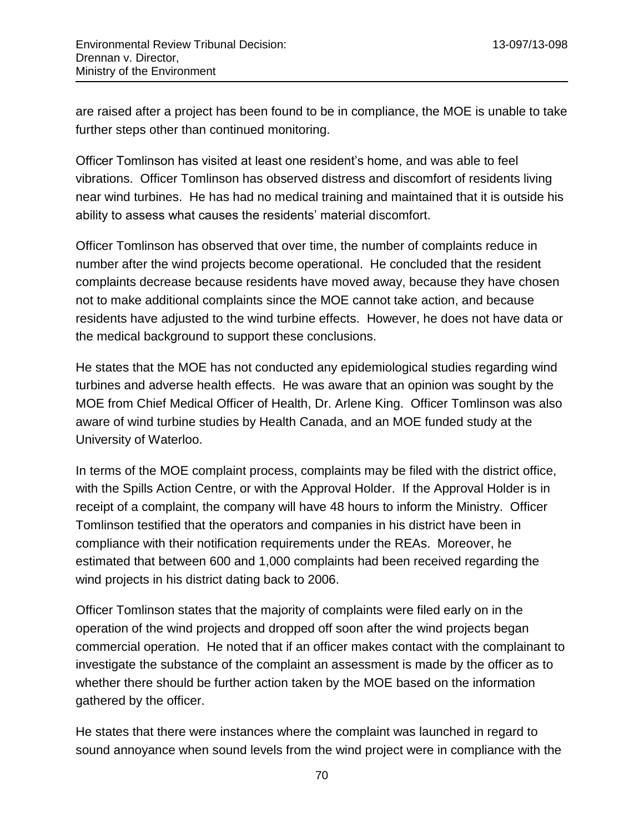are raised after a project has been found to be in compliance, the MOE is unable to take further steps other than continued monitoring.

Officer Tomlinson has visited at least one resident's home, and was able to feel vibrations. Officer Tomlinson has observed distress and discomfort of residents living near wind turbines. He has had no medical training and maintained that it is outside his ability to assess what causes the residents' material discomfort.

Officer Tomlinson has observed that over time, the number of complaints reduce in number after the wind projects become operational. He concluded that the resident complaints decrease because residents have moved away, because they have chosen not to make additional complaints since the MOE cannot take action, and because residents have adjusted to the wind turbine effects. However, he does not have data or the medical background to support these conclusions.

He states that the MOE has not conducted any epidemiological studies regarding wind turbines and adverse health effects. He was aware that an opinion was sought by the MOE from Chief Medical Officer of Health, Dr. Arlene King. Officer Tomlinson was also aware of wind turbine studies by Health Canada, and an MOE funded study at the University of Waterloo.

In terms of the MOE complaint process, complaints may be filed with the district office, with the Spills Action Centre, or with the Approval Holder. If the Approval Holder is in receipt of a complaint, the company will have 48 hours to inform the Ministry. Officer Tomlinson testified that the operators and companies in his district have been in compliance with their notification requirements under the REAs. Moreover, he estimated that between 600 and 1,000 complaints had been received regarding the wind projects in his district dating back to 2006.

Officer Tomlinson states that the majority of complaints were filed early on in the operation of the wind projects and dropped off soon after the wind projects began commercial operation. He noted that if an officer makes contact with the complainant to investigate the substance of the complaint an assessment is made by the officer as to whether there should be further action taken by the MOE based on the information gathered by the officer.

He states that there were instances where the complaint was launched in regard to sound annoyance when sound levels from the wind project were in compliance with the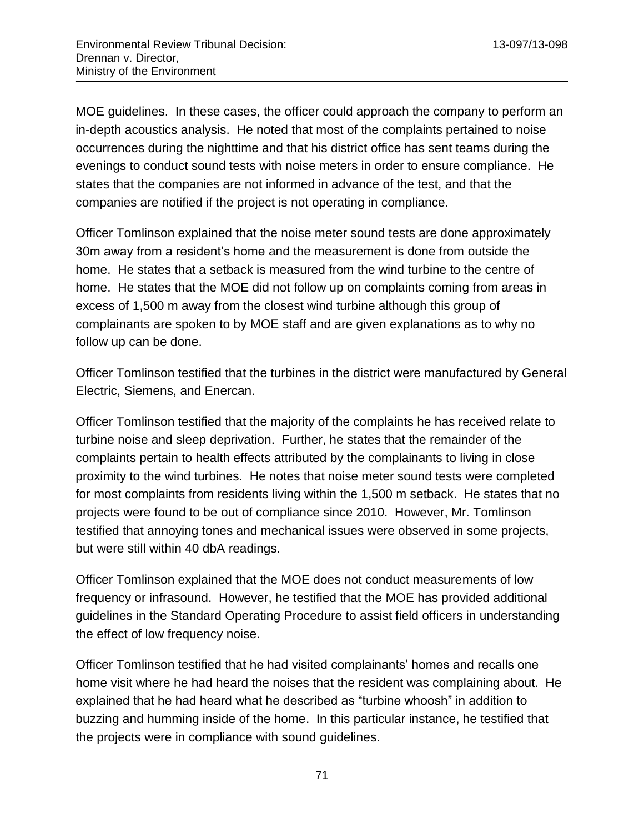MOE guidelines. In these cases, the officer could approach the company to perform an in-depth acoustics analysis. He noted that most of the complaints pertained to noise occurrences during the nighttime and that his district office has sent teams during the evenings to conduct sound tests with noise meters in order to ensure compliance. He states that the companies are not informed in advance of the test, and that the companies are notified if the project is not operating in compliance.

Officer Tomlinson explained that the noise meter sound tests are done approximately 30m away from a resident's home and the measurement is done from outside the home. He states that a setback is measured from the wind turbine to the centre of home. He states that the MOE did not follow up on complaints coming from areas in excess of 1,500 m away from the closest wind turbine although this group of complainants are spoken to by MOE staff and are given explanations as to why no follow up can be done.

Officer Tomlinson testified that the turbines in the district were manufactured by General Electric, Siemens, and Enercan.

Officer Tomlinson testified that the majority of the complaints he has received relate to turbine noise and sleep deprivation. Further, he states that the remainder of the complaints pertain to health effects attributed by the complainants to living in close proximity to the wind turbines. He notes that noise meter sound tests were completed for most complaints from residents living within the 1,500 m setback. He states that no projects were found to be out of compliance since 2010. However, Mr. Tomlinson testified that annoying tones and mechanical issues were observed in some projects, but were still within 40 dbA readings.

Officer Tomlinson explained that the MOE does not conduct measurements of low frequency or infrasound. However, he testified that the MOE has provided additional guidelines in the Standard Operating Procedure to assist field officers in understanding the effect of low frequency noise.

Officer Tomlinson testified that he had visited complainants' homes and recalls one home visit where he had heard the noises that the resident was complaining about. He explained that he had heard what he described as "turbine whoosh" in addition to buzzing and humming inside of the home. In this particular instance, he testified that the projects were in compliance with sound guidelines.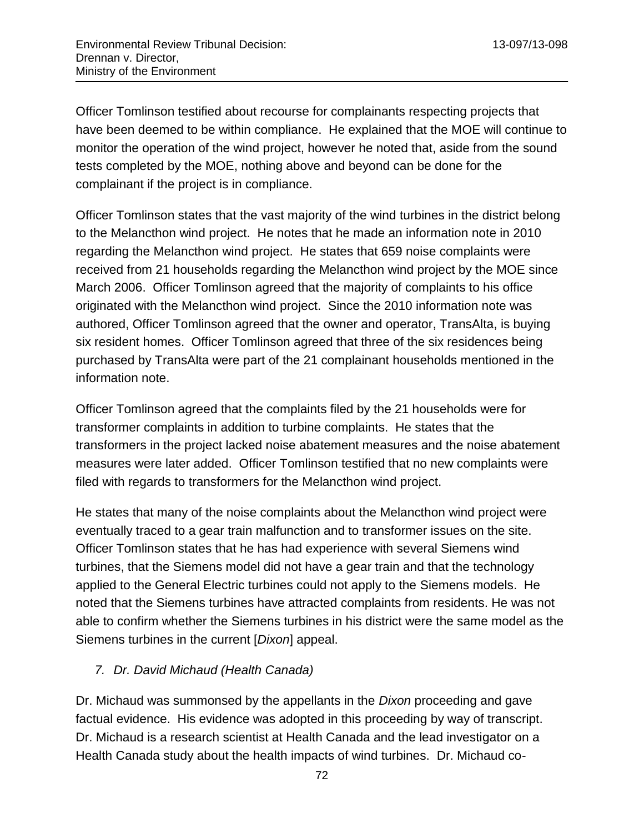Officer Tomlinson testified about recourse for complainants respecting projects that have been deemed to be within compliance. He explained that the MOE will continue to monitor the operation of the wind project, however he noted that, aside from the sound tests completed by the MOE, nothing above and beyond can be done for the complainant if the project is in compliance.

Officer Tomlinson states that the vast majority of the wind turbines in the district belong to the Melancthon wind project. He notes that he made an information note in 2010 regarding the Melancthon wind project. He states that 659 noise complaints were received from 21 households regarding the Melancthon wind project by the MOE since March 2006. Officer Tomlinson agreed that the majority of complaints to his office originated with the Melancthon wind project. Since the 2010 information note was authored, Officer Tomlinson agreed that the owner and operator, TransAlta, is buying six resident homes. Officer Tomlinson agreed that three of the six residences being purchased by TransAlta were part of the 21 complainant households mentioned in the information note.

Officer Tomlinson agreed that the complaints filed by the 21 households were for transformer complaints in addition to turbine complaints. He states that the transformers in the project lacked noise abatement measures and the noise abatement measures were later added. Officer Tomlinson testified that no new complaints were filed with regards to transformers for the Melancthon wind project.

He states that many of the noise complaints about the Melancthon wind project were eventually traced to a gear train malfunction and to transformer issues on the site. Officer Tomlinson states that he has had experience with several Siemens wind turbines, that the Siemens model did not have a gear train and that the technology applied to the General Electric turbines could not apply to the Siemens models. He noted that the Siemens turbines have attracted complaints from residents. He was not able to confirm whether the Siemens turbines in his district were the same model as the Siemens turbines in the current [*Dixon*] appeal.

### *7. Dr. David Michaud (Health Canada)*

Dr. Michaud was summonsed by the appellants in the *Dixon* proceeding and gave factual evidence. His evidence was adopted in this proceeding by way of transcript. Dr. Michaud is a research scientist at Health Canada and the lead investigator on a Health Canada study about the health impacts of wind turbines. Dr. Michaud co-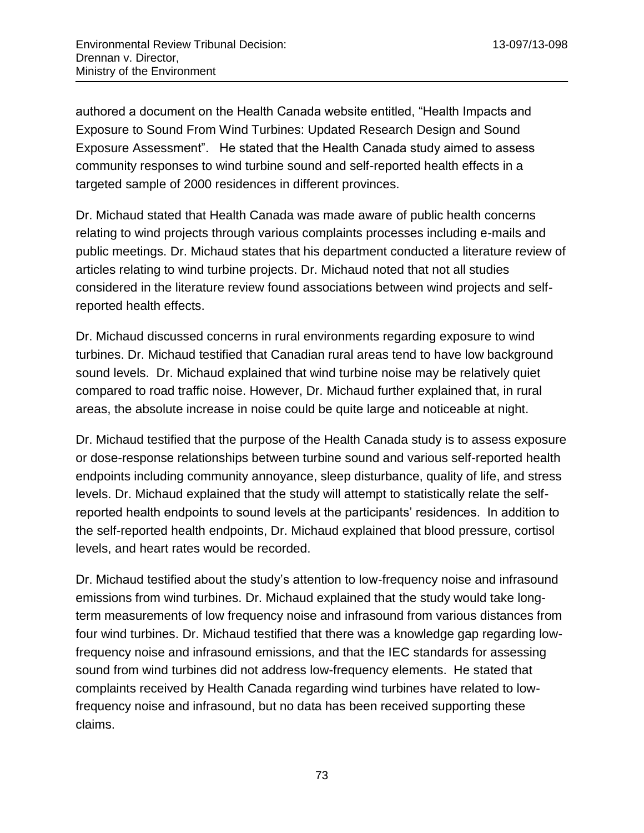authored a document on the Health Canada website entitled, "Health Impacts and Exposure to Sound From Wind Turbines: Updated Research Design and Sound Exposure Assessment". He stated that the Health Canada study aimed to assess community responses to wind turbine sound and self-reported health effects in a targeted sample of 2000 residences in different provinces.

Dr. Michaud stated that Health Canada was made aware of public health concerns relating to wind projects through various complaints processes including e-mails and public meetings. Dr. Michaud states that his department conducted a literature review of articles relating to wind turbine projects. Dr. Michaud noted that not all studies considered in the literature review found associations between wind projects and selfreported health effects.

Dr. Michaud discussed concerns in rural environments regarding exposure to wind turbines. Dr. Michaud testified that Canadian rural areas tend to have low background sound levels. Dr. Michaud explained that wind turbine noise may be relatively quiet compared to road traffic noise. However, Dr. Michaud further explained that, in rural areas, the absolute increase in noise could be quite large and noticeable at night.

Dr. Michaud testified that the purpose of the Health Canada study is to assess exposure or dose-response relationships between turbine sound and various self-reported health endpoints including community annoyance, sleep disturbance, quality of life, and stress levels. Dr. Michaud explained that the study will attempt to statistically relate the selfreported health endpoints to sound levels at the participants' residences. In addition to the self-reported health endpoints, Dr. Michaud explained that blood pressure, cortisol levels, and heart rates would be recorded.

Dr. Michaud testified about the study's attention to low-frequency noise and infrasound emissions from wind turbines. Dr. Michaud explained that the study would take longterm measurements of low frequency noise and infrasound from various distances from four wind turbines. Dr. Michaud testified that there was a knowledge gap regarding lowfrequency noise and infrasound emissions, and that the IEC standards for assessing sound from wind turbines did not address low-frequency elements. He stated that complaints received by Health Canada regarding wind turbines have related to lowfrequency noise and infrasound, but no data has been received supporting these claims.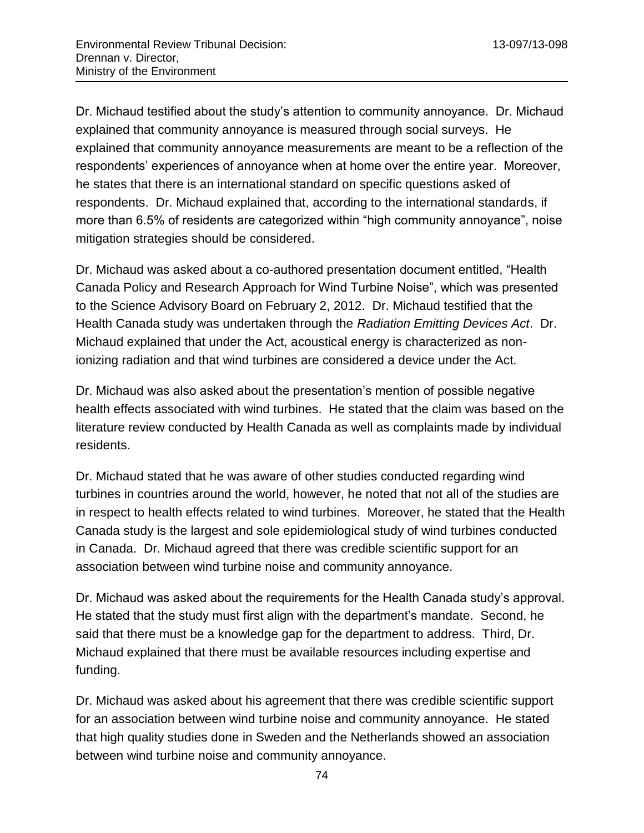Dr. Michaud testified about the study's attention to community annoyance. Dr. Michaud explained that community annoyance is measured through social surveys. He explained that community annoyance measurements are meant to be a reflection of the respondents' experiences of annoyance when at home over the entire year. Moreover, he states that there is an international standard on specific questions asked of respondents. Dr. Michaud explained that, according to the international standards, if more than 6.5% of residents are categorized within "high community annoyance", noise mitigation strategies should be considered.

Dr. Michaud was asked about a co-authored presentation document entitled, "Health Canada Policy and Research Approach for Wind Turbine Noise", which was presented to the Science Advisory Board on February 2, 2012. Dr. Michaud testified that the Health Canada study was undertaken through the *Radiation Emitting Devices Act*. Dr. Michaud explained that under the Act, acoustical energy is characterized as nonionizing radiation and that wind turbines are considered a device under the Act.

Dr. Michaud was also asked about the presentation's mention of possible negative health effects associated with wind turbines. He stated that the claim was based on the literature review conducted by Health Canada as well as complaints made by individual residents.

Dr. Michaud stated that he was aware of other studies conducted regarding wind turbines in countries around the world, however, he noted that not all of the studies are in respect to health effects related to wind turbines. Moreover, he stated that the Health Canada study is the largest and sole epidemiological study of wind turbines conducted in Canada. Dr. Michaud agreed that there was credible scientific support for an association between wind turbine noise and community annoyance.

Dr. Michaud was asked about the requirements for the Health Canada study's approval. He stated that the study must first align with the department's mandate. Second, he said that there must be a knowledge gap for the department to address. Third, Dr. Michaud explained that there must be available resources including expertise and funding.

Dr. Michaud was asked about his agreement that there was credible scientific support for an association between wind turbine noise and community annoyance. He stated that high quality studies done in Sweden and the Netherlands showed an association between wind turbine noise and community annoyance.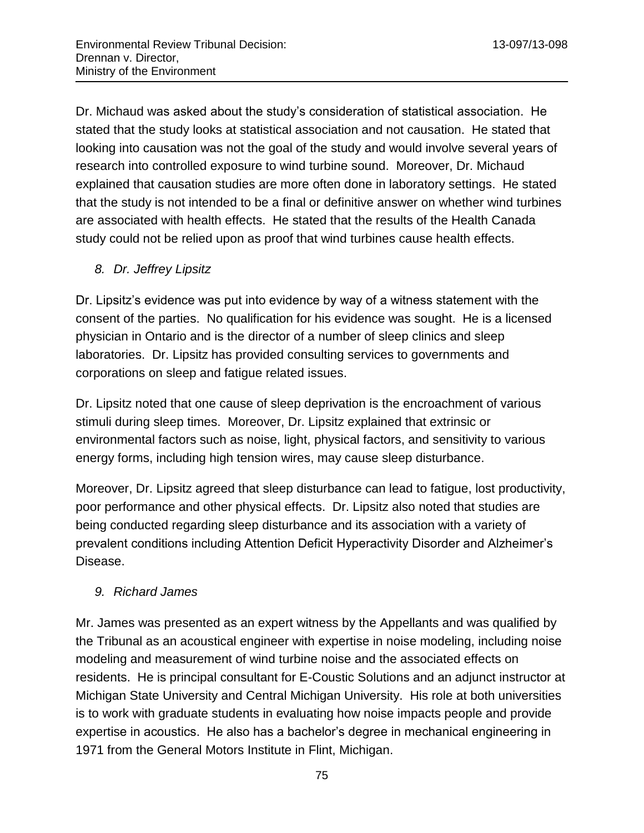Dr. Michaud was asked about the study's consideration of statistical association. He stated that the study looks at statistical association and not causation. He stated that looking into causation was not the goal of the study and would involve several years of research into controlled exposure to wind turbine sound. Moreover, Dr. Michaud explained that causation studies are more often done in laboratory settings. He stated that the study is not intended to be a final or definitive answer on whether wind turbines are associated with health effects. He stated that the results of the Health Canada study could not be relied upon as proof that wind turbines cause health effects.

## *8. Dr. Jeffrey Lipsitz*

Dr. Lipsitz's evidence was put into evidence by way of a witness statement with the consent of the parties. No qualification for his evidence was sought. He is a licensed physician in Ontario and is the director of a number of sleep clinics and sleep laboratories. Dr. Lipsitz has provided consulting services to governments and corporations on sleep and fatigue related issues.

Dr. Lipsitz noted that one cause of sleep deprivation is the encroachment of various stimuli during sleep times. Moreover, Dr. Lipsitz explained that extrinsic or environmental factors such as noise, light, physical factors, and sensitivity to various energy forms, including high tension wires, may cause sleep disturbance.

Moreover, Dr. Lipsitz agreed that sleep disturbance can lead to fatigue, lost productivity, poor performance and other physical effects. Dr. Lipsitz also noted that studies are being conducted regarding sleep disturbance and its association with a variety of prevalent conditions including Attention Deficit Hyperactivity Disorder and Alzheimer's Disease.

## *9. Richard James*

Mr. James was presented as an expert witness by the Appellants and was qualified by the Tribunal as an acoustical engineer with expertise in noise modeling, including noise modeling and measurement of wind turbine noise and the associated effects on residents. He is principal consultant for E-Coustic Solutions and an adjunct instructor at Michigan State University and Central Michigan University. His role at both universities is to work with graduate students in evaluating how noise impacts people and provide expertise in acoustics. He also has a bachelor's degree in mechanical engineering in 1971 from the General Motors Institute in Flint, Michigan.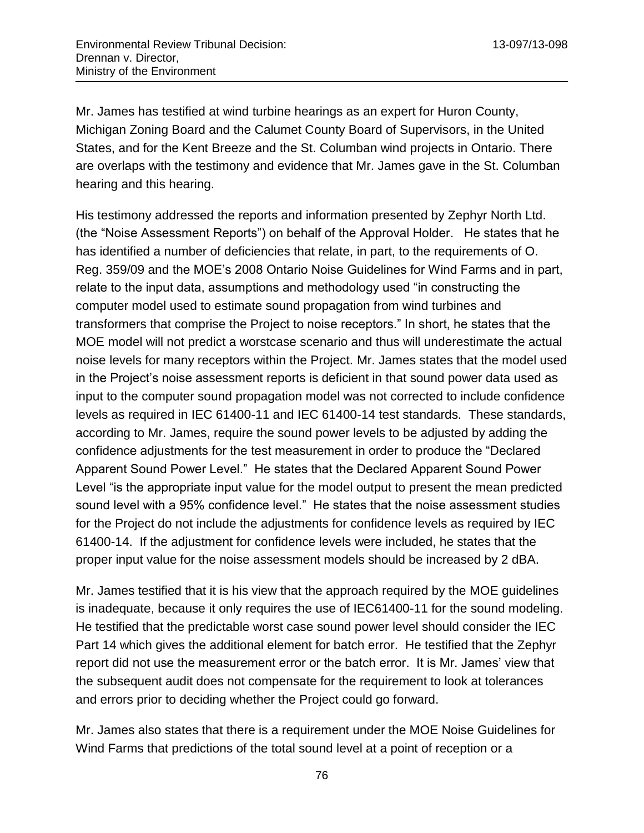Mr. James has testified at wind turbine hearings as an expert for Huron County, Michigan Zoning Board and the Calumet County Board of Supervisors, in the United States, and for the Kent Breeze and the St. Columban wind projects in Ontario. There are overlaps with the testimony and evidence that Mr. James gave in the St. Columban hearing and this hearing.

His testimony addressed the reports and information presented by Zephyr North Ltd. (the "Noise Assessment Reports") on behalf of the Approval Holder. He states that he has identified a number of deficiencies that relate, in part, to the requirements of O. Reg. 359/09 and the MOE's 2008 Ontario Noise Guidelines for Wind Farms and in part, relate to the input data, assumptions and methodology used "in constructing the computer model used to estimate sound propagation from wind turbines and transformers that comprise the Project to noise receptors." In short, he states that the MOE model will not predict a worstcase scenario and thus will underestimate the actual noise levels for many receptors within the Project. Mr. James states that the model used in the Project's noise assessment reports is deficient in that sound power data used as input to the computer sound propagation model was not corrected to include confidence levels as required in IEC 61400-11 and IEC 61400-14 test standards. These standards, according to Mr. James, require the sound power levels to be adjusted by adding the confidence adjustments for the test measurement in order to produce the "Declared Apparent Sound Power Level." He states that the Declared Apparent Sound Power Level "is the appropriate input value for the model output to present the mean predicted sound level with a 95% confidence level." He states that the noise assessment studies for the Project do not include the adjustments for confidence levels as required by IEC 61400-14. If the adjustment for confidence levels were included, he states that the proper input value for the noise assessment models should be increased by 2 dBA.

Mr. James testified that it is his view that the approach required by the MOE guidelines is inadequate, because it only requires the use of IEC61400-11 for the sound modeling. He testified that the predictable worst case sound power level should consider the IEC Part 14 which gives the additional element for batch error. He testified that the Zephyr report did not use the measurement error or the batch error. It is Mr. James' view that the subsequent audit does not compensate for the requirement to look at tolerances and errors prior to deciding whether the Project could go forward.

Mr. James also states that there is a requirement under the MOE Noise Guidelines for Wind Farms that predictions of the total sound level at a point of reception or a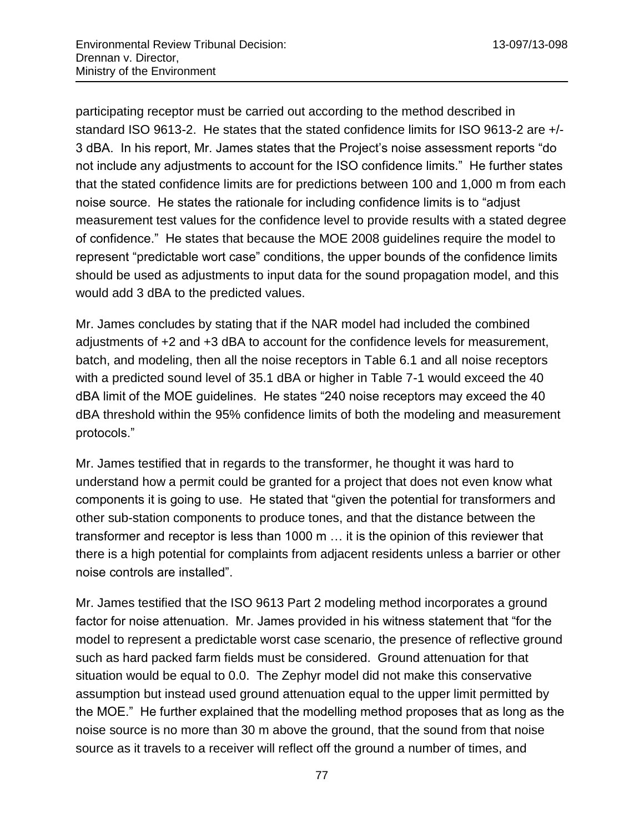participating receptor must be carried out according to the method described in standard ISO 9613-2. He states that the stated confidence limits for ISO 9613-2 are +/- 3 dBA. In his report, Mr. James states that the Project's noise assessment reports "do not include any adjustments to account for the ISO confidence limits." He further states that the stated confidence limits are for predictions between 100 and 1,000 m from each noise source. He states the rationale for including confidence limits is to "adjust measurement test values for the confidence level to provide results with a stated degree of confidence." He states that because the MOE 2008 guidelines require the model to represent "predictable wort case" conditions, the upper bounds of the confidence limits should be used as adjustments to input data for the sound propagation model, and this would add 3 dBA to the predicted values.

Mr. James concludes by stating that if the NAR model had included the combined adjustments of +2 and +3 dBA to account for the confidence levels for measurement, batch, and modeling, then all the noise receptors in Table 6.1 and all noise receptors with a predicted sound level of 35.1 dBA or higher in Table 7-1 would exceed the 40 dBA limit of the MOE guidelines. He states "240 noise receptors may exceed the 40 dBA threshold within the 95% confidence limits of both the modeling and measurement protocols."

Mr. James testified that in regards to the transformer, he thought it was hard to understand how a permit could be granted for a project that does not even know what components it is going to use. He stated that "given the potential for transformers and other sub-station components to produce tones, and that the distance between the transformer and receptor is less than 1000 m … it is the opinion of this reviewer that there is a high potential for complaints from adjacent residents unless a barrier or other noise controls are installed".

Mr. James testified that the ISO 9613 Part 2 modeling method incorporates a ground factor for noise attenuation. Mr. James provided in his witness statement that "for the model to represent a predictable worst case scenario, the presence of reflective ground such as hard packed farm fields must be considered. Ground attenuation for that situation would be equal to 0.0. The Zephyr model did not make this conservative assumption but instead used ground attenuation equal to the upper limit permitted by the MOE." He further explained that the modelling method proposes that as long as the noise source is no more than 30 m above the ground, that the sound from that noise source as it travels to a receiver will reflect off the ground a number of times, and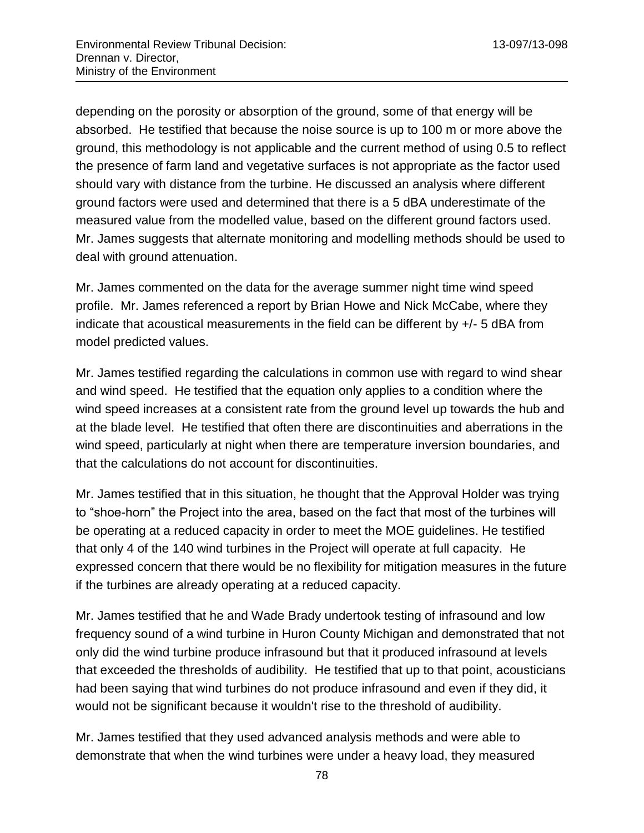depending on the porosity or absorption of the ground, some of that energy will be absorbed. He testified that because the noise source is up to 100 m or more above the ground, this methodology is not applicable and the current method of using 0.5 to reflect the presence of farm land and vegetative surfaces is not appropriate as the factor used should vary with distance from the turbine. He discussed an analysis where different ground factors were used and determined that there is a 5 dBA underestimate of the measured value from the modelled value, based on the different ground factors used. Mr. James suggests that alternate monitoring and modelling methods should be used to deal with ground attenuation.

Mr. James commented on the data for the average summer night time wind speed profile. Mr. James referenced a report by Brian Howe and Nick McCabe, where they indicate that acoustical measurements in the field can be different by +/- 5 dBA from model predicted values.

Mr. James testified regarding the calculations in common use with regard to wind shear and wind speed. He testified that the equation only applies to a condition where the wind speed increases at a consistent rate from the ground level up towards the hub and at the blade level. He testified that often there are discontinuities and aberrations in the wind speed, particularly at night when there are temperature inversion boundaries, and that the calculations do not account for discontinuities.

Mr. James testified that in this situation, he thought that the Approval Holder was trying to "shoe-horn" the Project into the area, based on the fact that most of the turbines will be operating at a reduced capacity in order to meet the MOE guidelines. He testified that only 4 of the 140 wind turbines in the Project will operate at full capacity. He expressed concern that there would be no flexibility for mitigation measures in the future if the turbines are already operating at a reduced capacity.

Mr. James testified that he and Wade Brady undertook testing of infrasound and low frequency sound of a wind turbine in Huron County Michigan and demonstrated that not only did the wind turbine produce infrasound but that it produced infrasound at levels that exceeded the thresholds of audibility. He testified that up to that point, acousticians had been saying that wind turbines do not produce infrasound and even if they did, it would not be significant because it wouldn't rise to the threshold of audibility.

Mr. James testified that they used advanced analysis methods and were able to demonstrate that when the wind turbines were under a heavy load, they measured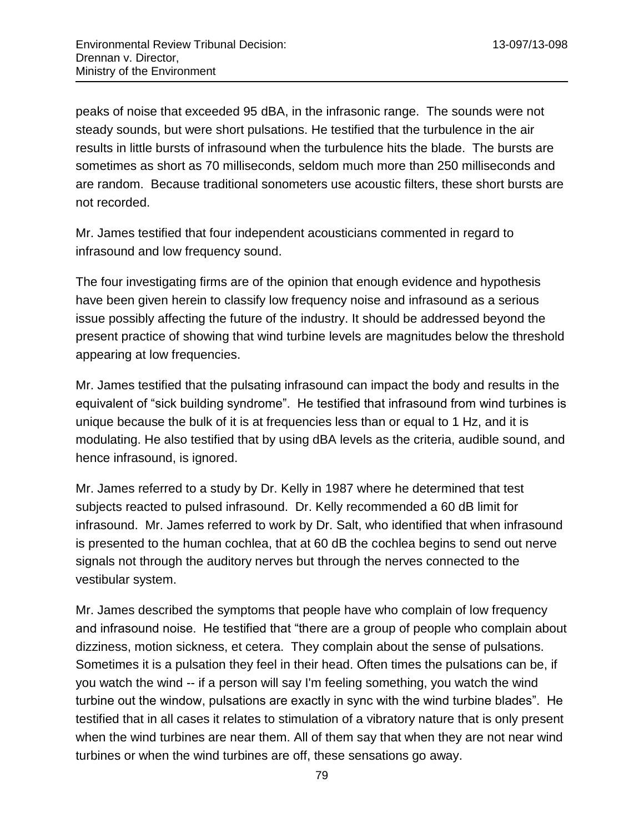peaks of noise that exceeded 95 dBA, in the infrasonic range. The sounds were not steady sounds, but were short pulsations. He testified that the turbulence in the air results in little bursts of infrasound when the turbulence hits the blade. The bursts are sometimes as short as 70 milliseconds, seldom much more than 250 milliseconds and are random. Because traditional sonometers use acoustic filters, these short bursts are not recorded.

Mr. James testified that four independent acousticians commented in regard to infrasound and low frequency sound.

The four investigating firms are of the opinion that enough evidence and hypothesis have been given herein to classify low frequency noise and infrasound as a serious issue possibly affecting the future of the industry. It should be addressed beyond the present practice of showing that wind turbine levels are magnitudes below the threshold appearing at low frequencies.

Mr. James testified that the pulsating infrasound can impact the body and results in the equivalent of "sick building syndrome". He testified that infrasound from wind turbines is unique because the bulk of it is at frequencies less than or equal to 1 Hz, and it is modulating. He also testified that by using dBA levels as the criteria, audible sound, and hence infrasound, is ignored.

Mr. James referred to a study by Dr. Kelly in 1987 where he determined that test subjects reacted to pulsed infrasound. Dr. Kelly recommended a 60 dB limit for infrasound. Mr. James referred to work by Dr. Salt, who identified that when infrasound is presented to the human cochlea, that at 60 dB the cochlea begins to send out nerve signals not through the auditory nerves but through the nerves connected to the vestibular system.

Mr. James described the symptoms that people have who complain of low frequency and infrasound noise. He testified that "there are a group of people who complain about dizziness, motion sickness, et cetera. They complain about the sense of pulsations. Sometimes it is a pulsation they feel in their head. Often times the pulsations can be, if you watch the wind -- if a person will say I'm feeling something, you watch the wind turbine out the window, pulsations are exactly in sync with the wind turbine blades". He testified that in all cases it relates to stimulation of a vibratory nature that is only present when the wind turbines are near them. All of them say that when they are not near wind turbines or when the wind turbines are off, these sensations go away.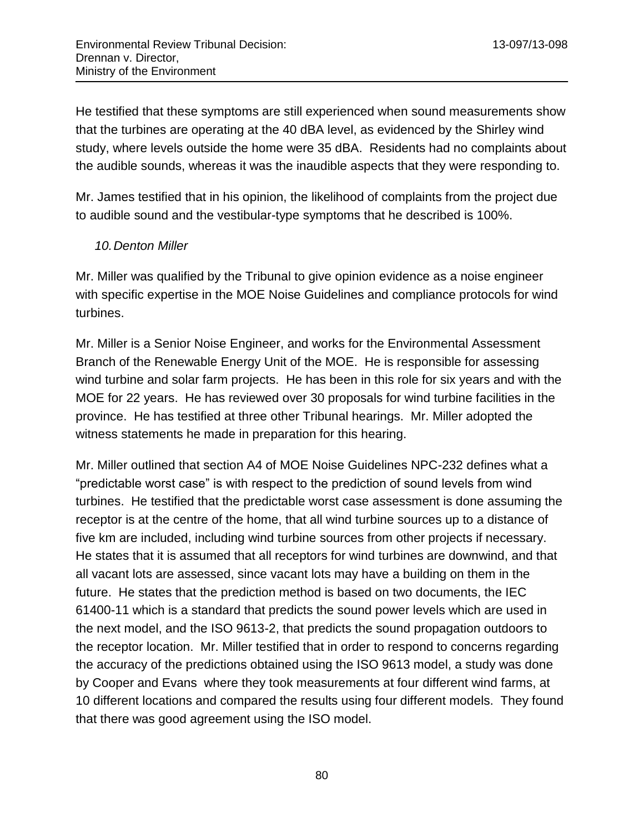He testified that these symptoms are still experienced when sound measurements show that the turbines are operating at the 40 dBA level, as evidenced by the Shirley wind study, where levels outside the home were 35 dBA. Residents had no complaints about the audible sounds, whereas it was the inaudible aspects that they were responding to.

Mr. James testified that in his opinion, the likelihood of complaints from the project due to audible sound and the vestibular-type symptoms that he described is 100%.

#### *10.Denton Miller*

Mr. Miller was qualified by the Tribunal to give opinion evidence as a noise engineer with specific expertise in the MOE Noise Guidelines and compliance protocols for wind turbines.

Mr. Miller is a Senior Noise Engineer, and works for the Environmental Assessment Branch of the Renewable Energy Unit of the MOE. He is responsible for assessing wind turbine and solar farm projects. He has been in this role for six years and with the MOE for 22 years. He has reviewed over 30 proposals for wind turbine facilities in the province. He has testified at three other Tribunal hearings. Mr. Miller adopted the witness statements he made in preparation for this hearing.

Mr. Miller outlined that section A4 of MOE Noise Guidelines NPC-232 defines what a "predictable worst case" is with respect to the prediction of sound levels from wind turbines. He testified that the predictable worst case assessment is done assuming the receptor is at the centre of the home, that all wind turbine sources up to a distance of five km are included, including wind turbine sources from other projects if necessary. He states that it is assumed that all receptors for wind turbines are downwind, and that all vacant lots are assessed, since vacant lots may have a building on them in the future. He states that the prediction method is based on two documents, the IEC 61400-11 which is a standard that predicts the sound power levels which are used in the next model, and the ISO 9613-2, that predicts the sound propagation outdoors to the receptor location. Mr. Miller testified that in order to respond to concerns regarding the accuracy of the predictions obtained using the ISO 9613 model, a study was done by Cooper and Evans where they took measurements at four different wind farms, at 10 different locations and compared the results using four different models. They found that there was good agreement using the ISO model.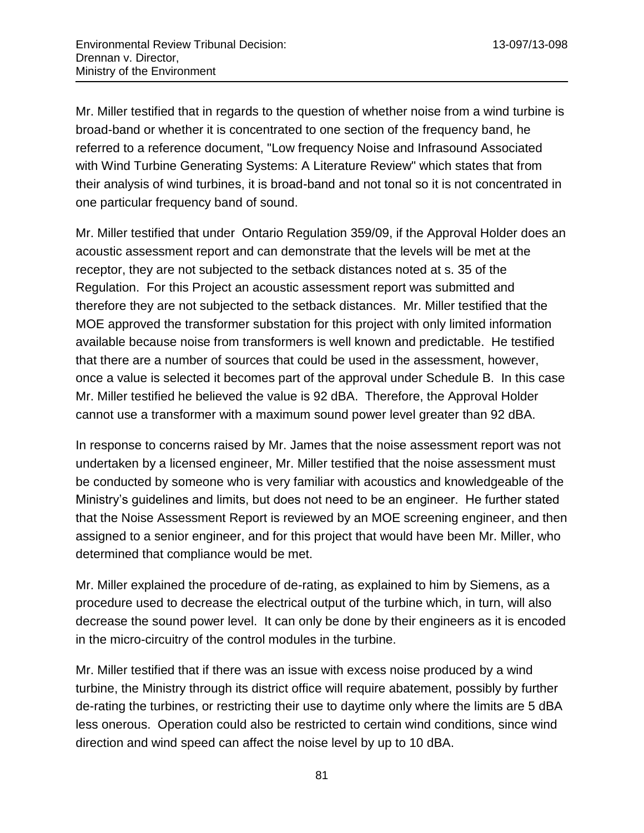Mr. Miller testified that in regards to the question of whether noise from a wind turbine is broad-band or whether it is concentrated to one section of the frequency band, he referred to a reference document, "Low frequency Noise and Infrasound Associated with Wind Turbine Generating Systems: A Literature Review" which states that from their analysis of wind turbines, it is broad-band and not tonal so it is not concentrated in one particular frequency band of sound.

Mr. Miller testified that under Ontario Regulation 359/09, if the Approval Holder does an acoustic assessment report and can demonstrate that the levels will be met at the receptor, they are not subjected to the setback distances noted at s. 35 of the Regulation. For this Project an acoustic assessment report was submitted and therefore they are not subjected to the setback distances. Mr. Miller testified that the MOE approved the transformer substation for this project with only limited information available because noise from transformers is well known and predictable. He testified that there are a number of sources that could be used in the assessment, however, once a value is selected it becomes part of the approval under Schedule B. In this case Mr. Miller testified he believed the value is 92 dBA. Therefore, the Approval Holder cannot use a transformer with a maximum sound power level greater than 92 dBA.

In response to concerns raised by Mr. James that the noise assessment report was not undertaken by a licensed engineer, Mr. Miller testified that the noise assessment must be conducted by someone who is very familiar with acoustics and knowledgeable of the Ministry's guidelines and limits, but does not need to be an engineer. He further stated that the Noise Assessment Report is reviewed by an MOE screening engineer, and then assigned to a senior engineer, and for this project that would have been Mr. Miller, who determined that compliance would be met.

Mr. Miller explained the procedure of de-rating, as explained to him by Siemens, as a procedure used to decrease the electrical output of the turbine which, in turn, will also decrease the sound power level. It can only be done by their engineers as it is encoded in the micro-circuitry of the control modules in the turbine.

Mr. Miller testified that if there was an issue with excess noise produced by a wind turbine, the Ministry through its district office will require abatement, possibly by further de-rating the turbines, or restricting their use to daytime only where the limits are 5 dBA less onerous. Operation could also be restricted to certain wind conditions, since wind direction and wind speed can affect the noise level by up to 10 dBA.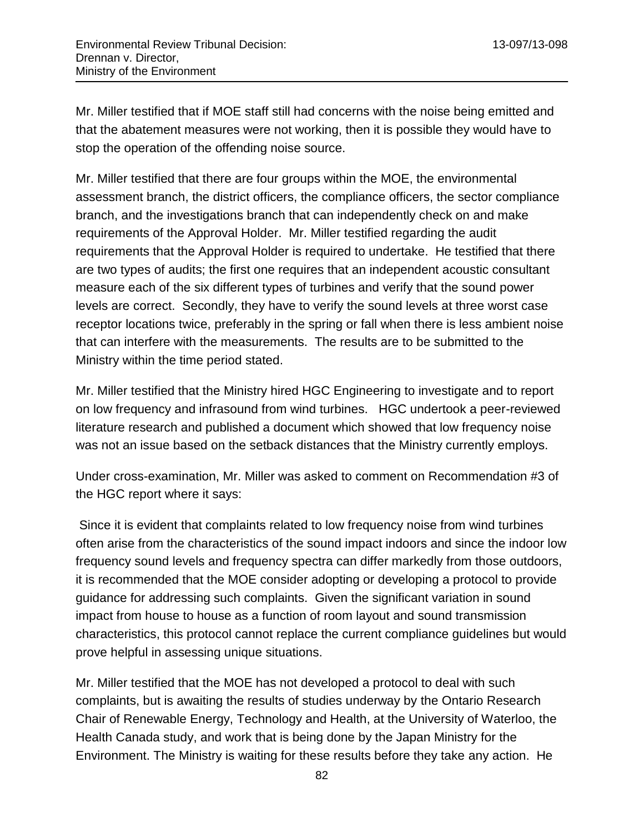Mr. Miller testified that if MOE staff still had concerns with the noise being emitted and that the abatement measures were not working, then it is possible they would have to stop the operation of the offending noise source.

Mr. Miller testified that there are four groups within the MOE, the environmental assessment branch, the district officers, the compliance officers, the sector compliance branch, and the investigations branch that can independently check on and make requirements of the Approval Holder. Mr. Miller testified regarding the audit requirements that the Approval Holder is required to undertake. He testified that there are two types of audits; the first one requires that an independent acoustic consultant measure each of the six different types of turbines and verify that the sound power levels are correct. Secondly, they have to verify the sound levels at three worst case receptor locations twice, preferably in the spring or fall when there is less ambient noise that can interfere with the measurements. The results are to be submitted to the Ministry within the time period stated.

Mr. Miller testified that the Ministry hired HGC Engineering to investigate and to report on low frequency and infrasound from wind turbines. HGC undertook a peer-reviewed literature research and published a document which showed that low frequency noise was not an issue based on the setback distances that the Ministry currently employs.

Under cross-examination, Mr. Miller was asked to comment on Recommendation #3 of the HGC report where it says:

Since it is evident that complaints related to low frequency noise from wind turbines often arise from the characteristics of the sound impact indoors and since the indoor low frequency sound levels and frequency spectra can differ markedly from those outdoors, it is recommended that the MOE consider adopting or developing a protocol to provide guidance for addressing such complaints. Given the significant variation in sound impact from house to house as a function of room layout and sound transmission characteristics, this protocol cannot replace the current compliance guidelines but would prove helpful in assessing unique situations.

Mr. Miller testified that the MOE has not developed a protocol to deal with such complaints, but is awaiting the results of studies underway by the Ontario Research Chair of Renewable Energy, Technology and Health, at the University of Waterloo, the Health Canada study, and work that is being done by the Japan Ministry for the Environment. The Ministry is waiting for these results before they take any action. He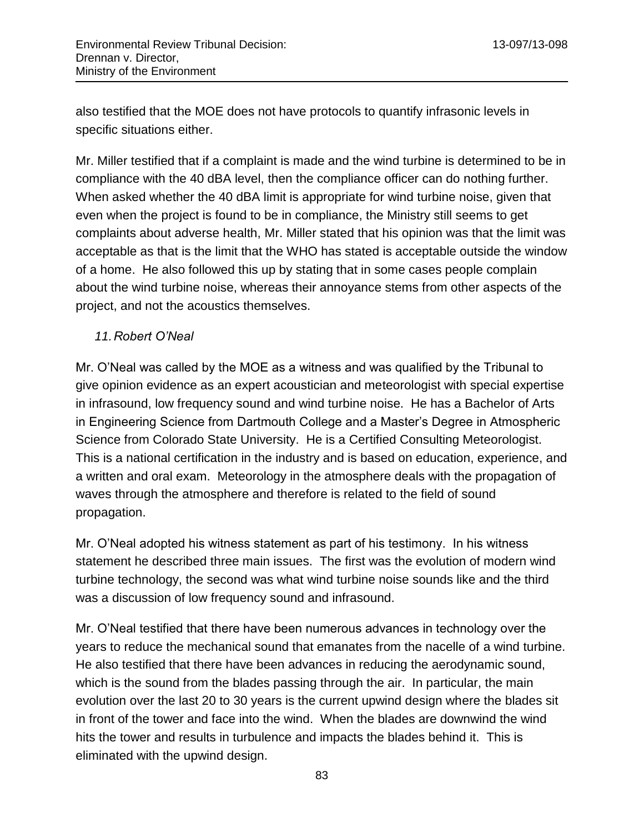also testified that the MOE does not have protocols to quantify infrasonic levels in specific situations either.

Mr. Miller testified that if a complaint is made and the wind turbine is determined to be in compliance with the 40 dBA level, then the compliance officer can do nothing further. When asked whether the 40 dBA limit is appropriate for wind turbine noise, given that even when the project is found to be in compliance, the Ministry still seems to get complaints about adverse health, Mr. Miller stated that his opinion was that the limit was acceptable as that is the limit that the WHO has stated is acceptable outside the window of a home. He also followed this up by stating that in some cases people complain about the wind turbine noise, whereas their annoyance stems from other aspects of the project, and not the acoustics themselves.

## *11.Robert O'Neal*

Mr. O'Neal was called by the MOE as a witness and was qualified by the Tribunal to give opinion evidence as an expert acoustician and meteorologist with special expertise in infrasound, low frequency sound and wind turbine noise. He has a Bachelor of Arts in Engineering Science from Dartmouth College and a Master's Degree in Atmospheric Science from Colorado State University. He is a Certified Consulting Meteorologist. This is a national certification in the industry and is based on education, experience, and a written and oral exam. Meteorology in the atmosphere deals with the propagation of waves through the atmosphere and therefore is related to the field of sound propagation.

Mr. O'Neal adopted his witness statement as part of his testimony. In his witness statement he described three main issues. The first was the evolution of modern wind turbine technology, the second was what wind turbine noise sounds like and the third was a discussion of low frequency sound and infrasound.

Mr. O'Neal testified that there have been numerous advances in technology over the years to reduce the mechanical sound that emanates from the nacelle of a wind turbine. He also testified that there have been advances in reducing the aerodynamic sound, which is the sound from the blades passing through the air. In particular, the main evolution over the last 20 to 30 years is the current upwind design where the blades sit in front of the tower and face into the wind. When the blades are downwind the wind hits the tower and results in turbulence and impacts the blades behind it. This is eliminated with the upwind design.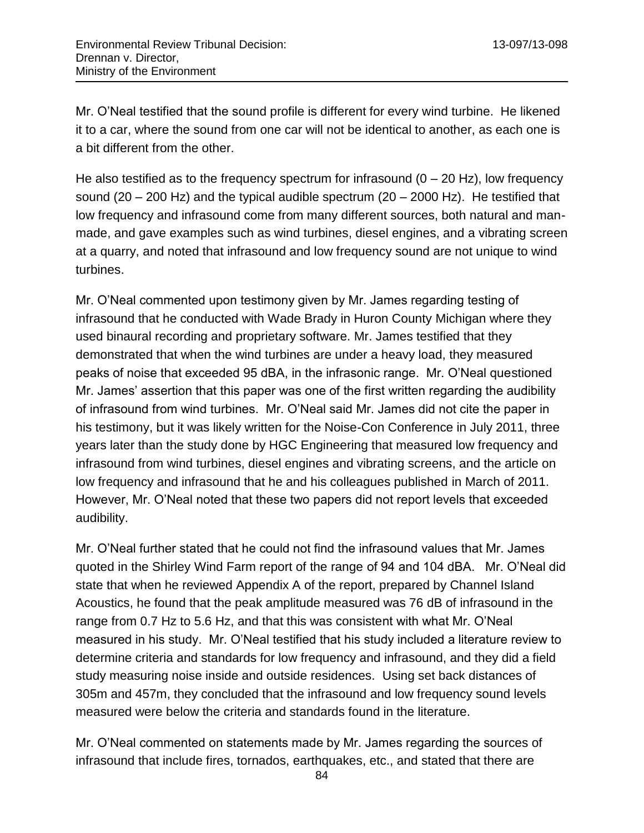Mr. O'Neal testified that the sound profile is different for every wind turbine. He likened it to a car, where the sound from one car will not be identical to another, as each one is a bit different from the other.

He also testified as to the frequency spectrum for infrasound  $(0 - 20$  Hz), low frequency sound (20 – 200 Hz) and the typical audible spectrum (20 – 2000 Hz). He testified that low frequency and infrasound come from many different sources, both natural and manmade, and gave examples such as wind turbines, diesel engines, and a vibrating screen at a quarry, and noted that infrasound and low frequency sound are not unique to wind turbines.

Mr. O'Neal commented upon testimony given by Mr. James regarding testing of infrasound that he conducted with Wade Brady in Huron County Michigan where they used binaural recording and proprietary software. Mr. James testified that they demonstrated that when the wind turbines are under a heavy load, they measured peaks of noise that exceeded 95 dBA, in the infrasonic range. Mr. O'Neal questioned Mr. James' assertion that this paper was one of the first written regarding the audibility of infrasound from wind turbines. Mr. O'Neal said Mr. James did not cite the paper in his testimony, but it was likely written for the Noise-Con Conference in July 2011, three years later than the study done by HGC Engineering that measured low frequency and infrasound from wind turbines, diesel engines and vibrating screens, and the article on low frequency and infrasound that he and his colleagues published in March of 2011. However, Mr. O'Neal noted that these two papers did not report levels that exceeded audibility.

Mr. O'Neal further stated that he could not find the infrasound values that Mr. James quoted in the Shirley Wind Farm report of the range of 94 and 104 dBA. Mr. O'Neal did state that when he reviewed Appendix A of the report, prepared by Channel Island Acoustics, he found that the peak amplitude measured was 76 dB of infrasound in the range from 0.7 Hz to 5.6 Hz, and that this was consistent with what Mr. O'Neal measured in his study. Mr. O'Neal testified that his study included a literature review to determine criteria and standards for low frequency and infrasound, and they did a field study measuring noise inside and outside residences. Using set back distances of 305m and 457m, they concluded that the infrasound and low frequency sound levels measured were below the criteria and standards found in the literature.

Mr. O'Neal commented on statements made by Mr. James regarding the sources of infrasound that include fires, tornados, earthquakes, etc., and stated that there are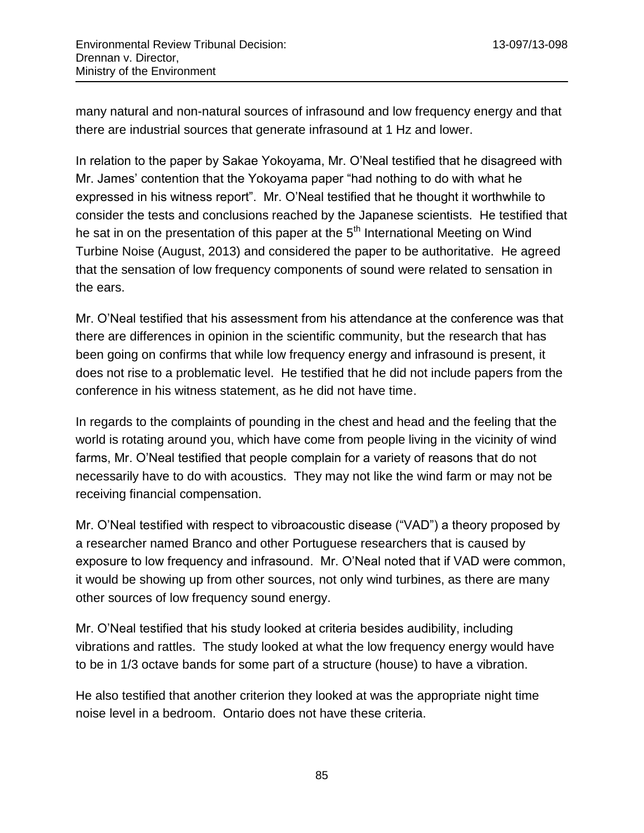many natural and non-natural sources of infrasound and low frequency energy and that there are industrial sources that generate infrasound at 1 Hz and lower.

In relation to the paper by Sakae Yokoyama, Mr. O'Neal testified that he disagreed with Mr. James' contention that the Yokoyama paper "had nothing to do with what he expressed in his witness report". Mr. O'Neal testified that he thought it worthwhile to consider the tests and conclusions reached by the Japanese scientists. He testified that he sat in on the presentation of this paper at the  $5<sup>th</sup>$  International Meeting on Wind Turbine Noise (August, 2013) and considered the paper to be authoritative. He agreed that the sensation of low frequency components of sound were related to sensation in the ears.

Mr. O'Neal testified that his assessment from his attendance at the conference was that there are differences in opinion in the scientific community, but the research that has been going on confirms that while low frequency energy and infrasound is present, it does not rise to a problematic level. He testified that he did not include papers from the conference in his witness statement, as he did not have time.

In regards to the complaints of pounding in the chest and head and the feeling that the world is rotating around you, which have come from people living in the vicinity of wind farms, Mr. O'Neal testified that people complain for a variety of reasons that do not necessarily have to do with acoustics. They may not like the wind farm or may not be receiving financial compensation.

Mr. O'Neal testified with respect to vibroacoustic disease ("VAD") a theory proposed by a researcher named Branco and other Portuguese researchers that is caused by exposure to low frequency and infrasound. Mr. O'Neal noted that if VAD were common, it would be showing up from other sources, not only wind turbines, as there are many other sources of low frequency sound energy.

Mr. O'Neal testified that his study looked at criteria besides audibility, including vibrations and rattles. The study looked at what the low frequency energy would have to be in 1/3 octave bands for some part of a structure (house) to have a vibration.

He also testified that another criterion they looked at was the appropriate night time noise level in a bedroom. Ontario does not have these criteria.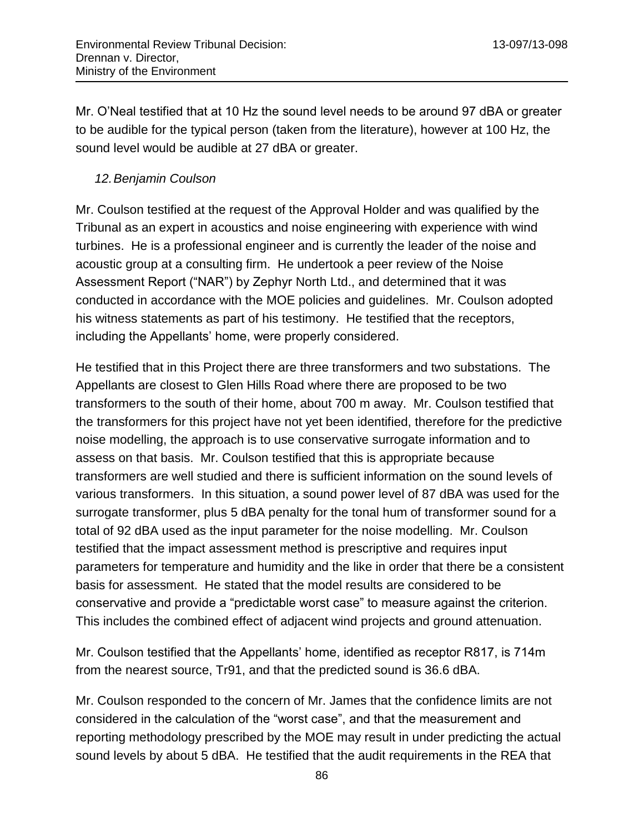Mr. O'Neal testified that at 10 Hz the sound level needs to be around 97 dBA or greater to be audible for the typical person (taken from the literature), however at 100 Hz, the sound level would be audible at 27 dBA or greater.

#### *12.Benjamin Coulson*

Mr. Coulson testified at the request of the Approval Holder and was qualified by the Tribunal as an expert in acoustics and noise engineering with experience with wind turbines. He is a professional engineer and is currently the leader of the noise and acoustic group at a consulting firm. He undertook a peer review of the Noise Assessment Report ("NAR") by Zephyr North Ltd., and determined that it was conducted in accordance with the MOE policies and guidelines. Mr. Coulson adopted his witness statements as part of his testimony. He testified that the receptors, including the Appellants' home, were properly considered.

He testified that in this Project there are three transformers and two substations. The Appellants are closest to Glen Hills Road where there are proposed to be two transformers to the south of their home, about 700 m away. Mr. Coulson testified that the transformers for this project have not yet been identified, therefore for the predictive noise modelling, the approach is to use conservative surrogate information and to assess on that basis. Mr. Coulson testified that this is appropriate because transformers are well studied and there is sufficient information on the sound levels of various transformers. In this situation, a sound power level of 87 dBA was used for the surrogate transformer, plus 5 dBA penalty for the tonal hum of transformer sound for a total of 92 dBA used as the input parameter for the noise modelling. Mr. Coulson testified that the impact assessment method is prescriptive and requires input parameters for temperature and humidity and the like in order that there be a consistent basis for assessment. He stated that the model results are considered to be conservative and provide a "predictable worst case" to measure against the criterion. This includes the combined effect of adjacent wind projects and ground attenuation.

Mr. Coulson testified that the Appellants' home, identified as receptor R817, is 714m from the nearest source, Tr91, and that the predicted sound is 36.6 dBA.

Mr. Coulson responded to the concern of Mr. James that the confidence limits are not considered in the calculation of the "worst case", and that the measurement and reporting methodology prescribed by the MOE may result in under predicting the actual sound levels by about 5 dBA. He testified that the audit requirements in the REA that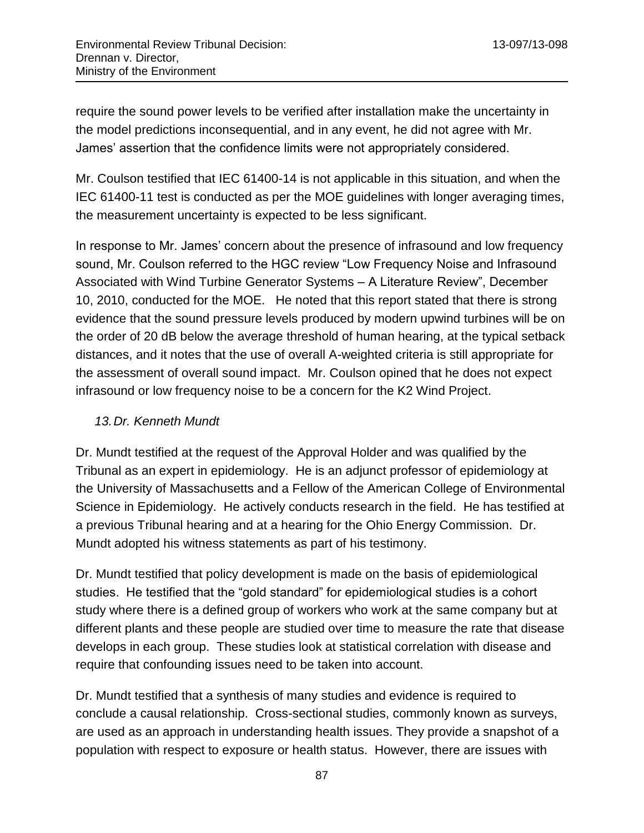require the sound power levels to be verified after installation make the uncertainty in the model predictions inconsequential, and in any event, he did not agree with Mr. James' assertion that the confidence limits were not appropriately considered.

Mr. Coulson testified that IEC 61400-14 is not applicable in this situation, and when the IEC 61400-11 test is conducted as per the MOE guidelines with longer averaging times, the measurement uncertainty is expected to be less significant.

In response to Mr. James' concern about the presence of infrasound and low frequency sound, Mr. Coulson referred to the HGC review "Low Frequency Noise and Infrasound Associated with Wind Turbine Generator Systems – A Literature Review", December 10, 2010, conducted for the MOE. He noted that this report stated that there is strong evidence that the sound pressure levels produced by modern upwind turbines will be on the order of 20 dB below the average threshold of human hearing, at the typical setback distances, and it notes that the use of overall A-weighted criteria is still appropriate for the assessment of overall sound impact. Mr. Coulson opined that he does not expect infrasound or low frequency noise to be a concern for the K2 Wind Project.

## *13.Dr. Kenneth Mundt*

Dr. Mundt testified at the request of the Approval Holder and was qualified by the Tribunal as an expert in epidemiology. He is an adjunct professor of epidemiology at the University of Massachusetts and a Fellow of the American College of Environmental Science in Epidemiology. He actively conducts research in the field. He has testified at a previous Tribunal hearing and at a hearing for the Ohio Energy Commission. Dr. Mundt adopted his witness statements as part of his testimony.

Dr. Mundt testified that policy development is made on the basis of epidemiological studies. He testified that the "gold standard" for epidemiological studies is a cohort study where there is a defined group of workers who work at the same company but at different plants and these people are studied over time to measure the rate that disease develops in each group. These studies look at statistical correlation with disease and require that confounding issues need to be taken into account.

Dr. Mundt testified that a synthesis of many studies and evidence is required to conclude a causal relationship. Cross-sectional studies, commonly known as surveys, are used as an approach in understanding health issues. They provide a snapshot of a population with respect to exposure or health status. However, there are issues with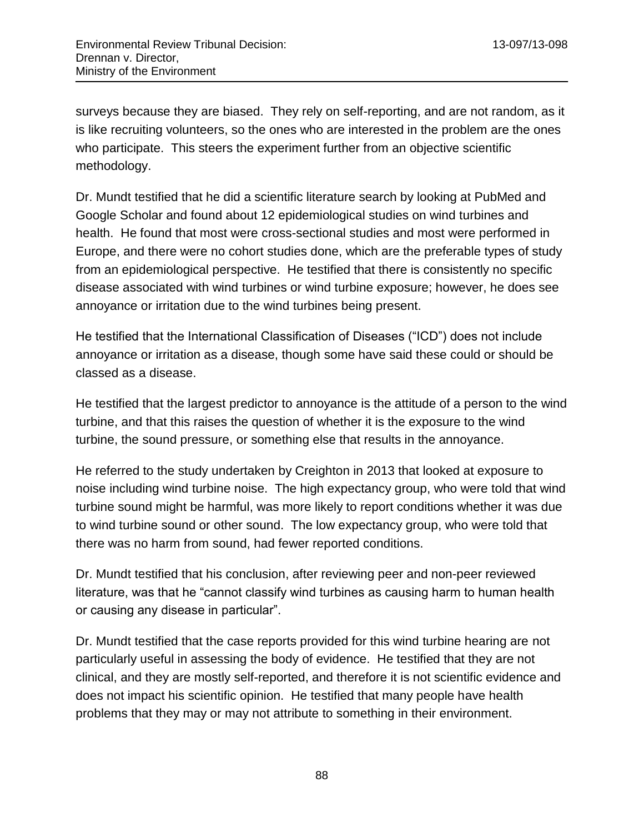surveys because they are biased. They rely on self-reporting, and are not random, as it is like recruiting volunteers, so the ones who are interested in the problem are the ones who participate. This steers the experiment further from an objective scientific methodology.

Dr. Mundt testified that he did a scientific literature search by looking at PubMed and Google Scholar and found about 12 epidemiological studies on wind turbines and health. He found that most were cross-sectional studies and most were performed in Europe, and there were no cohort studies done, which are the preferable types of study from an epidemiological perspective. He testified that there is consistently no specific disease associated with wind turbines or wind turbine exposure; however, he does see annoyance or irritation due to the wind turbines being present.

He testified that the International Classification of Diseases ("ICD") does not include annoyance or irritation as a disease, though some have said these could or should be classed as a disease.

He testified that the largest predictor to annoyance is the attitude of a person to the wind turbine, and that this raises the question of whether it is the exposure to the wind turbine, the sound pressure, or something else that results in the annoyance.

He referred to the study undertaken by Creighton in 2013 that looked at exposure to noise including wind turbine noise. The high expectancy group, who were told that wind turbine sound might be harmful, was more likely to report conditions whether it was due to wind turbine sound or other sound. The low expectancy group, who were told that there was no harm from sound, had fewer reported conditions.

Dr. Mundt testified that his conclusion, after reviewing peer and non-peer reviewed literature, was that he "cannot classify wind turbines as causing harm to human health or causing any disease in particular".

Dr. Mundt testified that the case reports provided for this wind turbine hearing are not particularly useful in assessing the body of evidence. He testified that they are not clinical, and they are mostly self-reported, and therefore it is not scientific evidence and does not impact his scientific opinion. He testified that many people have health problems that they may or may not attribute to something in their environment.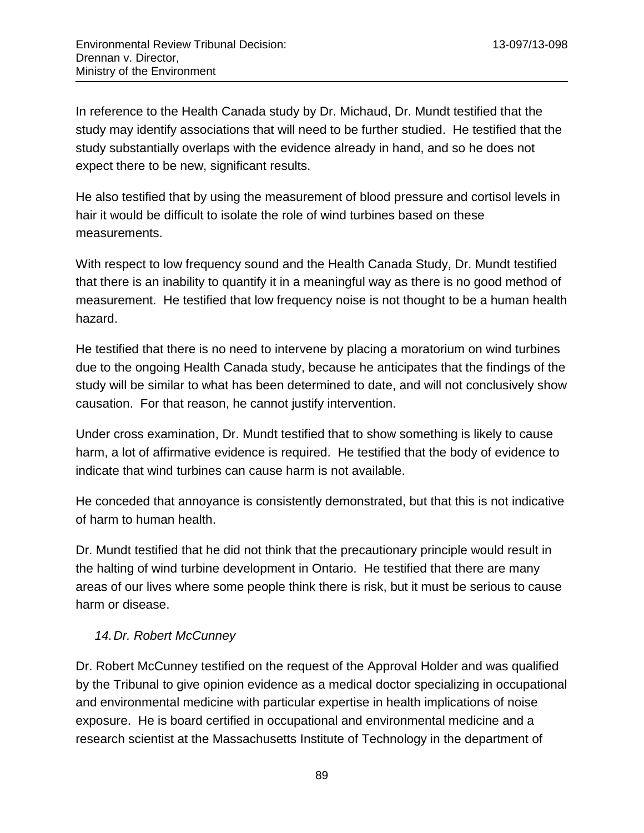In reference to the Health Canada study by Dr. Michaud, Dr. Mundt testified that the study may identify associations that will need to be further studied. He testified that the study substantially overlaps with the evidence already in hand, and so he does not expect there to be new, significant results.

He also testified that by using the measurement of blood pressure and cortisol levels in hair it would be difficult to isolate the role of wind turbines based on these measurements.

With respect to low frequency sound and the Health Canada Study, Dr. Mundt testified that there is an inability to quantify it in a meaningful way as there is no good method of measurement. He testified that low frequency noise is not thought to be a human health hazard.

He testified that there is no need to intervene by placing a moratorium on wind turbines due to the ongoing Health Canada study, because he anticipates that the findings of the study will be similar to what has been determined to date, and will not conclusively show causation. For that reason, he cannot justify intervention.

Under cross examination, Dr. Mundt testified that to show something is likely to cause harm, a lot of affirmative evidence is required. He testified that the body of evidence to indicate that wind turbines can cause harm is not available.

He conceded that annoyance is consistently demonstrated, but that this is not indicative of harm to human health.

Dr. Mundt testified that he did not think that the precautionary principle would result in the halting of wind turbine development in Ontario. He testified that there are many areas of our lives where some people think there is risk, but it must be serious to cause harm or disease.

## *14.Dr. Robert McCunney*

Dr. Robert McCunney testified on the request of the Approval Holder and was qualified by the Tribunal to give opinion evidence as a medical doctor specializing in occupational and environmental medicine with particular expertise in health implications of noise exposure. He is board certified in occupational and environmental medicine and a research scientist at the Massachusetts Institute of Technology in the department of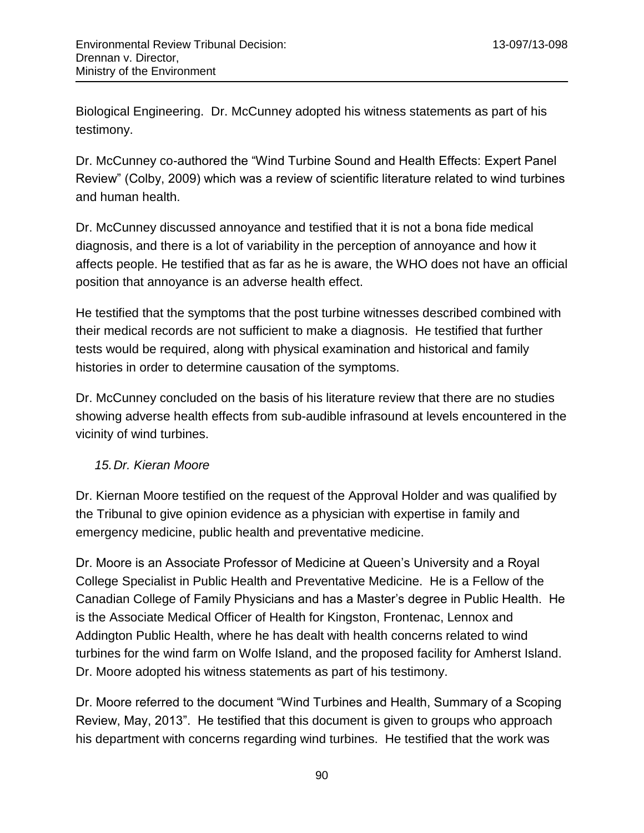Biological Engineering. Dr. McCunney adopted his witness statements as part of his testimony.

Dr. McCunney co-authored the "Wind Turbine Sound and Health Effects: Expert Panel Review" (Colby, 2009) which was a review of scientific literature related to wind turbines and human health.

Dr. McCunney discussed annoyance and testified that it is not a bona fide medical diagnosis, and there is a lot of variability in the perception of annoyance and how it affects people. He testified that as far as he is aware, the WHO does not have an official position that annoyance is an adverse health effect.

He testified that the symptoms that the post turbine witnesses described combined with their medical records are not sufficient to make a diagnosis. He testified that further tests would be required, along with physical examination and historical and family histories in order to determine causation of the symptoms.

Dr. McCunney concluded on the basis of his literature review that there are no studies showing adverse health effects from sub-audible infrasound at levels encountered in the vicinity of wind turbines.

## *15.Dr. Kieran Moore*

Dr. Kiernan Moore testified on the request of the Approval Holder and was qualified by the Tribunal to give opinion evidence as a physician with expertise in family and emergency medicine, public health and preventative medicine.

Dr. Moore is an Associate Professor of Medicine at Queen's University and a Royal College Specialist in Public Health and Preventative Medicine. He is a Fellow of the Canadian College of Family Physicians and has a Master's degree in Public Health. He is the Associate Medical Officer of Health for Kingston, Frontenac, Lennox and Addington Public Health, where he has dealt with health concerns related to wind turbines for the wind farm on Wolfe Island, and the proposed facility for Amherst Island. Dr. Moore adopted his witness statements as part of his testimony.

Dr. Moore referred to the document "Wind Turbines and Health, Summary of a Scoping Review, May, 2013". He testified that this document is given to groups who approach his department with concerns regarding wind turbines. He testified that the work was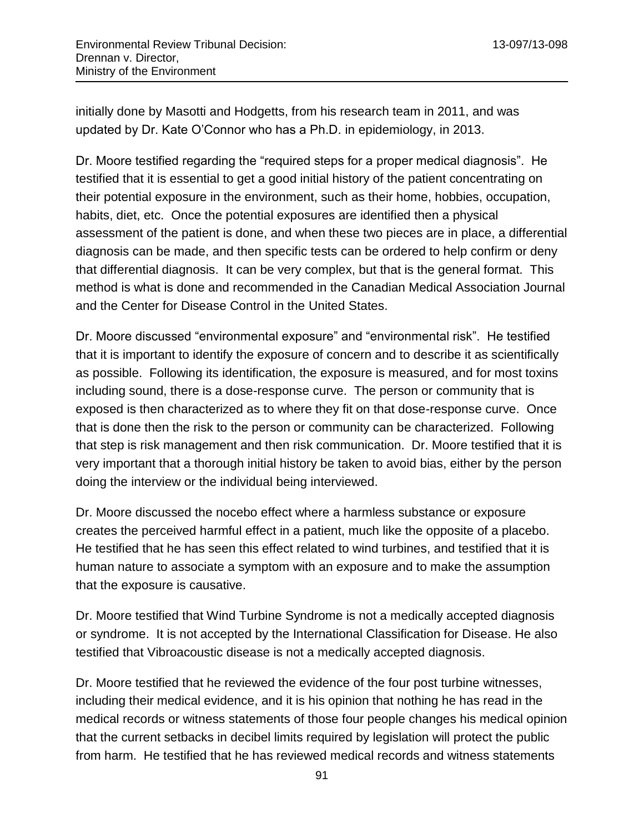initially done by Masotti and Hodgetts, from his research team in 2011, and was updated by Dr. Kate O'Connor who has a Ph.D. in epidemiology, in 2013.

Dr. Moore testified regarding the "required steps for a proper medical diagnosis". He testified that it is essential to get a good initial history of the patient concentrating on their potential exposure in the environment, such as their home, hobbies, occupation, habits, diet, etc. Once the potential exposures are identified then a physical assessment of the patient is done, and when these two pieces are in place, a differential diagnosis can be made, and then specific tests can be ordered to help confirm or deny that differential diagnosis. It can be very complex, but that is the general format. This method is what is done and recommended in the Canadian Medical Association Journal and the Center for Disease Control in the United States.

Dr. Moore discussed "environmental exposure" and "environmental risk". He testified that it is important to identify the exposure of concern and to describe it as scientifically as possible. Following its identification, the exposure is measured, and for most toxins including sound, there is a dose-response curve. The person or community that is exposed is then characterized as to where they fit on that dose-response curve. Once that is done then the risk to the person or community can be characterized. Following that step is risk management and then risk communication. Dr. Moore testified that it is very important that a thorough initial history be taken to avoid bias, either by the person doing the interview or the individual being interviewed.

Dr. Moore discussed the nocebo effect where a harmless substance or exposure creates the perceived harmful effect in a patient, much like the opposite of a placebo. He testified that he has seen this effect related to wind turbines, and testified that it is human nature to associate a symptom with an exposure and to make the assumption that the exposure is causative.

Dr. Moore testified that Wind Turbine Syndrome is not a medically accepted diagnosis or syndrome. It is not accepted by the International Classification for Disease. He also testified that Vibroacoustic disease is not a medically accepted diagnosis.

Dr. Moore testified that he reviewed the evidence of the four post turbine witnesses, including their medical evidence, and it is his opinion that nothing he has read in the medical records or witness statements of those four people changes his medical opinion that the current setbacks in decibel limits required by legislation will protect the public from harm. He testified that he has reviewed medical records and witness statements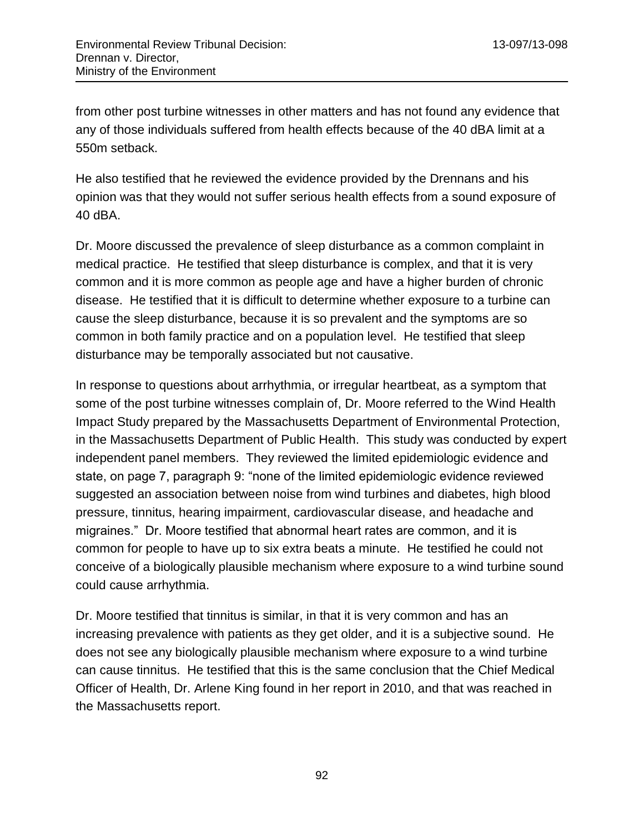from other post turbine witnesses in other matters and has not found any evidence that any of those individuals suffered from health effects because of the 40 dBA limit at a 550m setback.

He also testified that he reviewed the evidence provided by the Drennans and his opinion was that they would not suffer serious health effects from a sound exposure of 40 dBA.

Dr. Moore discussed the prevalence of sleep disturbance as a common complaint in medical practice. He testified that sleep disturbance is complex, and that it is very common and it is more common as people age and have a higher burden of chronic disease. He testified that it is difficult to determine whether exposure to a turbine can cause the sleep disturbance, because it is so prevalent and the symptoms are so common in both family practice and on a population level. He testified that sleep disturbance may be temporally associated but not causative.

In response to questions about arrhythmia, or irregular heartbeat, as a symptom that some of the post turbine witnesses complain of, Dr. Moore referred to the Wind Health Impact Study prepared by the Massachusetts Department of Environmental Protection, in the Massachusetts Department of Public Health. This study was conducted by expert independent panel members. They reviewed the limited epidemiologic evidence and state, on page 7, paragraph 9: "none of the limited epidemiologic evidence reviewed suggested an association between noise from wind turbines and diabetes, high blood pressure, tinnitus, hearing impairment, cardiovascular disease, and headache and migraines." Dr. Moore testified that abnormal heart rates are common, and it is common for people to have up to six extra beats a minute. He testified he could not conceive of a biologically plausible mechanism where exposure to a wind turbine sound could cause arrhythmia.

Dr. Moore testified that tinnitus is similar, in that it is very common and has an increasing prevalence with patients as they get older, and it is a subjective sound. He does not see any biologically plausible mechanism where exposure to a wind turbine can cause tinnitus. He testified that this is the same conclusion that the Chief Medical Officer of Health, Dr. Arlene King found in her report in 2010, and that was reached in the Massachusetts report.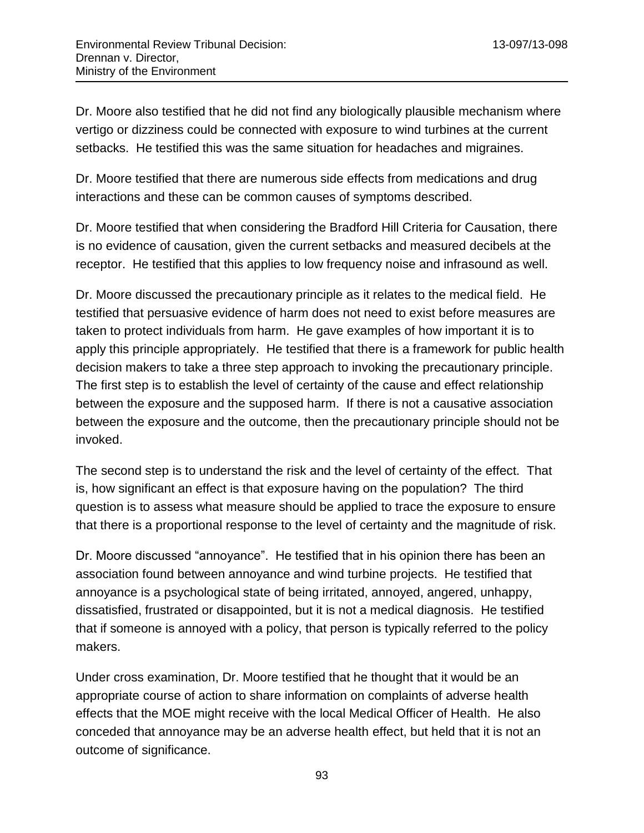Dr. Moore also testified that he did not find any biologically plausible mechanism where vertigo or dizziness could be connected with exposure to wind turbines at the current setbacks. He testified this was the same situation for headaches and migraines.

Dr. Moore testified that there are numerous side effects from medications and drug interactions and these can be common causes of symptoms described.

Dr. Moore testified that when considering the Bradford Hill Criteria for Causation, there is no evidence of causation, given the current setbacks and measured decibels at the receptor. He testified that this applies to low frequency noise and infrasound as well.

Dr. Moore discussed the precautionary principle as it relates to the medical field. He testified that persuasive evidence of harm does not need to exist before measures are taken to protect individuals from harm. He gave examples of how important it is to apply this principle appropriately. He testified that there is a framework for public health decision makers to take a three step approach to invoking the precautionary principle. The first step is to establish the level of certainty of the cause and effect relationship between the exposure and the supposed harm. If there is not a causative association between the exposure and the outcome, then the precautionary principle should not be invoked.

The second step is to understand the risk and the level of certainty of the effect. That is, how significant an effect is that exposure having on the population? The third question is to assess what measure should be applied to trace the exposure to ensure that there is a proportional response to the level of certainty and the magnitude of risk.

Dr. Moore discussed "annoyance". He testified that in his opinion there has been an association found between annoyance and wind turbine projects. He testified that annoyance is a psychological state of being irritated, annoyed, angered, unhappy, dissatisfied, frustrated or disappointed, but it is not a medical diagnosis. He testified that if someone is annoyed with a policy, that person is typically referred to the policy makers.

Under cross examination, Dr. Moore testified that he thought that it would be an appropriate course of action to share information on complaints of adverse health effects that the MOE might receive with the local Medical Officer of Health. He also conceded that annoyance may be an adverse health effect, but held that it is not an outcome of significance.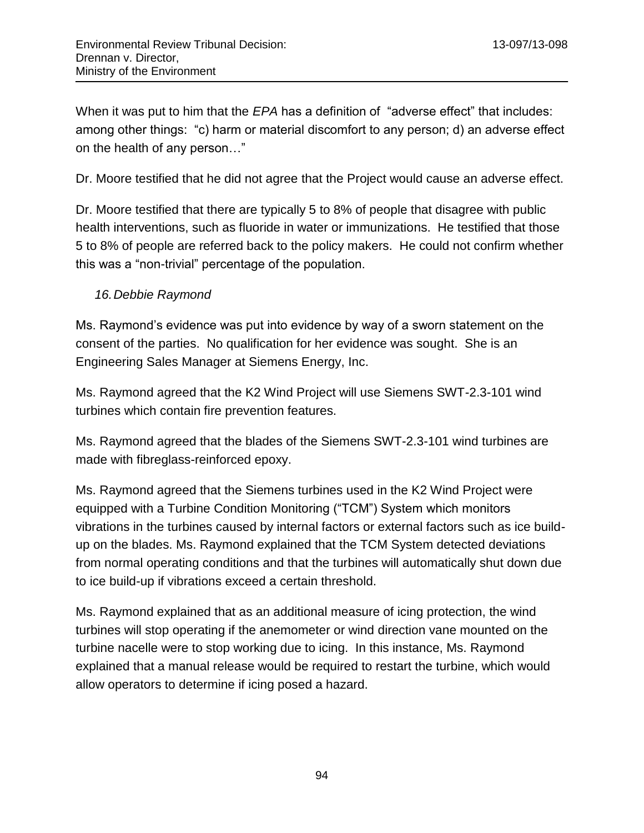When it was put to him that the *EPA* has a definition of "adverse effect" that includes: among other things: "c) harm or material discomfort to any person; d) an adverse effect on the health of any person…"

Dr. Moore testified that he did not agree that the Project would cause an adverse effect.

Dr. Moore testified that there are typically 5 to 8% of people that disagree with public health interventions, such as fluoride in water or immunizations. He testified that those 5 to 8% of people are referred back to the policy makers. He could not confirm whether this was a "non-trivial" percentage of the population.

#### *16.Debbie Raymond*

Ms. Raymond's evidence was put into evidence by way of a sworn statement on the consent of the parties. No qualification for her evidence was sought. She is an Engineering Sales Manager at Siemens Energy, Inc.

Ms. Raymond agreed that the K2 Wind Project will use Siemens SWT-2.3-101 wind turbines which contain fire prevention features.

Ms. Raymond agreed that the blades of the Siemens SWT-2.3-101 wind turbines are made with fibreglass-reinforced epoxy.

Ms. Raymond agreed that the Siemens turbines used in the K2 Wind Project were equipped with a Turbine Condition Monitoring ("TCM") System which monitors vibrations in the turbines caused by internal factors or external factors such as ice buildup on the blades. Ms. Raymond explained that the TCM System detected deviations from normal operating conditions and that the turbines will automatically shut down due to ice build-up if vibrations exceed a certain threshold.

Ms. Raymond explained that as an additional measure of icing protection, the wind turbines will stop operating if the anemometer or wind direction vane mounted on the turbine nacelle were to stop working due to icing. In this instance, Ms. Raymond explained that a manual release would be required to restart the turbine, which would allow operators to determine if icing posed a hazard.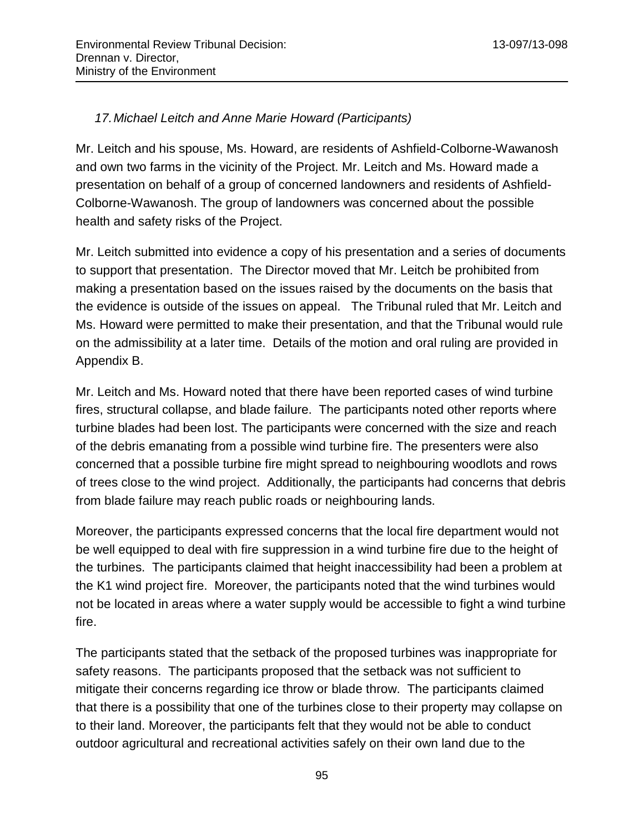# *17.Michael Leitch and Anne Marie Howard (Participants)*

Mr. Leitch and his spouse, Ms. Howard, are residents of Ashfield-Colborne-Wawanosh and own two farms in the vicinity of the Project. Mr. Leitch and Ms. Howard made a presentation on behalf of a group of concerned landowners and residents of Ashfield-Colborne-Wawanosh. The group of landowners was concerned about the possible health and safety risks of the Project.

Mr. Leitch submitted into evidence a copy of his presentation and a series of documents to support that presentation. The Director moved that Mr. Leitch be prohibited from making a presentation based on the issues raised by the documents on the basis that the evidence is outside of the issues on appeal. The Tribunal ruled that Mr. Leitch and Ms. Howard were permitted to make their presentation, and that the Tribunal would rule on the admissibility at a later time. Details of the motion and oral ruling are provided in Appendix B.

Mr. Leitch and Ms. Howard noted that there have been reported cases of wind turbine fires, structural collapse, and blade failure. The participants noted other reports where turbine blades had been lost. The participants were concerned with the size and reach of the debris emanating from a possible wind turbine fire. The presenters were also concerned that a possible turbine fire might spread to neighbouring woodlots and rows of trees close to the wind project. Additionally, the participants had concerns that debris from blade failure may reach public roads or neighbouring lands.

Moreover, the participants expressed concerns that the local fire department would not be well equipped to deal with fire suppression in a wind turbine fire due to the height of the turbines. The participants claimed that height inaccessibility had been a problem at the K1 wind project fire. Moreover, the participants noted that the wind turbines would not be located in areas where a water supply would be accessible to fight a wind turbine fire.

The participants stated that the setback of the proposed turbines was inappropriate for safety reasons. The participants proposed that the setback was not sufficient to mitigate their concerns regarding ice throw or blade throw. The participants claimed that there is a possibility that one of the turbines close to their property may collapse on to their land. Moreover, the participants felt that they would not be able to conduct outdoor agricultural and recreational activities safely on their own land due to the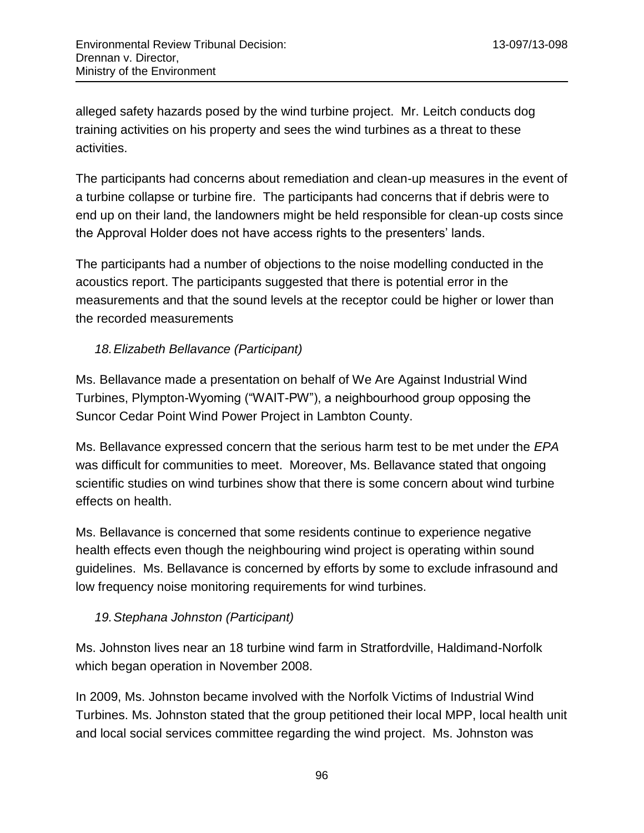alleged safety hazards posed by the wind turbine project. Mr. Leitch conducts dog training activities on his property and sees the wind turbines as a threat to these activities.

The participants had concerns about remediation and clean-up measures in the event of a turbine collapse or turbine fire. The participants had concerns that if debris were to end up on their land, the landowners might be held responsible for clean-up costs since the Approval Holder does not have access rights to the presenters' lands.

The participants had a number of objections to the noise modelling conducted in the acoustics report. The participants suggested that there is potential error in the measurements and that the sound levels at the receptor could be higher or lower than the recorded measurements

## *18.Elizabeth Bellavance (Participant)*

Ms. Bellavance made a presentation on behalf of We Are Against Industrial Wind Turbines, Plympton-Wyoming ("WAIT-PW"), a neighbourhood group opposing the Suncor Cedar Point Wind Power Project in Lambton County.

Ms. Bellavance expressed concern that the serious harm test to be met under the *EPA* was difficult for communities to meet. Moreover, Ms. Bellavance stated that ongoing scientific studies on wind turbines show that there is some concern about wind turbine effects on health.

Ms. Bellavance is concerned that some residents continue to experience negative health effects even though the neighbouring wind project is operating within sound guidelines. Ms. Bellavance is concerned by efforts by some to exclude infrasound and low frequency noise monitoring requirements for wind turbines.

## *19.Stephana Johnston (Participant)*

Ms. Johnston lives near an 18 turbine wind farm in Stratfordville, Haldimand-Norfolk which began operation in November 2008.

In 2009, Ms. Johnston became involved with the Norfolk Victims of Industrial Wind Turbines. Ms. Johnston stated that the group petitioned their local MPP, local health unit and local social services committee regarding the wind project. Ms. Johnston was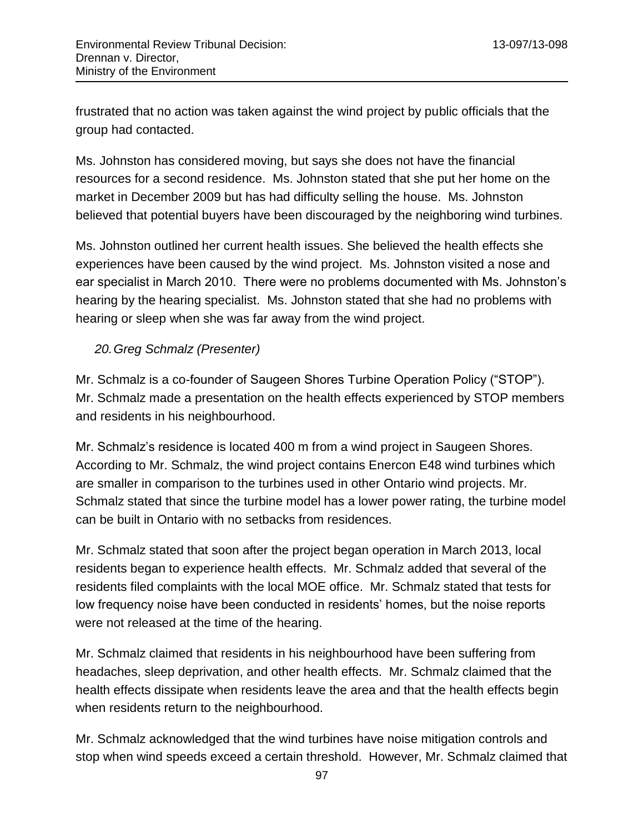frustrated that no action was taken against the wind project by public officials that the group had contacted.

Ms. Johnston has considered moving, but says she does not have the financial resources for a second residence. Ms. Johnston stated that she put her home on the market in December 2009 but has had difficulty selling the house. Ms. Johnston believed that potential buyers have been discouraged by the neighboring wind turbines.

Ms. Johnston outlined her current health issues. She believed the health effects she experiences have been caused by the wind project. Ms. Johnston visited a nose and ear specialist in March 2010. There were no problems documented with Ms. Johnston's hearing by the hearing specialist. Ms. Johnston stated that she had no problems with hearing or sleep when she was far away from the wind project.

#### *20.Greg Schmalz (Presenter)*

Mr. Schmalz is a co-founder of Saugeen Shores Turbine Operation Policy ("STOP"). Mr. Schmalz made a presentation on the health effects experienced by STOP members and residents in his neighbourhood.

Mr. Schmalz's residence is located 400 m from a wind project in Saugeen Shores. According to Mr. Schmalz, the wind project contains Enercon E48 wind turbines which are smaller in comparison to the turbines used in other Ontario wind projects. Mr. Schmalz stated that since the turbine model has a lower power rating, the turbine model can be built in Ontario with no setbacks from residences.

Mr. Schmalz stated that soon after the project began operation in March 2013, local residents began to experience health effects. Mr. Schmalz added that several of the residents filed complaints with the local MOE office. Mr. Schmalz stated that tests for low frequency noise have been conducted in residents' homes, but the noise reports were not released at the time of the hearing.

Mr. Schmalz claimed that residents in his neighbourhood have been suffering from headaches, sleep deprivation, and other health effects. Mr. Schmalz claimed that the health effects dissipate when residents leave the area and that the health effects begin when residents return to the neighbourhood.

Mr. Schmalz acknowledged that the wind turbines have noise mitigation controls and stop when wind speeds exceed a certain threshold. However, Mr. Schmalz claimed that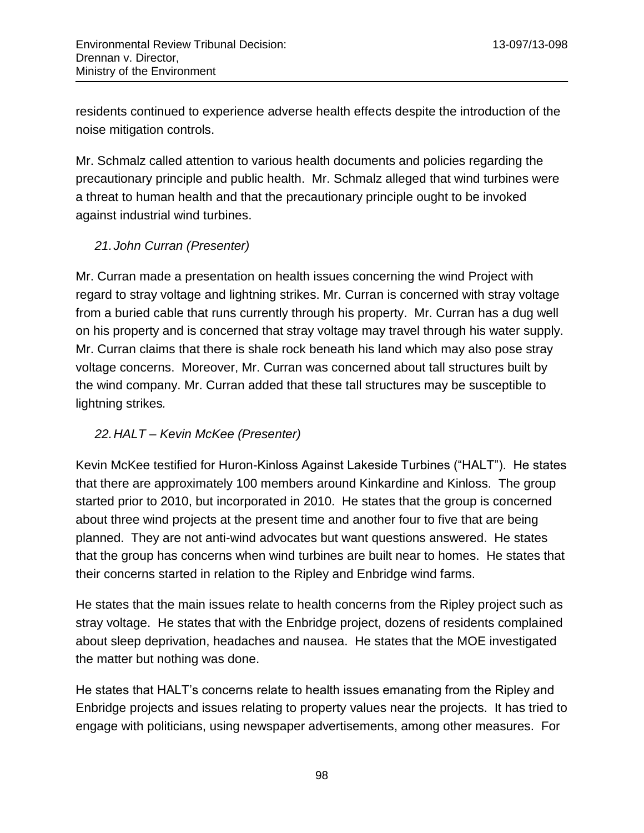residents continued to experience adverse health effects despite the introduction of the noise mitigation controls.

Mr. Schmalz called attention to various health documents and policies regarding the precautionary principle and public health. Mr. Schmalz alleged that wind turbines were a threat to human health and that the precautionary principle ought to be invoked against industrial wind turbines.

# *21.John Curran (Presenter)*

Mr. Curran made a presentation on health issues concerning the wind Project with regard to stray voltage and lightning strikes. Mr. Curran is concerned with stray voltage from a buried cable that runs currently through his property. Mr. Curran has a dug well on his property and is concerned that stray voltage may travel through his water supply. Mr. Curran claims that there is shale rock beneath his land which may also pose stray voltage concerns. Moreover, Mr. Curran was concerned about tall structures built by the wind company. Mr. Curran added that these tall structures may be susceptible to lightning strikes*.*

# *22.HALT – Kevin McKee (Presenter)*

Kevin McKee testified for Huron-Kinloss Against Lakeside Turbines ("HALT"). He states that there are approximately 100 members around Kinkardine and Kinloss. The group started prior to 2010, but incorporated in 2010. He states that the group is concerned about three wind projects at the present time and another four to five that are being planned. They are not anti-wind advocates but want questions answered. He states that the group has concerns when wind turbines are built near to homes. He states that their concerns started in relation to the Ripley and Enbridge wind farms.

He states that the main issues relate to health concerns from the Ripley project such as stray voltage. He states that with the Enbridge project, dozens of residents complained about sleep deprivation, headaches and nausea. He states that the MOE investigated the matter but nothing was done.

He states that HALT's concerns relate to health issues emanating from the Ripley and Enbridge projects and issues relating to property values near the projects. It has tried to engage with politicians, using newspaper advertisements, among other measures. For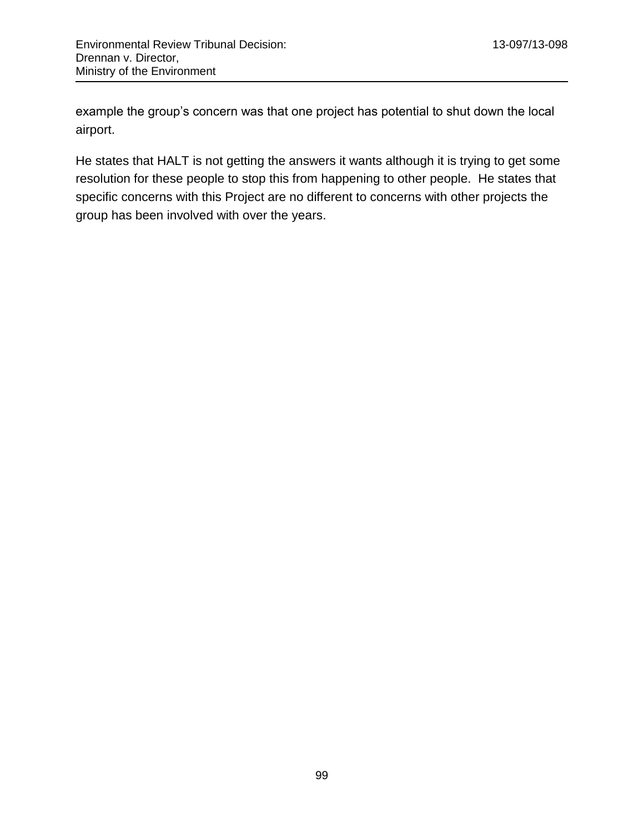example the group's concern was that one project has potential to shut down the local airport.

He states that HALT is not getting the answers it wants although it is trying to get some resolution for these people to stop this from happening to other people. He states that specific concerns with this Project are no different to concerns with other projects the group has been involved with over the years.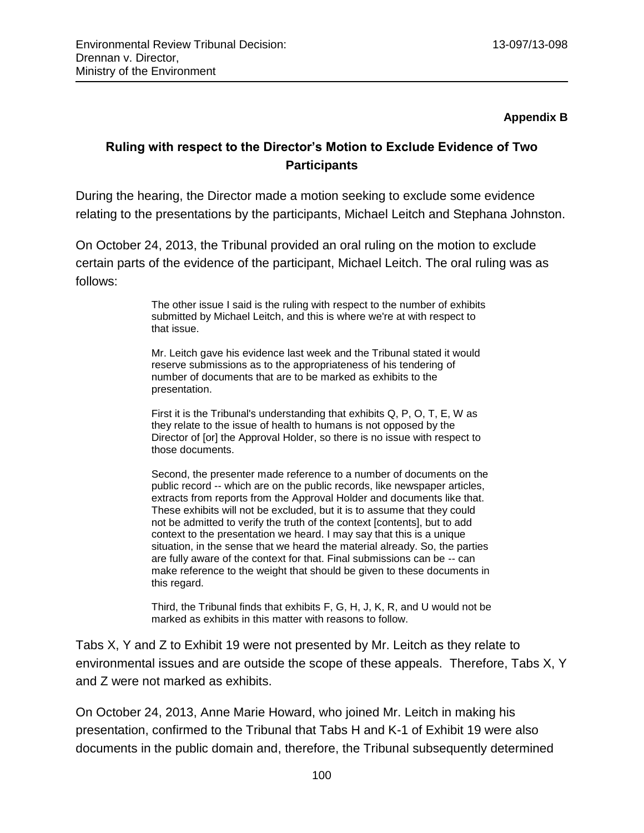#### **Appendix B**

# **Ruling with respect to the Director's Motion to Exclude Evidence of Two Participants**

During the hearing, the Director made a motion seeking to exclude some evidence relating to the presentations by the participants, Michael Leitch and Stephana Johnston.

On October 24, 2013, the Tribunal provided an oral ruling on the motion to exclude certain parts of the evidence of the participant, Michael Leitch. The oral ruling was as follows:

> The other issue I said is the ruling with respect to the number of exhibits submitted by Michael Leitch, and this is where we're at with respect to that issue.

Mr. Leitch gave his evidence last week and the Tribunal stated it would reserve submissions as to the appropriateness of his tendering of number of documents that are to be marked as exhibits to the presentation.

First it is the Tribunal's understanding that exhibits Q, P, O, T, E, W as they relate to the issue of health to humans is not opposed by the Director of [or] the Approval Holder, so there is no issue with respect to those documents.

Second, the presenter made reference to a number of documents on the public record -- which are on the public records, like newspaper articles, extracts from reports from the Approval Holder and documents like that. These exhibits will not be excluded, but it is to assume that they could not be admitted to verify the truth of the context [contents], but to add context to the presentation we heard. I may say that this is a unique situation, in the sense that we heard the material already. So, the parties are fully aware of the context for that. Final submissions can be -- can make reference to the weight that should be given to these documents in this regard.

Third, the Tribunal finds that exhibits F, G, H, J, K, R, and U would not be marked as exhibits in this matter with reasons to follow.

Tabs X, Y and Z to Exhibit 19 were not presented by Mr. Leitch as they relate to environmental issues and are outside the scope of these appeals. Therefore, Tabs X, Y and Z were not marked as exhibits.

On October 24, 2013, Anne Marie Howard, who joined Mr. Leitch in making his presentation, confirmed to the Tribunal that Tabs H and K-1 of Exhibit 19 were also documents in the public domain and, therefore, the Tribunal subsequently determined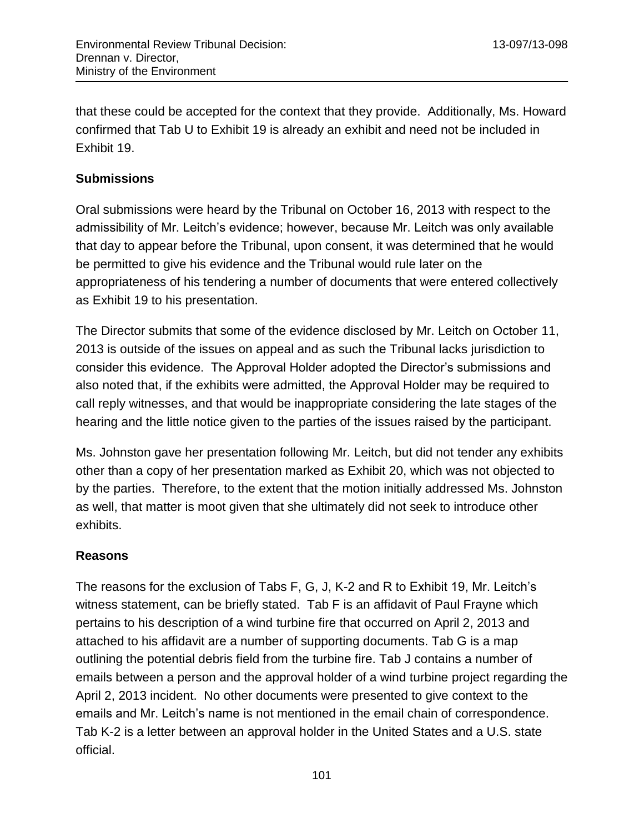that these could be accepted for the context that they provide. Additionally, Ms. Howard confirmed that Tab U to Exhibit 19 is already an exhibit and need not be included in Exhibit 19.

#### **Submissions**

Oral submissions were heard by the Tribunal on October 16, 2013 with respect to the admissibility of Mr. Leitch's evidence; however, because Mr. Leitch was only available that day to appear before the Tribunal, upon consent, it was determined that he would be permitted to give his evidence and the Tribunal would rule later on the appropriateness of his tendering a number of documents that were entered collectively as Exhibit 19 to his presentation.

The Director submits that some of the evidence disclosed by Mr. Leitch on October 11, 2013 is outside of the issues on appeal and as such the Tribunal lacks jurisdiction to consider this evidence. The Approval Holder adopted the Director's submissions and also noted that, if the exhibits were admitted, the Approval Holder may be required to call reply witnesses, and that would be inappropriate considering the late stages of the hearing and the little notice given to the parties of the issues raised by the participant.

Ms. Johnston gave her presentation following Mr. Leitch, but did not tender any exhibits other than a copy of her presentation marked as Exhibit 20, which was not objected to by the parties. Therefore, to the extent that the motion initially addressed Ms. Johnston as well, that matter is moot given that she ultimately did not seek to introduce other exhibits.

#### **Reasons**

The reasons for the exclusion of Tabs F, G, J, K-2 and R to Exhibit 19, Mr. Leitch's witness statement, can be briefly stated. Tab F is an affidavit of Paul Frayne which pertains to his description of a wind turbine fire that occurred on April 2, 2013 and attached to his affidavit are a number of supporting documents. Tab G is a map outlining the potential debris field from the turbine fire. Tab J contains a number of emails between a person and the approval holder of a wind turbine project regarding the April 2, 2013 incident. No other documents were presented to give context to the emails and Mr. Leitch's name is not mentioned in the email chain of correspondence. Tab K-2 is a letter between an approval holder in the United States and a U.S. state official.